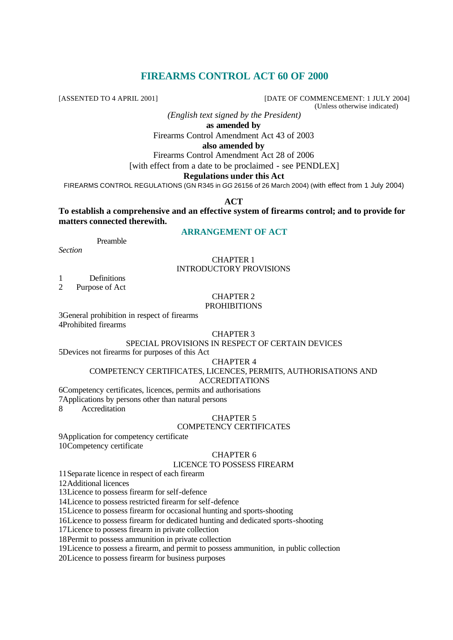# **FIREARMS CONTROL ACT 60 OF 2000**

[ASSENTED TO 4 APRIL 2001] [DATE OF COMMENCEMENT: 1 JULY 2004]

(Unless otherwise indicated)

*(English text signed by the President)*

**as amended by**

Firearms Control Amendment Act 43 of 2003

## **also amended by**

Firearms Control Amendment Act 28 of 2006

[with effect from a date to be proclaimed - see PENDLEX]

## **Regulations under this Act**

FIREARMS CONTROL REGULATIONS (GN R345 in *GG* 26156 of 26 March 2004) (with effect from 1 July 2004)

**ACT**

**To establish a comprehensive and an effective system of firearms control; and to provide for matters connected therewith.**

# **ARRANGEMENT OF ACT**

Preamble

*Section*

## CHAPTER 1 INTRODUCTORY PROVISIONS

1 Definitions<br>2 Purpose of Act

Purpose of Act

# CHAPTER 2

# **PROHIBITIONS**

3General prohibition in respect of firearms 4Prohibited firearms

## CHAPTER 3

### SPECIAL PROVISIONS IN RESPECT OF CERTAIN DEVICES

5Devices not firearms for purposes of this Act

## CHAPTER 4

# COMPETENCY CERTIFICATES, LICENCES, PERMITS, AUTHORISATIONS AND

## ACCREDITATIONS

6Competency certificates, licences, permits and authorisations

7Applications by persons other than natural persons

8 Accreditation

## CHAPTER 5

## COMPETENCY CERTIFICATES

9Application for competency certificate 10Competency certificate

# CHAPTER 6

## LICENCE TO POSSESS FIREARM

11Separate licence in respect of each firearm

12Additional licences

13Licence to possess firearm for self-defence

14Licence to possess restricted firearm for self-defence

15Licence to possess firearm for occasional hunting and sports-shooting

16Licence to possess firearm for dedicated hunting and dedicated sports-shooting

17Licence to possess firearm in private collection

18Permit to possess ammunition in private collection

19Licence to possess a firearm, and permit to possess ammunition, in public collection

20Licence to possess firearm for business purposes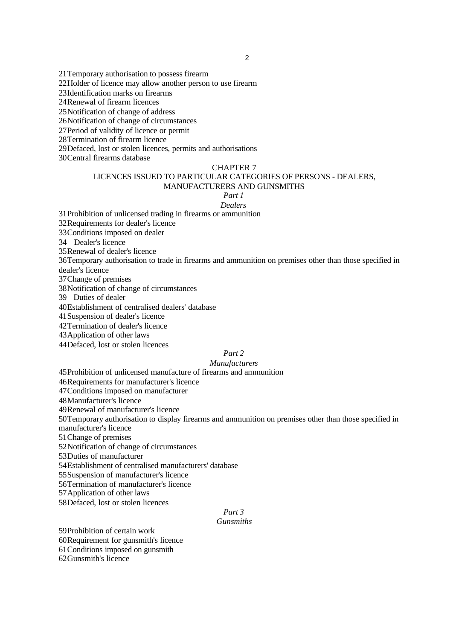21Temporary authorisation to possess firearm 22Holder of licence may allow another person to use firearm 23Identification marks on firearms 24Renewal of firearm licences 25Notification of change of address 26Notification of change of circumstances 27Period of validity of licence or permit 28Termination of firearm licence 29Defaced, lost or stolen licences, permits and authorisations

30Central firearms database

#### CHAPTER 7

## LICENCES ISSUED TO PARTICULAR CATEGORIES OF PERSONS - DEALERS, MANUFACTURERS AND GUNSMITHS

#### *Part 1 Dealers*

31Prohibition of unlicensed trading in firearms or ammunition 32Requirements for dealer's licence 33Conditions imposed on dealer 34 Dealer's licence 35Renewal of dealer's licence 36Temporary authorisation to trade in firearms and ammunition on premises other than those specified in dealer's licence 37Change of premises 38Notification of change of circumstances 39 Duties of dealer 40Establishment of centralised dealers' database 41Suspension of dealer's licence 42Termination of dealer's licence 43Application of other laws

44Defaced, lost or stolen licences

## *Part 2*

## *Manufacturers*

45Prohibition of unlicensed manufacture of firearms and ammunition

46Requirements for manufacturer's licence

47Conditions imposed on manufacturer

48Manufacturer's licence

49Renewal of manufacturer's licence

50Temporary authorisation to display firearms and ammunition on premises other than those specified in manufacturer's licence

51Change of premises

52Notification of change of circumstances

53Duties of manufacturer

54Establishment of centralised manufacturers' database

55Suspension of manufacturer's licence

56Termination of manufacturer's licence

57Application of other laws

58Defaced, lost or stolen licences

# *Part 3*

## *Gunsmiths*

59Prohibition of certain work 60Requirement for gunsmith's licence 61Conditions imposed on gunsmith 62Gunsmith's licence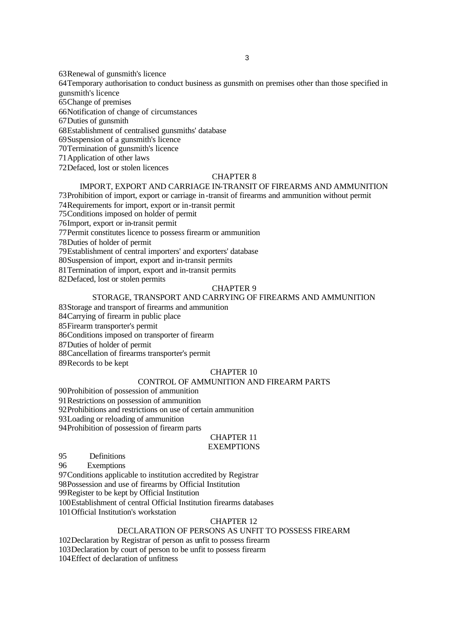63Renewal of gunsmith's licence

64Temporary authorisation to conduct business as gunsmith on premises other than those specified in gunsmith's licence

65Change of premises

66Notification of change of circumstances

67Duties of gunsmith

68Establishment of centralised gunsmiths' database

69Suspension of a gunsmith's licence

70Termination of gunsmith's licence

71Application of other laws

72Defaced, lost or stolen licences

## CHAPTER 8

# IMPORT, EXPORT AND CARRIAGE IN-TRANSIT OF FIREARMS AND AMMUNITION

73Prohibition of import, export or carriage in-transit of firearms and ammunition without permit

74Requirements for import, export or in-transit permit

75Conditions imposed on holder of permit

76Import, export or in-transit permit

77Permit constitutes licence to possess firearm or ammunition

78Duties of holder of permit

79Establishment of central importers' and exporters' database

80Suspension of import, export and in-transit permits

81Termination of import, export and in-transit permits 82Defaced, lost or stolen permits

CHAPTER 9

## STORAGE, TRANSPORT AND CARRYING OF FIREARMS AND AMMUNITION

83Storage and transport of firearms and ammunition

84Carrying of firearm in public place

85Firearm transporter's permit

86Conditions imposed on transporter of firearm

87Duties of holder of permit

88Cancellation of firearms transporter's permit

89Records to be kept

# CHAPTER 10

## CONTROL OF AMMUNITION AND FIREARM PARTS

90Prohibition of possession of ammunition

91Restrictions on possession of ammunition

92Prohibitions and restrictions on use of certain ammunition

93Loading or reloading of ammunition

94Prohibition of possession of firearm parts

# CHAPTER 11

# **EXEMPTIONS**

95 Definitions

96 Exemptions

97Conditions applicable to institution accredited by Registrar 98Possession and use of firearms by Official Institution

99Register to be kept by Official Institution

100Establishment of central Official Institution firearms databases

101Official Institution's workstation

## CHAPTER 12

# DECLARATION OF PERSONS AS UNFIT TO POSSESS FIREARM

102Declaration by Registrar of person as unfit to possess firearm 103Declaration by court of person to be unfit to possess firearm

104Effect of declaration of unfitness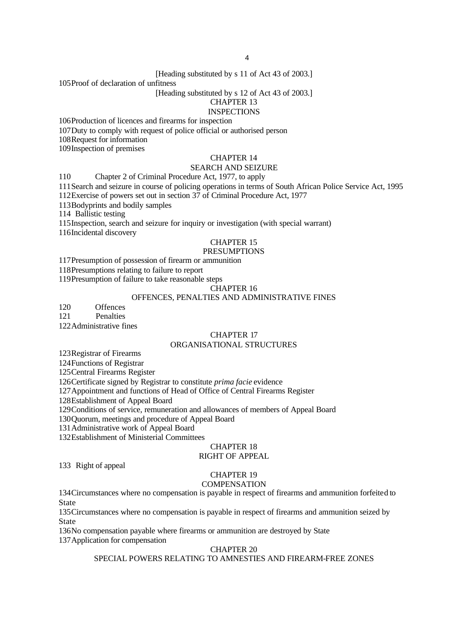[Heading substituted by s 11 of Act 43 of 2003.]

105Proof of declaration of unfitness

### [Heading substituted by s 12 of Act 43 of 2003.]

#### CHAPTER 13 **INSPECTIONS**

106Production of licences and firearms for inspection

107Duty to comply with request of police official or authorised person

108Request for information

109Inspection of premises

## CHAPTER 14

## SEARCH AND SEIZURE

110 Chapter 2 of Criminal Procedure Act, 1977, to apply

111Search and seizure in course of policing operations in terms of South African Police Service Act, 1995

112Exercise of powers set out in section 37 of Criminal Procedure Act, 1977

113Bodyprints and bodily samples

114 Ballistic testing

115Inspection, search and seizure for inquiry or investigation (with special warrant)

116Incidental discovery

# CHAPTER 15

# PRESUMPTIONS

117Presumption of possession of firearm or ammunition

118Presumptions relating to failure to report

119Presumption of failure to take reasonable steps

#### CHAPTER 16

## OFFENCES, PENALTIES AND ADMINISTRATIVE FINES

120 Offences

121 Penalties

122Administrative fines

# CHAPTER 17

# ORGANISATIONAL STRUCTURES

123Registrar of Firearms

124Functions of Registrar

125Central Firearms Register

126Certificate signed by Registrar to constitute *prima facie* evidence

127Appointment and functions of Head of Office of Central Firearms Register

128Establishment of Appeal Board

129Conditions of service, remuneration and allowances of members of Appeal Board

130Quorum, meetings and procedure of Appeal Board

131Administrative work of Appeal Board

132Establishment of Ministerial Committees

## CHAPTER 18

## RIGHT OF APPEAL

133 Right of appeal

## CHAPTER 19

#### **COMPENSATION**

134Circumstances where no compensation is payable in respect of firearms and ammunition forfeited to State

135Circumstances where no compensation is payable in respect of firearms and ammunition seized by State

136No compensation payable where firearms or ammunition are destroyed by State 137Application for compensation

CHAPTER 20

# SPECIAL POWERS RELATING TO AMNESTIES AND FIREARM-FREE ZONES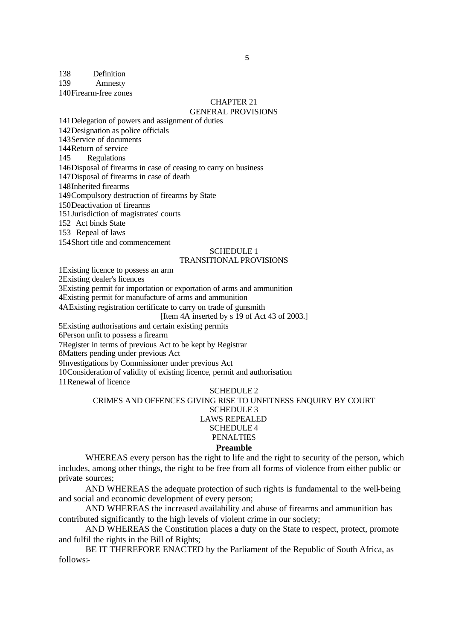## 138 Definition

139 Amnesty

140Firearm-free zones

## CHAPTER 21

## GENERAL PROVISIONS

141Delegation of powers and assignment of duties 142Designation as police officials 143Service of documents 144Return of service 145 Regulations 146Disposal of firearms in case of ceasing to carry on business 147Disposal of firearms in case of death 148Inherited firearms 149Compulsory destruction of firearms by State 150Deactivation of firearms 151Jurisdiction of magistrates' courts 152 Act binds State 153 Repeal of laws

154Short title and commencement

## SCHEDULE 1

## TRANSITIONAL PROVISIONS

1Existing licence to possess an arm

2Existing dealer's licences

3Existing permit for importation or exportation of arms and ammunition

4Existing permit for manufacture of arms and ammunition

4AExisting registration certificate to carry on trade of gunsmith

[Item 4A inserted by s 19 of Act 43 of 2003.]

5Existing authorisations and certain existing permits

6Person unfit to possess a firearm

7Register in terms of previous Act to be kept by Registrar

8Matters pending under previous Act

9Investigations by Commissioner under previous Act

10Consideration of validity of existing licence, permit and authorisation

11Renewal of licence

#### SCHEDULE 2

# CRIMES AND OFFENCES GIVING RISE TO UNFITNESS ENQUIRY BY COURT

# SCHEDULE 3

# LAWS REPEALED

#### SCHEDULE 4 PENALTIES

# **Preamble**

WHEREAS every person has the right to life and the right to security of the person, which includes, among other things, the right to be free from all forms of violence from either public or private sources;

AND WHEREAS the adequate protection of such rights is fundamental to the well-being and social and economic development of every person;

AND WHEREAS the increased availability and abuse of firearms and ammunition has contributed significantly to the high levels of violent crime in our society;

AND WHEREAS the Constitution places a duty on the State to respect, protect, promote and fulfil the rights in the Bill of Rights;

BE IT THEREFORE ENACTED by the Parliament of the Republic of South Africa, as follows:-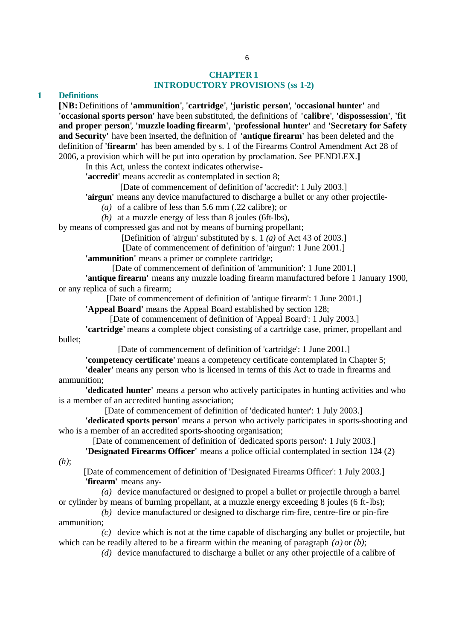# **CHAPTER 1 INTRODUCTORY PROVISIONS (ss 1-2)**

## **1 Definitions**

**[NB:** Definitions of **'ammunition'**, **'cartridge'**, **'juristic person'**, **'occasional hunter'** and **'occasional sports person'** have been substituted, the definitions of **'calibre'**, **'dispossession'**, **'fit and proper person'**, **'muzzle loading firearm'**, **'professional hunter'** and **'Secretary for Safety and Security'** have been inserted, the definition of **'antique firearm'** has been deleted and the definition of **'firearm'** has been amended by s. 1 of the Firearms Control Amendment Act 28 of 2006, a provision which will be put into operation by proclamation. See PENDLEX.**]**

In this Act, unless the context indicates otherwise-

**'accredit'** means accredit as contemplated in section 8;

[Date of commencement of definition of 'accredit': 1 July 2003.]

**'airgun'** means any device manufactured to discharge a bullet or any other projectile-

*(a)* of a calibre of less than 5.6 mm (.22 calibre); or

*(b)* at a muzzle energy of less than 8 joules (6ft-lbs),

by means of compressed gas and not by means of burning propellant;

[Definition of 'airgun' substituted by s. 1 *(a)* of Act 43 of 2003.]

[Date of commencement of definition of 'airgun': 1 June 2001.]

**'ammunition'** means a primer or complete cartridge;

[Date of commencement of definition of 'ammunition': 1 June 2001.]

**'antique firearm'** means any muzzle loading firearm manufactured before 1 January 1900, or any replica of such a firearm;

[Date of commencement of definition of 'antique firearm': 1 June 2001.]

**'Appeal Board'** means the Appeal Board established by section 128;

[Date of commencement of definition of 'Appeal Board': 1 July 2003.]

**'cartridge'** means a complete object consisting of a cartridge case, primer, propellant and bullet;

[Date of commencement of definition of 'cartridge': 1 June 2001.]

**'competency certificate'** means a competency certificate contemplated in Chapter 5;

**'dealer'** means any person who is licensed in terms of this Act to trade in firearms and ammunition;

**'dedicated hunter'** means a person who actively participates in hunting activities and who is a member of an accredited hunting association;

[Date of commencement of definition of 'dedicated hunter': 1 July 2003.]

**'dedicated sports person'** means a person who actively participates in sports-shooting and who is a member of an accredited sports-shooting organisation;

[Date of commencement of definition of 'dedicated sports person': 1 July 2003.]

**'Designated Firearms Officer'** means a police official contemplated in section 124 (2) *(h)*;

[Date of commencement of definition of 'Designated Firearms Officer': 1 July 2003.] **'firearm'** means any-

*(a)* device manufactured or designed to propel a bullet or projectile through a barrel or cylinder by means of burning propellant, at a muzzle energy exceeding 8 joules (6 ft-lbs);

*(b)* device manufactured or designed to discharge rim-fire, centre-fire or pin-fire ammunition;

*(c)* device which is not at the time capable of discharging any bullet or projectile, but which can be readily altered to be a firearm within the meaning of paragraph *(a)* or *(b)*;

*(d)* device manufactured to discharge a bullet or any other projectile of a calibre of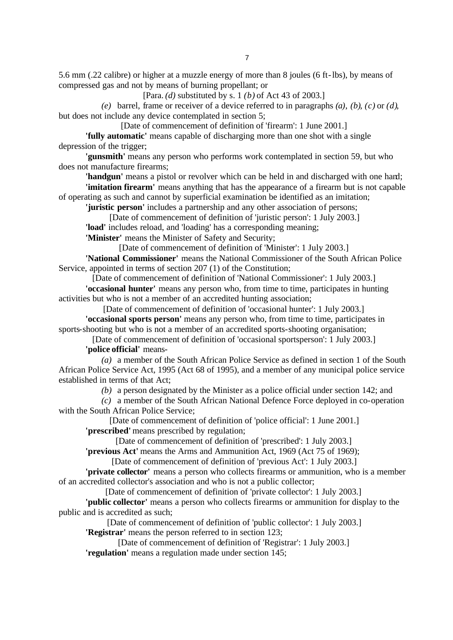5.6 mm (.22 calibre) or higher at a muzzle energy of more than 8 joules (6 ft-lbs), by means of compressed gas and not by means of burning propellant; or

[Para. *(d)* substituted by s. 1 *(b)* of Act 43 of 2003.]

*(e)* barrel, frame or receiver of a device referred to in paragraphs *(a)*, *(b)*, *(c)* or *(d)*, but does not include any device contemplated in section 5;

[Date of commencement of definition of 'firearm': 1 June 2001.]

**'fully automatic'** means capable of discharging more than one shot with a single depression of the trigger;

**'gunsmith'** means any person who performs work contemplated in section 59, but who does not manufacture firearms;

**'handgun'** means a pistol or revolver which can be held in and discharged with one hand;

**'imitation firearm'** means anything that has the appearance of a firearm but is not capable of operating as such and cannot by superficial examination be identified as an imitation;

**'juristic person'** includes a partnership and any other association of persons;

[Date of commencement of definition of 'juristic person': 1 July 2003.]

**'load'** includes reload, and 'loading' has a corresponding meaning;

**'Minister'** means the Minister of Safety and Security;

[Date of commencement of definition of 'Minister': 1 July 2003.]

**'National Commissioner'** means the National Commissioner of the South African Police Service, appointed in terms of section 207 (1) of the Constitution;

[Date of commencement of definition of 'National Commissioner': 1 July 2003.]

**'occasional hunter'** means any person who, from time to time, participates in hunting activities but who is not a member of an accredited hunting association;

[Date of commencement of definition of 'occasional hunter': 1 July 2003.] **'occasional sports person'** means any person who, from time to time, participates in sports-shooting but who is not a member of an accredited sports-shooting organisation;

[Date of commencement of definition of 'occasional sportsperson': 1 July 2003.]

**'police official'** means-

*(a)* a member of the South African Police Service as defined in section 1 of the South African Police Service Act, 1995 (Act 68 of 1995), and a member of any municipal police service established in terms of that Act;

*(b)* a person designated by the Minister as a police official under section 142; and

*(c)* a member of the South African National Defence Force deployed in co-operation with the South African Police Service;

[Date of commencement of definition of 'police official': 1 June 2001.] **'prescribed'** means prescribed by regulation;

[Date of commencement of definition of 'prescribed': 1 July 2003.]

**'previous Act'** means the Arms and Ammunition Act, 1969 (Act 75 of 1969);

[Date of commencement of definition of 'previous Act': 1 July 2003.]

**'private collector'** means a person who collects firearms or ammunition, who is a member of an accredited collector's association and who is not a public collector;

[Date of commencement of definition of 'private collector': 1 July 2003.]

**'public collector'** means a person who collects firearms or ammunition for display to the public and is accredited as such;

[Date of commencement of definition of 'public collector': 1 July 2003.] **'Registrar'** means the person referred to in section 123;

[Date of commencement of definition of 'Registrar': 1 July 2003.]

**'regulation'** means a regulation made under section 145;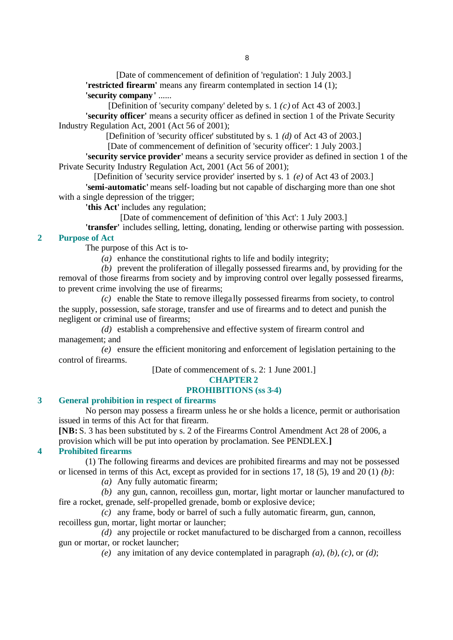[Date of commencement of definition of 'regulation': 1 July 2003.] **'restricted firearm'** means any firearm contemplated in section 14 (1);

**'security company'** ......

[Definition of 'security company' deleted by s. 1 *(c)* of Act 43 of 2003.] **'security officer'** means a security officer as defined in section 1 of the Private Security Industry Regulation Act, 2001 (Act 56 of 2001);

[Definition of 'security officer' substituted by s. 1 *(d)* of Act 43 of 2003.]

[Date of commencement of definition of 'security officer': 1 July 2003.]

**'security service provider'** means a security service provider as defined in section 1 of the Private Security Industry Regulation Act, 2001 (Act 56 of 2001);

[Definition of 'security service provider' inserted by s. 1 *(e)* of Act 43 of 2003.]

**'semi-automatic'** means self-loading but not capable of discharging more than one shot with a single depression of the trigger;

**'this Act'** includes any regulation;

[Date of commencement of definition of 'this Act': 1 July 2003.]

**'transfer'** includes selling, letting, donating, lending or otherwise parting with possession.

# **2 Purpose of Act**

The purpose of this Act is to-

*(a)* enhance the constitutional rights to life and bodily integrity;

*(b)* prevent the proliferation of illegally possessed firearms and, by providing for the removal of those firearms from society and by improving control over legally possessed firearms, to prevent crime involving the use of firearms;

*(c)* enable the State to remove illega lly possessed firearms from society, to control the supply, possession, safe storage, transfer and use of firearms and to detect and punish the negligent or criminal use of firearms;

*(d)* establish a comprehensive and effective system of firearm control and management; and

*(e)* ensure the efficient monitoring and enforcement of legislation pertaining to the control of firearms.

[Date of commencement of s. 2: 1 June 2001.]

# **CHAPTER 2**

# **PROHIBITIONS (ss 3-4)**

# **3 General prohibition in respect of firearms**

No person may possess a firearm unless he or she holds a licence, permit or authorisation issued in terms of this Act for that firearm.

**[NB:** S. 3 has been substituted by s. 2 of the Firearms Control Amendment Act 28 of 2006, a provision which will be put into operation by proclamation. See PENDLEX.**]**

# **4 Prohibited firearms**

(1) The following firearms and devices are prohibited firearms and may not be possessed or licensed in terms of this Act, except as provided for in sections 17, 18 (5), 19 and 20 (1) *(b)*:

*(a)* Any fully automatic firearm;

*(b)* any gun, cannon, recoilless gun, mortar, light mortar or launcher manufactured to fire a rocket, grenade, self-propelled grenade, bomb or explosive device;

*(c)* any frame, body or barrel of such a fully automatic firearm, gun, cannon, recoilless gun, mortar, light mortar or launcher;

*(d)* any projectile or rocket manufactured to be discharged from a cannon, recoilless gun or mortar, or rocket launcher;

*(e)* any imitation of any device contemplated in paragraph *(a)*, *(b)*, *(c)*, or *(d)*;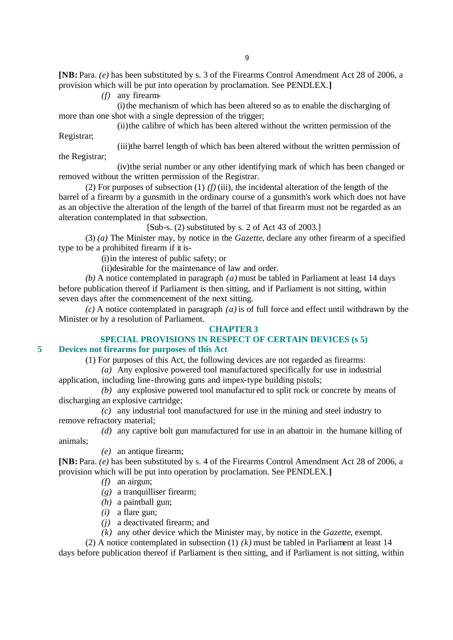**[NB:** Para. *(e)* has been substituted by s. 3 of the Firearms Control Amendment Act 28 of 2006, a provision which will be put into operation by proclamation. See PENDLEX.**]**

*(f)* any firearm-

the Registrar;

(i)the mechanism of which has been altered so as to enable the discharging of more than one shot with a single depression of the trigger;

(ii)the calibre of which has been altered without the written permission of the Registrar;

(iii)the barrel length of which has been altered without the written permission of

(iv)the serial number or any other identifying mark of which has been changed or removed without the written permission of the Registrar.

(2) For purposes of subsection (1)  $(f)$  (iii), the incidental alteration of the length of the barrel of a firearm by a gunsmith in the ordinary course of a gunsmith's work which does not have as an objective the alteration of the length of the barrel of that firearm must not be regarded as an alteration contemplated in that subsection.

[Sub-s. (2) substituted by s. 2 of Act 43 of 2003.]

(3) *(a)* The Minister may, by notice in the *Gazette*, declare any other firearm of a specified type to be a prohibited firearm if it is-

(i)in the interest of public safety; or

(ii)desirable for the maintenance of law and order.

*(b)* A notice contemplated in paragraph *(a)* must be tabled in Parliament at least 14 days before publication thereof if Parliament is then sitting, and if Parliament is not sitting, within seven days after the commencement of the next sitting.

*(c)* A notice contemplated in paragraph *(a)* is of full force and effect until withdrawn by the Minister or by a resolution of Parliament.

## **CHAPTER 3**

## **SPECIAL PROVISIONS IN RESPECT OF CERTAIN DEVICES (s 5) 5 Devices not firearms for purposes of this Act**

(1) For purposes of this Act, the following devices are not regarded as firearms:

*(a)* Any explosive powered tool manufactured specifically for use in industrial

application, including line-throwing guns and impex-type building pistols;

*(b)* any explosive powered tool manufactur ed to split rock or concrete by means of discharging an explosive cartridge;

*(c)* any industrial tool manufactured for use in the mining and steel industry to remove refractory material;

*(d)* any captive bolt gun manufactured for use in an abattoir in the humane killing of animals;

*(e)* an antique firearm;

**[NB:** Para. *(e)* has been substituted by s. 4 of the Firearms Control Amendment Act 28 of 2006, a provision which will be put into operation by proclamation. See PENDLEX.**]**

- *(f)* an airgun;
- *(g)* a tranquilliser firearm;
- *(h)* a paintball gun;
- *(i)* a flare gun;
- *(j)* a deactivated firearm; and
- *(k)* any other device which the Minister may, by notice in the *Gazette*, exempt.

(2) A notice contemplated in subsection (1) *(k)* must be tabled in Parliament at least 14 days before publication thereof if Parliament is then sitting, and if Parliament is not sitting, within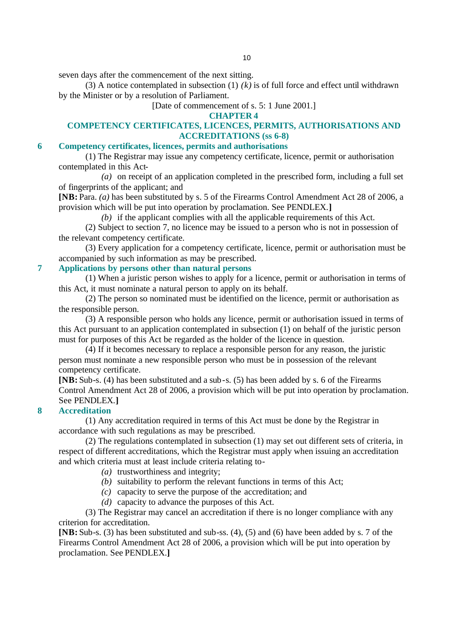seven days after the commencement of the next sitting.

(3) A notice contemplated in subsection  $(1)$   $(k)$  is of full force and effect until withdrawn by the Minister or by a resolution of Parliament.

[Date of commencement of s. 5: 1 June 2001.]

## **CHAPTER 4**

# **COMPETENCY CERTIFICATES, LICENCES, PERMITS, AUTHORISATIONS AND ACCREDITATIONS (ss 6-8)**

# **6 Competency certificates, licences, permits and authorisations**

(1) The Registrar may issue any competency certificate, licence, permit or authorisation contemplated in this Act-

*(a)* on receipt of an application completed in the prescribed form, including a full set of fingerprints of the applicant; and

**[NB:** Para. *(a)* has been substituted by s. 5 of the Firearms Control Amendment Act 28 of 2006, a provision which will be put into operation by proclamation. See PENDLEX.**]**

*(b)* if the applicant complies with all the applicable requirements of this Act.

(2) Subject to section 7, no licence may be issued to a person who is not in possession of the relevant competency certificate.

(3) Every application for a competency certificate, licence, permit or authorisation must be accompanied by such information as may be prescribed.

# **7 Applications by persons other than natural persons**

(1) When a juristic person wishes to apply for a licence, permit or authorisation in terms of this Act, it must nominate a natural person to apply on its behalf.

(2) The person so nominated must be identified on the licence, permit or authorisation as the responsible person.

(3) A responsible person who holds any licence, permit or authorisation issued in terms of this Act pursuant to an application contemplated in subsection (1) on behalf of the juristic person must for purposes of this Act be regarded as the holder of the licence in question.

(4) If it becomes necessary to replace a responsible person for any reason, the juristic person must nominate a new responsible person who must be in possession of the relevant competency certificate.

**[NB:** Sub-s. (4) has been substituted and a sub-s. (5) has been added by s. 6 of the Firearms Control Amendment Act 28 of 2006, a provision which will be put into operation by proclamation. See PENDLEX.**]**

## **8 Accreditation**

(1) Any accreditation required in terms of this Act must be done by the Registrar in accordance with such regulations as may be prescribed.

(2) The regulations contemplated in subsection (1) may set out different sets of criteria, in respect of different accreditations, which the Registrar must apply when issuing an accreditation and which criteria must at least include criteria relating to-

- *(a)* trustworthiness and integrity;
- *(b)* suitability to perform the relevant functions in terms of this Act;
- *(c)* capacity to serve the purpose of the accreditation; and
- *(d)* capacity to advance the purposes of this Act.

(3) The Registrar may cancel an accreditation if there is no longer compliance with any criterion for accreditation.

**[NB:** Sub-s. (3) has been substituted and sub-ss. (4), (5) and (6) have been added by s. 7 of the Firearms Control Amendment Act 28 of 2006, a provision which will be put into operation by proclamation. See PENDLEX.**]**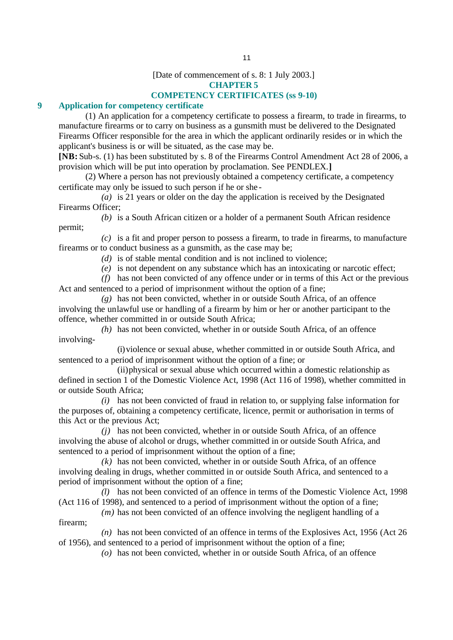[Date of commencement of s. 8: 1 July 2003.]

**CHAPTER 5**

## **COMPETENCY CERTIFICATES (ss 9-10)**

# **9 Application for competency certificate**

(1) An application for a competency certificate to possess a firearm, to trade in firearms, to manufacture firearms or to carry on business as a gunsmith must be delivered to the Designated Firearms Officer responsible for the area in which the applicant ordinarily resides or in which the applicant's business is or will be situated, as the case may be.

**[NB:** Sub-s. (1) has been substituted by s. 8 of the Firearms Control Amendment Act 28 of 2006, a provision which will be put into operation by proclamation. See PENDLEX.**]**

(2) Where a person has not previously obtained a competency certificate, a competency certificate may only be issued to such person if he or she -

*(a)* is 21 years or older on the day the application is received by the Designated Firearms Officer;

*(b)* is a South African citizen or a holder of a permanent South African residence permit;

*(c)* is a fit and proper person to possess a firearm, to trade in firearms, to manufacture firearms or to conduct business as a gunsmith, as the case may be;

- *(d)* is of stable mental condition and is not inclined to violence;
- *(e)* is not dependent on any substance which has an intoxicating or narcotic effect;

*(f)* has not been convicted of any offence under or in terms of this Act or the previous Act and sentenced to a period of imprisonment without the option of a fine;

*(g)* has not been convicted, whether in or outside South Africa, of an offence involving the unlawful use or handling of a firearm by him or her or another participant to the offence, whether committed in or outside South Africa;

*(h)* has not been convicted, whether in or outside South Africa, of an offence involving-

(i)violence or sexual abuse, whether committed in or outside South Africa, and sentenced to a period of imprisonment without the option of a fine; or

(ii)physical or sexual abuse which occurred within a domestic relationship as defined in section 1 of the Domestic Violence Act, 1998 (Act 116 of 1998), whether committed in or outside South Africa;

*(i)* has not been convicted of fraud in relation to, or supplying false information for the purposes of, obtaining a competency certificate, licence, permit or authorisation in terms of this Act or the previous Act;

*(j)* has not been convicted, whether in or outside South Africa, of an offence involving the abuse of alcohol or drugs, whether committed in or outside South Africa, and sentenced to a period of imprisonment without the option of a fine;

*(k)* has not been convicted, whether in or outside South Africa, of an offence involving dealing in drugs, whether committed in or outside South Africa, and sentenced to a period of imprisonment without the option of a fine;

*(l)* has not been convicted of an offence in terms of the Domestic Violence Act, 1998 (Act 116 of 1998), and sentenced to a period of imprisonment without the option of a fine;

*(m)* has not been convicted of an offence involving the negligent handling of a firearm;

*(n)* has not been convicted of an offence in terms of the Explosives Act, 1956 (Act 26 of 1956), and sentenced to a period of imprisonment without the option of a fine;

*(o)* has not been convicted, whether in or outside South Africa, of an offence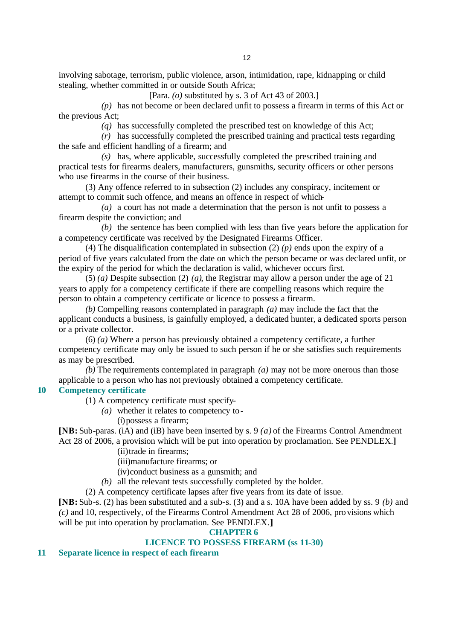involving sabotage, terrorism, public violence, arson, intimidation, rape, kidnapping or child stealing, whether committed in or outside South Africa;

[Para. *(o)* substituted by s. 3 of Act 43 of 2003.]

*(p)* has not become or been declared unfit to possess a firearm in terms of this Act or the previous Act;

*(q)* has successfully completed the prescribed test on knowledge of this Act;

*(r)* has successfully completed the prescribed training and practical tests regarding the safe and efficient handling of a firearm; and

*(s)* has, where applicable, successfully completed the prescribed training and practical tests for firearms dealers, manufacturers, gunsmiths, security officers or other persons who use firearms in the course of their business.

(3) Any offence referred to in subsection (2) includes any conspiracy, incitement or attempt to commit such offence, and means an offence in respect of which-

*(a)* a court has not made a determination that the person is not unfit to possess a firearm despite the conviction; and

*(b)* the sentence has been complied with less than five years before the application for a competency certificate was received by the Designated Firearms Officer.

(4) The disqualification contemplated in subsection (2) *(p)* ends upon the expiry of a period of five years calculated from the date on which the person became or was declared unfit, or the expiry of the period for which the declaration is valid, whichever occurs first.

(5) *(a)* Despite subsection (2) *(a)*, the Registrar may allow a person under the age of 21 years to apply for a competency certificate if there are compelling reasons which require the person to obtain a competency certificate or licence to possess a firearm.

*(b)* Compelling reasons contemplated in paragraph *(a)* may include the fact that the applicant conducts a business, is gainfully employed, a dedicated hunter, a dedicated sports person or a private collector.

(6) *(a)* Where a person has previously obtained a competency certificate, a further competency certificate may only be issued to such person if he or she satisfies such requirements as may be prescribed.

*(b)* The requirements contemplated in paragraph *(a)* may not be more onerous than those applicable to a person who has not previously obtained a competency certificate.

# **10 Competency certificate**

(1) A competency certificate must specify-

*(a)* whether it relates to competency to-

(i)possess a firearm;

**[NB:** Sub-paras. (iA) and (iB) have been inserted by s. 9 *(a)* of the Firearms Control Amendment Act 28 of 2006, a provision which will be put into operation by proclamation. See PENDLEX.**]**

(ii)trade in firearms;

(iii)manufacture firearms; or

(iv)conduct business as a gunsmith; and

*(b)* all the relevant tests successfully completed by the holder.

(2) A competency certificate lapses after five years from its date of issue.

**[NB:** Sub-s. (2) has been substituted and a sub-s. (3) and a s. 10A have been added by ss. 9 *(b)* and *(c)* and 10, respectively, of the Firearms Control Amendment Act 28 of 2006, pro visions which will be put into operation by proclamation. See PENDLEX.**]**

## **CHAPTER 6**

# **LICENCE TO POSSESS FIREARM (ss 11-30)**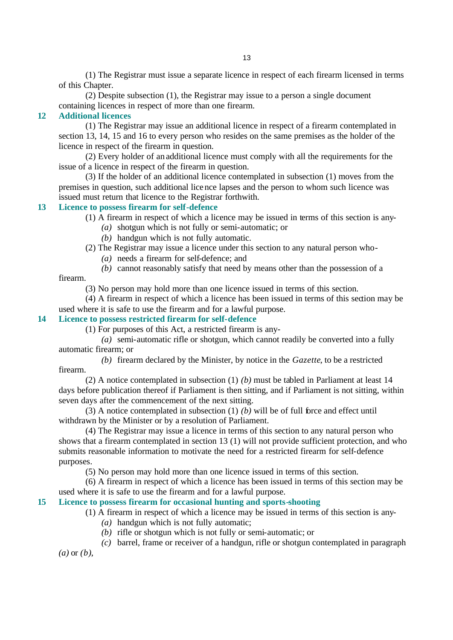(1) The Registrar must issue a separate licence in respect of each firearm licensed in terms of this Chapter.

(2) Despite subsection (1), the Registrar may issue to a person a single document containing licences in respect of more than one firearm.

# **12 Additional licences**

(1) The Registrar may issue an additional licence in respect of a firearm contemplated in section 13, 14, 15 and 16 to every person who resides on the same premises as the holder of the licence in respect of the firearm in question.

(2) Every holder of an additional licence must comply with all the requirements for the issue of a licence in respect of the firearm in question.

(3) If the holder of an additional licence contemplated in subsection (1) moves from the premises in question, such additional licence lapses and the person to whom such licence was issued must return that licence to the Registrar forthwith.

# **13 Licence to possess firearm for self-defence**

(1) A firearm in respect of which a licence may be issued in terms of this section is any-

- *(a)* shotgun which is not fully or semi-automatic; or
- *(b)* handgun which is not fully automatic.
- (2) The Registrar may issue a licence under this section to any natural person who-
	- *(a)* needs a firearm for self-defence; and

*(b)* cannot reasonably satisfy that need by means other than the possession of a

firearm.

(3) No person may hold more than one licence issued in terms of this section.

(4) A firearm in respect of which a licence has been issued in terms of this section may be used where it is safe to use the firearm and for a lawful purpose.

# **14 Licence to possess restricted firearm for self-defence**

(1) For purposes of this Act, a restricted firearm is any-

*(a)* semi-automatic rifle or shotgun, which cannot readily be converted into a fully automatic firearm; or

*(b)* firearm declared by the Minister, by notice in the *Gazette*, to be a restricted firearm.

(2) A notice contemplated in subsection (1) *(b)* must be tabled in Parliament at least 14 days before publication thereof if Parliament is then sitting, and if Parliament is not sitting, within seven days after the commencement of the next sitting.

(3) A notice contemplated in subsection (1) *(b)* will be of full force and effect until withdrawn by the Minister or by a resolution of Parliament.

(4) The Registrar may issue a licence in terms of this section to any natural person who shows that a firearm contemplated in section 13 (1) will not provide sufficient protection, and who submits reasonable information to motivate the need for a restricted firearm for self-defence purposes.

(5) No person may hold more than one licence issued in terms of this section.

(6) A firearm in respect of which a licence has been issued in terms of this section may be used where it is safe to use the firearm and for a lawful purpose.

## **15 Licence to possess firearm for occasional hunting and sports-shooting**

(1) A firearm in respect of which a licence may be issued in terms of this section is any-

- *(a)* handgun which is not fully automatic;
- *(b)* rifle or shotgun which is not fully or semi-automatic; or
- *(c)* barrel, frame or receiver of a handgun, rifle or shotgun contemplated in paragraph

*(a)* or *(b)*,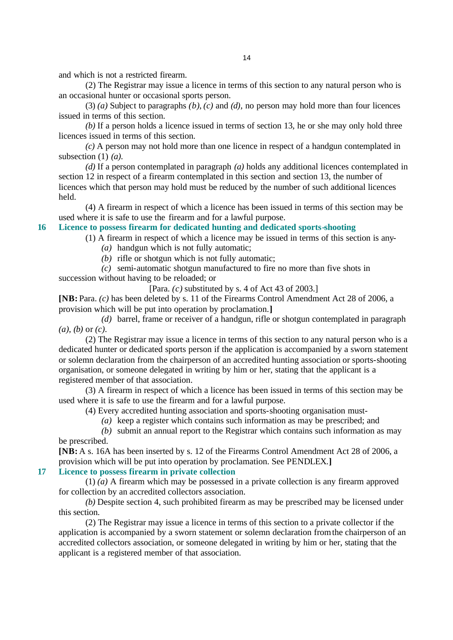and which is not a restricted firearm.

(2) The Registrar may issue a licence in terms of this section to any natural person who is an occasional hunter or occasional sports person.

(3) *(a)* Subject to paragraphs *(b)*, *(c)* and *(d)*, no person may hold more than four licences issued in terms of this section.

*(b)* If a person holds a licence issued in terms of section 13, he or she may only hold three licences issued in terms of this section.

*(c)* A person may not hold more than one licence in respect of a handgun contemplated in subsection (1) *(a)*.

*(d)* If a person contemplated in paragraph *(a)* holds any additional licences contemplated in section 12 in respect of a firearm contemplated in this section and section 13, the number of licences which that person may hold must be reduced by the number of such additional licences held.

(4) A firearm in respect of which a licence has been issued in terms of this section may be used where it is safe to use the firearm and for a lawful purpose.

## **16 Licence to possess firearm for dedicated hunting and dedicated sports-shooting**

(1) A firearm in respect of which a licence may be issued in terms of this section is any- *(a)* handgun which is not fully automatic;

*(b)* rifle or shotgun which is not fully automatic;

*(c)* semi-automatic shotgun manufactured to fire no more than five shots in

succession without having to be reloaded; or

[Para. *(c)* substituted by s. 4 of Act 43 of 2003.]

**[NB:** Para. *(c)* has been deleted by s. 11 of the Firearms Control Amendment Act 28 of 2006, a provision which will be put into operation by proclamation.**]**

*(d)* barrel, frame or receiver of a handgun, rifle or shotgun contemplated in paragraph *(a)*, *(b)* or *(c)*.

(2) The Registrar may issue a licence in terms of this section to any natural person who is a dedicated hunter or dedicated sports person if the application is accompanied by a sworn statement or solemn declaration from the chairperson of an accredited hunting association or sports-shooting organisation, or someone delegated in writing by him or her, stating that the applicant is a registered member of that association.

(3) A firearm in respect of which a licence has been issued in terms of this section may be used where it is safe to use the firearm and for a lawful purpose.

(4) Every accredited hunting association and sports-shooting organisation must-

*(a)* keep a register which contains such information as may be prescribed; and

*(b)* submit an annual report to the Registrar which contains such information as may be prescribed.

**[NB:** A s. 16A has been inserted by s. 12 of the Firearms Control Amendment Act 28 of 2006, a provision which will be put into operation by proclamation. See PENDLEX.**]**

## **17 Licence to possess firearm in private collection**

(1) *(a)* A firearm which may be possessed in a private collection is any firearm approved for collection by an accredited collectors association.

*(b)* Despite section 4, such prohibited firearm as may be prescribed may be licensed under this section.

(2) The Registrar may issue a licence in terms of this section to a private collector if the application is accompanied by a sworn statement or solemn declaration from the chairperson of an accredited collectors association, or someone delegated in writing by him or her, stating that the applicant is a registered member of that association.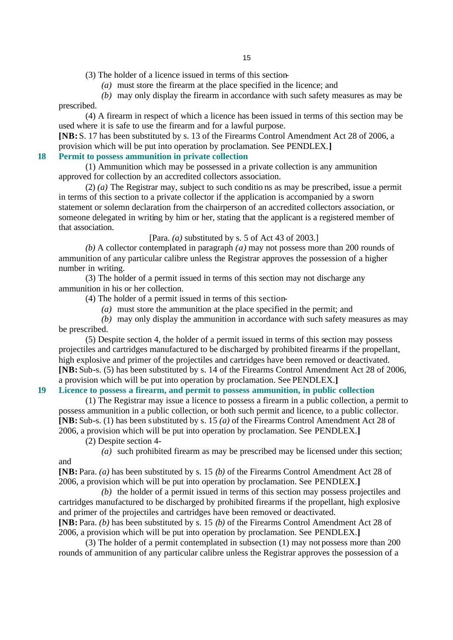(3) The holder of a licence issued in terms of this section-

*(a)* must store the firearm at the place specified in the licence; and

*(b)* may only display the firearm in accordance with such safety measures as may be prescribed.

(4) A firearm in respect of which a licence has been issued in terms of this section may be used where it is safe to use the firearm and for a lawful purpose.

**[NB:** S. 17 has been substituted by s. 13 of the Firearms Control Amendment Act 28 of 2006, a provision which will be put into operation by proclamation. See PENDLEX.**]**

# **18 Permit to possess ammunition in private collection**

(1) Ammunition which may be possessed in a private collection is any ammunition approved for collection by an accredited collectors association.

(2) *(a)* The Registrar may, subject to such conditio ns as may be prescribed, issue a permit in terms of this section to a private collector if the application is accompanied by a sworn statement or solemn declaration from the chairperson of an accredited collectors association, or someone delegated in writing by him or her, stating that the applicant is a registered member of that association.

[Para. *(a)* substituted by s. 5 of Act 43 of 2003.]

*(b)* A collector contemplated in paragraph *(a)* may not possess more than 200 rounds of ammunition of any particular calibre unless the Registrar approves the possession of a higher number in writing.

(3) The holder of a permit issued in terms of this section may not discharge any ammunition in his or her collection.

(4) The holder of a permit issued in terms of this section-

*(a)* must store the ammunition at the place specified in the permit; and

*(b)* may only display the ammunition in accordance with such safety measures as may be prescribed.

(5) Despite section 4, the holder of a permit issued in terms of this section may possess projectiles and cartridges manufactured to be discharged by prohibited firearms if the propellant, high explosive and primer of the projectiles and cartridges have been removed or deactivated. **[NB:** Sub-s. (5) has been substituted by s. 14 of the Firearms Control Amendment Act 28 of 2006, a provision which will be put into operation by proclamation. See PENDLEX.**]**

# **19 Licence to possess a firearm, and permit to possess ammunition, in public collection**

(1) The Registrar may issue a licence to possess a firearm in a public collection, a permit to possess ammunition in a public collection, or both such permit and licence, to a public collector. **[NB:** Sub-s. (1) has been substituted by s. 15 *(a)* of the Firearms Control Amendment Act 28 of 2006, a provision which will be put into operation by proclamation. See PENDLEX.**]**

(2) Despite section 4-

and

*(a)* such prohibited firearm as may be prescribed may be licensed under this section;

**[NB:** Para. *(a)* has been substituted by s. 15 *(b)* of the Firearms Control Amendment Act 28 of 2006, a provision which will be put into operation by proclamation. See PENDLEX.**]**

*(b)* the holder of a permit issued in terms of this section may possess projectiles and cartridges manufactured to be discharged by prohibited firearms if the propellant, high explosive and primer of the projectiles and cartridges have been removed or deactivated. **[NB:** Para. *(b)* has been substituted by s. 15 *(b)* of the Firearms Control Amendment Act 28 of

2006, a provision which will be put into operation by proclamation. See PENDLEX.**]**

(3) The holder of a permit contemplated in subsection (1) may not possess more than 200 rounds of ammunition of any particular calibre unless the Registrar approves the possession of a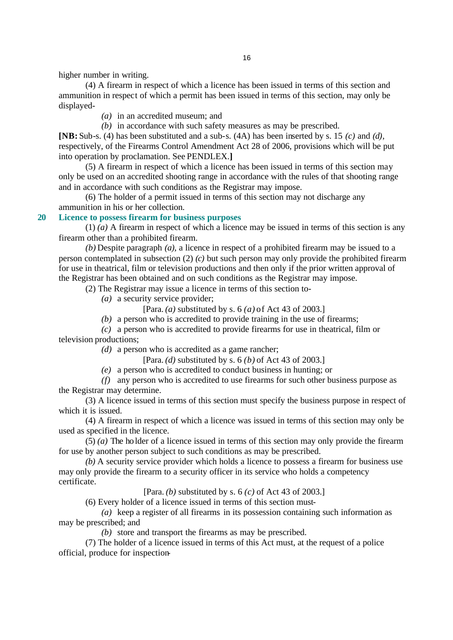higher number in writing.

(4) A firearm in respect of which a licence has been issued in terms of this section and ammunition in respect of which a permit has been issued in terms of this section, may only be displayed-

*(a)* in an accredited museum; and

*(b)* in accordance with such safety measures as may be prescribed.

**[NB:** Sub-s. (4) has been substituted and a sub-s. (4A) has been inserted by s. 15 *(c)* and *(d)*, respectively, of the Firearms Control Amendment Act 28 of 2006, provisions which will be put into operation by proclamation. See PENDLEX.**]**

(5) A firearm in respect of which a licence has been issued in terms of this section may only be used on an accredited shooting range in accordance with the rules of that shooting range and in accordance with such conditions as the Registrar may impose.

(6) The holder of a permit issued in terms of this section may not discharge any ammunition in his or her collection.

## **20 Licence to possess firearm for business purposes**

(1) *(a)* A firearm in respect of which a licence may be issued in terms of this section is any firearm other than a prohibited firearm.

*(b)* Despite paragraph *(a)*, a licence in respect of a prohibited firearm may be issued to a person contemplated in subsection (2) *(c)* but such person may only provide the prohibited firearm for use in theatrical, film or television productions and then only if the prior written approval of the Registrar has been obtained and on such conditions as the Registrar may impose.

(2) The Registrar may issue a licence in terms of this section to-

*(a)* a security service provider;

[Para. *(a)* substituted by s. 6 *(a)* of Act 43 of 2003.]

*(b)* a person who is accredited to provide training in the use of firearms;

*(c)* a person who is accredited to provide firearms for use in theatrical, film or television productions;

*(d)* a person who is accredited as a game rancher;

[Para. *(d)* substituted by s. 6 *(b)* of Act 43 of 2003.]

*(e)* a person who is accredited to conduct business in hunting; or

*(f)* any person who is accredited to use firearms for such other business purpose as the Registrar may determine.

(3) A licence issued in terms of this section must specify the business purpose in respect of which it is issued.

(4) A firearm in respect of which a licence was issued in terms of this section may only be used as specified in the licence.

(5) *(a)* The ho lder of a licence issued in terms of this section may only provide the firearm for use by another person subject to such conditions as may be prescribed.

*(b)* A security service provider which holds a licence to possess a firearm for business use may only provide the firearm to a security officer in its service who holds a competency certificate.

[Para. *(b)* substituted by s. 6 *(c)* of Act 43 of 2003.]

(6) Every holder of a licence issued in terms of this section must-

*(a)* keep a register of all firearms in its possession containing such information as may be prescribed; and

*(b)* store and transport the firearms as may be prescribed.

(7) The holder of a licence issued in terms of this Act must, at the request of a police official, produce for inspection-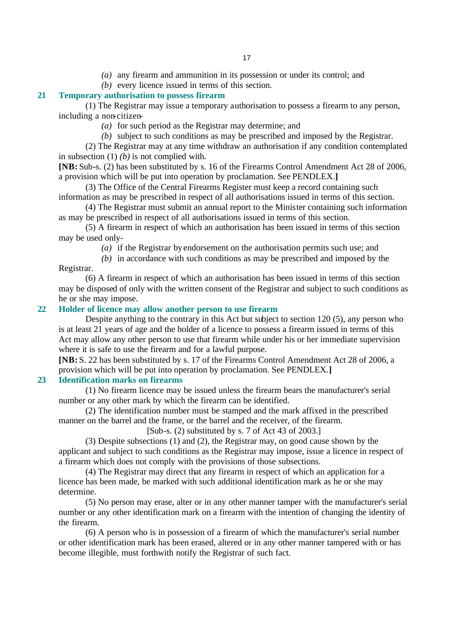- *(a)* any firearm and ammunition in its possession or under its control; and
- *(b)* every licence issued in terms of this section.

# **21 Temporary authorisation to possess firearm**

(1) The Registrar may issue a temporary authorisation to possess a firearm to any person, including a non-citizen-

- *(a)* for such period as the Registrar may determine; and
- *(b)* subject to such conditions as may be prescribed and imposed by the Registrar.

(2) The Registrar may at any time withdraw an authorisation if any condition contemplated in subsection (1) *(b)* is not complied with.

**[NB:** Sub-s. (2) has been substituted by s. 16 of the Firearms Control Amendment Act 28 of 2006, a provision which will be put into operation by proclamation. See PENDLEX.**]**

(3) The Office of the Central Firearms Register must keep a record containing such information as may be prescribed in respect of all authorisations issued in terms of this section.

(4) The Registrar must submit an annual report to the Minister containing such information as may be prescribed in respect of all authorisations issued in terms of this section.

(5) A firearm in respect of which an authorisation has been issued in terms of this section may be used only-

*(a)* if the Registrar by endorsement on the authorisation permits such use; and

*(b)* in accordance with such conditions as may be prescribed and imposed by the Registrar.

(6) A firearm in respect of which an authorisation has been issued in terms of this section may be disposed of only with the written consent of the Registrar and subject to such conditions as he or she may impose.

# **22 Holder of licence may allow another person to use firearm**

Despite anything to the contrary in this Act but subject to section 120 (5), any person who is at least 21 years of age and the holder of a licence to possess a firearm issued in terms of this Act may allow any other person to use that firearm while under his or her immediate supervision where it is safe to use the firearm and for a lawful purpose.

**[NB:** S. 22 has been substituted by s. 17 of the Firearms Control Amendment Act 28 of 2006, a provision which will be put into operation by proclamation. See PENDLEX.**]**

## **23 Identification marks on firearms**

(1) No firearm licence may be issued unless the firearm bears the manufacturer's serial number or any other mark by which the firearm can be identified.

(2) The identification number must be stamped and the mark affixed in the prescribed manner on the barrel and the frame, or the barrel and the receiver, of the firearm.

[Sub-s. (2) substituted by s. 7 of Act 43 of 2003.]

(3) Despite subsections (1) and (2), the Registrar may, on good cause shown by the applicant and subject to such conditions as the Registrar may impose, issue a licence in respect of a firearm which does not comply with the provisions of those subsections.

(4) The Registrar may direct that any firearm in respect of which an application for a licence has been made, be marked with such additional identification mark as he or she may determine.

(5) No person may erase, alter or in any other manner tamper with the manufacturer's serial number or any other identification mark on a firearm with the intention of changing the identity of the firearm.

(6) A person who is in possession of a firearm of which the manufacturer's serial number or other identification mark has been erased, altered or in any other manner tampered with or has become illegible, must forthwith notify the Registrar of such fact.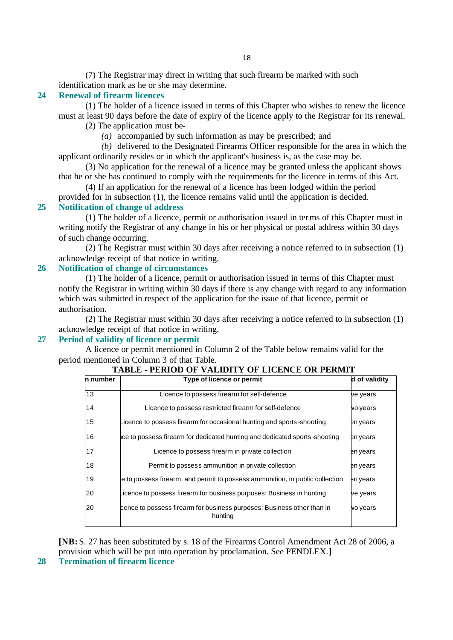(7) The Registrar may direct in writing that such firearm be marked with such identification mark as he or she may determine.

## **24 Renewal of firearm licences**

(1) The holder of a licence issued in terms of this Chapter who wishes to renew the licence must at least 90 days before the date of expiry of the licence apply to the Registrar for its renewal.

(2) The application must be-

*(a)* accompanied by such information as may be prescribed; and

*(b)* delivered to the Designated Firearms Officer responsible for the area in which the applicant ordinarily resides or in which the applicant's business is, as the case may be.

(3) No application for the renewal of a licence may be granted unless the applicant shows that he or she has continued to comply with the requirements for the licence in terms of this Act.

(4) If an application for the renewal of a licence has been lodged within the period provided for in subsection (1), the licence remains valid until the application is decided.

# **25 Notification of change of address**

(1) The holder of a licence, permit or authorisation issued in terms of this Chapter must in writing notify the Registrar of any change in his or her physical or postal address within 30 days of such change occurring.

(2) The Registrar must within 30 days after receiving a notice referred to in subsection (1) acknowledge receipt of that notice in writing.

# **26 Notification of change of circumstances**

(1) The holder of a licence, permit or authorisation issued in terms of this Chapter must notify the Registrar in writing within 30 days if there is any change with regard to any information which was submitted in respect of the application for the issue of that licence, permit or authorisation.

(2) The Registrar must within 30 days after receiving a notice referred to in subsection (1) acknowledge receipt of that notice in writing.

# **27 Period of validity of licence or permit**

A licence or permit mentioned in Column 2 of the Table below remains valid for the period mentioned in Column 3 of that Table.

| n number | Type of licence or permit                                                         | d of validity |
|----------|-----------------------------------------------------------------------------------|---------------|
| 13       | Licence to possess firearm for self-defence                                       | ve years      |
| 14       | Licence to possess restricted firearm for self-defence                            | vo years      |
| 15       | icence to possess firearm for occasional hunting and sports -shooting             | en vears      |
| 16       | ce to possess firearm for dedicated hunting and dedicated sports-shooting         | en years      |
| 17       | Licence to possess firearm in private collection                                  | en years      |
| 18       | Permit to possess ammunition in private collection                                | en years      |
| 19       | e to possess firearm, and permit to possess ammunition, in public collection      | en years      |
| 20       | icence to possess firearm for business purposes: Business in hunting.             | ve years      |
| 20       | cence to possess firearm for business purposes: Business other than in<br>hunting | vo years      |

# **TABLE - PERIOD OF VALIDITY OF LICENCE OR PERMIT**

**[NB:** S. 27 has been substituted by s. 18 of the Firearms Control Amendment Act 28 of 2006, a provision which will be put into operation by proclamation. See PENDLEX.**]**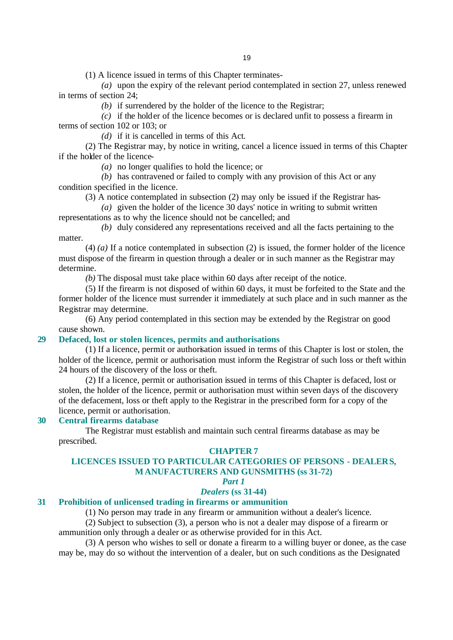(1) A licence issued in terms of this Chapter terminates-

*(a)* upon the expiry of the relevant period contemplated in section 27, unless renewed in terms of section 24;

*(b)* if surrendered by the holder of the licence to the Registrar;

*(c)* if the holder of the licence becomes or is declared unfit to possess a firearm in terms of section 102 or 103; or

*(d)* if it is cancelled in terms of this Act.

(2) The Registrar may, by notice in writing, cancel a licence issued in terms of this Chapter if the holder of the licence-

*(a)* no longer qualifies to hold the licence; or

*(b)* has contravened or failed to comply with any provision of this Act or any condition specified in the licence.

(3) A notice contemplated in subsection (2) may only be issued if the Registrar has-

*(a)* given the holder of the licence 30 days' notice in writing to submit written representations as to why the licence should not be cancelled; and

*(b)* duly considered any representations received and all the facts pertaining to the matter.

(4) *(a)* If a notice contemplated in subsection (2) is issued, the former holder of the licence must dispose of the firearm in question through a dealer or in such manner as the Registrar may determine.

*(b)* The disposal must take place within 60 days after receipt of the notice.

(5) If the firearm is not disposed of within 60 days, it must be forfeited to the State and the former holder of the licence must surrender it immediately at such place and in such manner as the Registrar may determine.

(6) Any period contemplated in this section may be extended by the Registrar on good cause shown.

## **29 Defaced, lost or stolen licences, permits and authorisations**

(1) If a licence, permit or authorisation issued in terms of this Chapter is lost or stolen, the holder of the licence, permit or authorisation must inform the Registrar of such loss or theft within 24 hours of the discovery of the loss or theft.

(2) If a licence, permit or authorisation issued in terms of this Chapter is defaced, lost or stolen, the holder of the licence, permit or authorisation must within seven days of the discovery of the defacement, loss or theft apply to the Registrar in the prescribed form for a copy of the licence, permit or authorisation.

## **30 Central firearms database**

The Registrar must establish and maintain such central firearms database as may be prescribed.

## **CHAPTER 7**

# **LICENCES ISSUED TO PARTICULAR CATEGORIES OF PERSONS - DEALERS, MANUFACTURERS AND GUNSMITHS (ss 31-72)**

*Part 1*

## *Dealers* **(ss 31-44)**

## **31 Prohibition of unlicensed trading in firearms or ammunition**

(1) No person may trade in any firearm or ammunition without a dealer's licence.

(2) Subject to subsection (3), a person who is not a dealer may dispose of a firearm or ammunition only through a dealer or as otherwise provided for in this Act.

(3) A person who wishes to sell or donate a firearm to a willing buyer or donee, as the case may be, may do so without the intervention of a dealer, but on such conditions as the Designated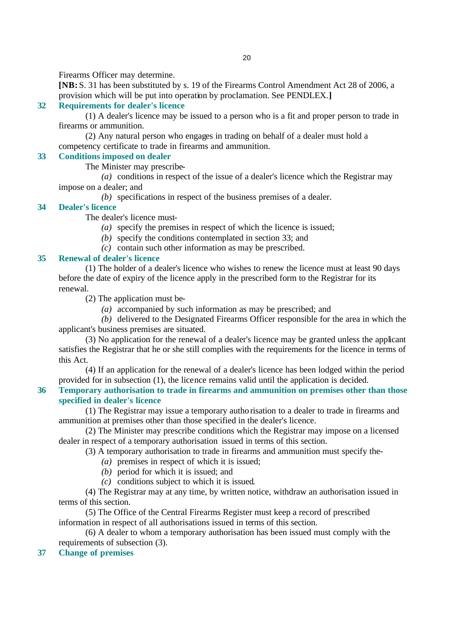Firearms Officer may determine.

**[NB:** S. 31 has been substituted by s. 19 of the Firearms Control Amendment Act 28 of 2006, a provision which will be put into operation by proclamation. See PENDLEX.**]**

# **32 Requirements for dealer's licence**

(1) A dealer's licence may be issued to a person who is a fit and proper person to trade in firearms or ammunition.

(2) Any natural person who engages in trading on behalf of a dealer must hold a competency certificate to trade in firearms and ammunition.

# **33 Conditions imposed on dealer**

The Minister may prescribe-

*(a)* conditions in respect of the issue of a dealer's licence which the Registrar may impose on a dealer; and

*(b)* specifications in respect of the business premises of a dealer.

## **34 Dealer's licence**

The dealer's licence must-

- *(a)* specify the premises in respect of which the licence is issued;
- *(b)* specify the conditions contemplated in section 33; and
- *(c)* contain such other information as may be prescribed.

# **35 Renewal of dealer's licence**

(1) The holder of a dealer's licence who wishes to renew the licence must at least 90 days before the date of expiry of the licence apply in the prescribed form to the Registrar for its renewal.

(2) The application must be-

*(a)* accompanied by such information as may be prescribed; and

*(b)* delivered to the Designated Firearms Officer responsible for the area in which the applicant's business premises are situated.

(3) No application for the renewal of a dealer's licence may be granted unless the applicant satisfies the Registrar that he or she still complies with the requirements for the licence in terms of this Act.

(4) If an application for the renewal of a dealer's licence has been lodged within the period provided for in subsection (1), the licence remains valid until the application is decided.

# **36 Temporary authorisation to trade in firearms and ammunition on premises other than those specified in dealer's licence**

(1) The Registrar may issue a temporary autho risation to a dealer to trade in firearms and ammunition at premises other than those specified in the dealer's licence.

(2) The Minister may prescribe conditions which the Registrar may impose on a licensed dealer in respect of a temporary authorisation issued in terms of this section.

(3) A temporary authorisation to trade in firearms and ammunition must specify the-

- *(a)* premises in respect of which it is issued;
- *(b)* period for which it is issued; and
- *(c)* conditions subject to which it is issued.

(4) The Registrar may at any time, by written notice, withdraw an authorisation issued in terms of this section.

(5) The Office of the Central Firearms Register must keep a record of prescribed information in respect of all authorisations issued in terms of this section.

(6) A dealer to whom a temporary authorisation has been issued must comply with the requirements of subsection (3).

# **37 Change of premises**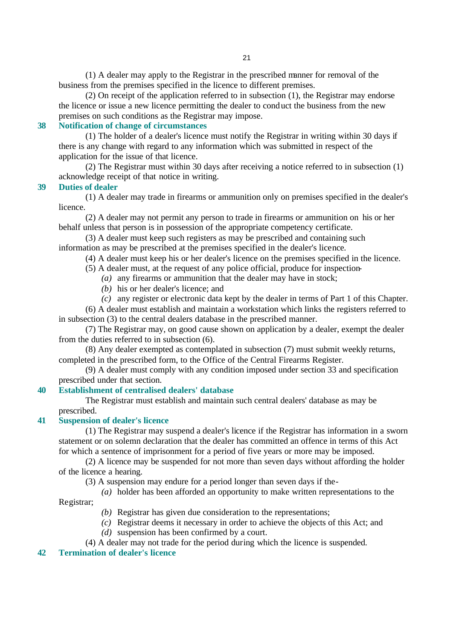(1) A dealer may apply to the Registrar in the prescribed manner for removal of the business from the premises specified in the licence to different premises.

(2) On receipt of the application referred to in subsection (1), the Registrar may endorse the licence or issue a new licence permitting the dealer to conduct the business from the new premises on such conditions as the Registrar may impose.

# **38 Notification of change of circumstances**

(1) The holder of a dealer's licence must notify the Registrar in writing within 30 days if there is any change with regard to any information which was submitted in respect of the application for the issue of that licence.

(2) The Registrar must within 30 days after receiving a notice referred to in subsection (1) acknowledge receipt of that notice in writing.

## **39 Duties of dealer**

(1) A dealer may trade in firearms or ammunition only on premises specified in the dealer's licence.

(2) A dealer may not permit any person to trade in firearms or ammunition on his or her behalf unless that person is in possession of the appropriate competency certificate.

(3) A dealer must keep such registers as may be prescribed and containing such information as may be prescribed at the premises specified in the dealer's licence.

(4) A dealer must keep his or her dealer's licence on the premises specified in the licence.

(5) A dealer must, at the request of any police official, produce for inspection-

- *(a)* any firearms or ammunition that the dealer may have in stock;
	- *(b)* his or her dealer's licence; and
	- *(c)* any register or electronic data kept by the dealer in terms of Part 1 of this Chapter.

(6) A dealer must establish and maintain a workstation which links the registers referred to in subsection (3) to the central dealers database in the prescribed manner.

(7) The Registrar may, on good cause shown on application by a dealer, exempt the dealer from the duties referred to in subsection (6).

(8) Any dealer exempted as contemplated in subsection (7) must submit weekly returns, completed in the prescribed form, to the Office of the Central Firearms Register.

(9) A dealer must comply with any condition imposed under section 33 and specification prescribed under that section.

# **40 Establishment of centralised dealers' database**

The Registrar must establish and maintain such central dealers' database as may be prescribed.

## **41 Suspension of dealer's licence**

(1) The Registrar may suspend a dealer's licence if the Registrar has information in a sworn statement or on solemn declaration that the dealer has committed an offence in terms of this Act for which a sentence of imprisonment for a period of five years or more may be imposed.

(2) A licence may be suspended for not more than seven days without affording the holder of the licence a hearing.

(3) A suspension may endure for a period longer than seven days if the-

*(a)* holder has been afforded an opportunity to make written representations to the

Registrar;

- *(b)* Registrar has given due consideration to the representations;
- *(c)* Registrar deems it necessary in order to achieve the objects of this Act; and
- *(d)* suspension has been confirmed by a court.
- (4) A dealer may not trade for the period during which the licence is suspended.

# **42 Termination of dealer's licence**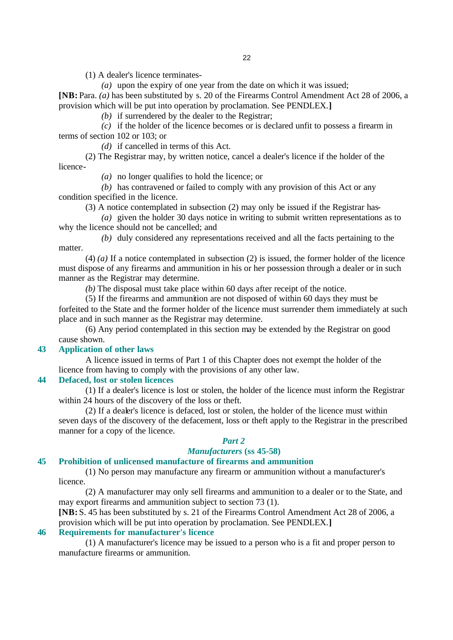22

(1) A dealer's licence terminates-

*(a)* upon the expiry of one year from the date on which it was issued;

**[NB:** Para. *(a)* has been substituted by s. 20 of the Firearms Control Amendment Act 28 of 2006, a provision which will be put into operation by proclamation. See PENDLEX.**]**

*(b)* if surrendered by the dealer to the Registrar;

*(c)* if the holder of the licence becomes or is declared unfit to possess a firearm in terms of section 102 or 103; or

*(d)* if cancelled in terms of this Act.

(2) The Registrar may, by written notice, cancel a dealer's licence if the holder of the licence-

*(a)* no longer qualifies to hold the licence; or

*(b)* has contravened or failed to comply with any provision of this Act or any condition specified in the licence.

(3) A notice contemplated in subsection (2) may only be issued if the Registrar has-

*(a)* given the holder 30 days notice in writing to submit written representations as to why the licence should not be cancelled; and

*(b)* duly considered any representations received and all the facts pertaining to the matter.

(4) *(a)* If a notice contemplated in subsection (2) is issued, the former holder of the licence must dispose of any firearms and ammunition in his or her possession through a dealer or in such manner as the Registrar may determine.

*(b)* The disposal must take place within 60 days after receipt of the notice.

(5) If the firearms and ammunition are not disposed of within 60 days they must be forfeited to the State and the former holder of the licence must surrender them immediately at such place and in such manner as the Registrar may determine.

(6) Any period contemplated in this section may be extended by the Registrar on good cause shown.

# **43 Application of other laws**

A licence issued in terms of Part 1 of this Chapter does not exempt the holder of the licence from having to comply with the provisions of any other law.

## **44 Defaced, lost or stolen licences**

(1) If a dealer's licence is lost or stolen, the holder of the licence must inform the Registrar within 24 hours of the discovery of the loss or theft.

(2) If a dealer's licence is defaced, lost or stolen, the holder of the licence must within seven days of the discovery of the defacement, loss or theft apply to the Registrar in the prescribed manner for a copy of the licence.

## *Part 2*

# *Manufacturers* **(ss 45-58)**

# **45 Prohibition of unlicensed manufacture of firearms and ammunition**

(1) No person may manufacture any firearm or ammunition without a manufacturer's licence.

(2) A manufacturer may only sell firearms and ammunition to a dealer or to the State, and may export firearms and ammunition subject to section 73 (1).

**[NB:** S. 45 has been substituted by s. 21 of the Firearms Control Amendment Act 28 of 2006, a provision which will be put into operation by proclamation. See PENDLEX.**]**

## **46 Requirements for manufacturer's licence**

(1) A manufacturer's licence may be issued to a person who is a fit and proper person to manufacture firearms or ammunition.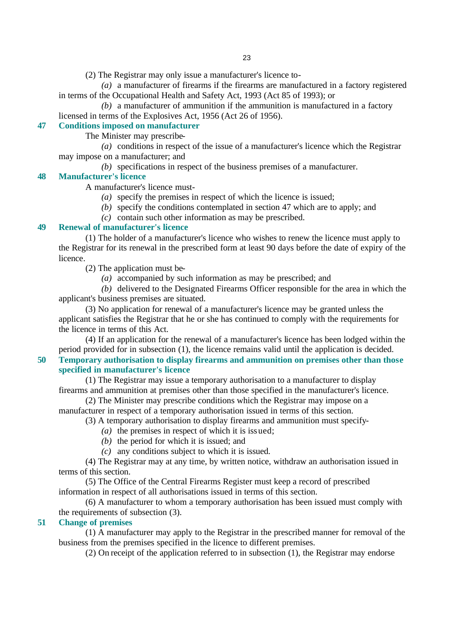(2) The Registrar may only issue a manufacturer's licence to-

*(a)* a manufacturer of firearms if the firearms are manufactured in a factory registered in terms of the Occupational Health and Safety Act, 1993 (Act 85 of 1993); or

*(b)* a manufacturer of ammunition if the ammunition is manufactured in a factory licensed in terms of the Explosives Act, 1956 (Act 26 of 1956).

# **47 Conditions imposed on manufacturer**

The Minister may prescribe-

*(a)* conditions in respect of the issue of a manufacturer's licence which the Registrar may impose on a manufacturer; and

*(b)* specifications in respect of the business premises of a manufacturer.

# **48 Manufacturer's licence**

A manufacturer's licence must-

- *(a)* specify the premises in respect of which the licence is issued;
- *(b)* specify the conditions contemplated in section 47 which are to apply; and

*(c)* contain such other information as may be prescribed.

# **49 Renewal of manufacturer's licence**

(1) The holder of a manufacturer's licence who wishes to renew the licence must apply to the Registrar for its renewal in the prescribed form at least 90 days before the date of expiry of the licence.

(2) The application must be-

*(a)* accompanied by such information as may be prescribed; and

*(b)* delivered to the Designated Firearms Officer responsible for the area in which the applicant's business premises are situated.

(3) No application for renewal of a manufacturer's licence may be granted unless the applicant satisfies the Registrar that he or she has continued to comply with the requirements for the licence in terms of this Act.

(4) If an application for the renewal of a manufacturer's licence has been lodged within the period provided for in subsection (1), the licence remains valid until the application is decided.

# **50 Temporary authorisation to display firearms and ammunition on premises other than those specified in manufacturer's licence**

(1) The Registrar may issue a temporary authorisation to a manufacturer to display firearms and ammunition at premises other than those specified in the manufacturer's licence.

(2) The Minister may prescribe conditions which the Registrar may impose on a manufacturer in respect of a temporary authorisation issued in terms of this section.

(3) A temporary authorisation to display firearms and ammunition must specify-

*(a)* the premises in respect of which it is issued;

- *(b)* the period for which it is issued; and
- *(c)* any conditions subject to which it is issued.

(4) The Registrar may at any time, by written notice, withdraw an authorisation issued in terms of this section.

(5) The Office of the Central Firearms Register must keep a record of prescribed information in respect of all authorisations issued in terms of this section.

(6) A manufacturer to whom a temporary authorisation has been issued must comply with the requirements of subsection (3).

# **51 Change of premises**

(1) A manufacturer may apply to the Registrar in the prescribed manner for removal of the business from the premises specified in the licence to different premises.

(2) On receipt of the application referred to in subsection (1), the Registrar may endorse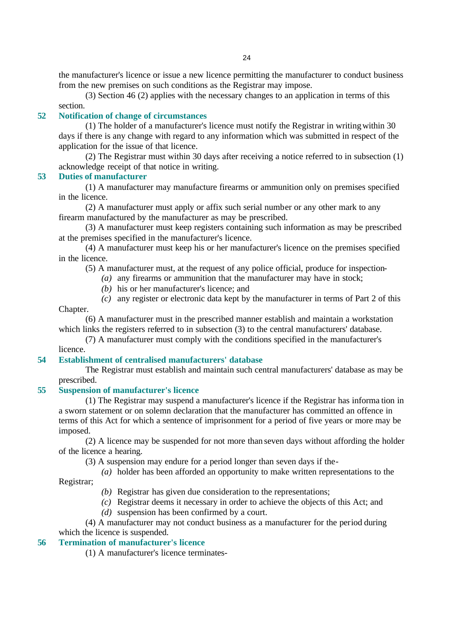the manufacturer's licence or issue a new licence permitting the manufacturer to conduct business from the new premises on such conditions as the Registrar may impose.

(3) Section 46 (2) applies with the necessary changes to an application in terms of this

# section.

# **52 Notification of change of circumstances**

(1) The holder of a manufacturer's licence must notify the Registrar in writing within 30 days if there is any change with regard to any information which was submitted in respect of the application for the issue of that licence.

(2) The Registrar must within 30 days after receiving a notice referred to in subsection (1) acknowledge receipt of that notice in writing.

## **53 Duties of manufacturer**

(1) A manufacturer may manufacture firearms or ammunition only on premises specified in the licence.

(2) A manufacturer must apply or affix such serial number or any other mark to any firearm manufactured by the manufacturer as may be prescribed.

(3) A manufacturer must keep registers containing such information as may be prescribed at the premises specified in the manufacturer's licence.

(4) A manufacturer must keep his or her manufacturer's licence on the premises specified in the licence.

(5) A manufacturer must, at the request of any police official, produce for inspection-

- *(a)* any firearms or ammunition that the manufacturer may have in stock;
	- *(b)* his or her manufacturer's licence; and
- *(c)* any register or electronic data kept by the manufacturer in terms of Part 2 of this Chapter.

(6) A manufacturer must in the prescribed manner establish and maintain a workstation which links the registers referred to in subsection (3) to the central manufacturers' database.

(7) A manufacturer must comply with the conditions specified in the manufacturer's licence.

## **54 Establishment of centralised manufacturers' database**

The Registrar must establish and maintain such central manufacturers' database as may be prescribed.

# **55 Suspension of manufacturer's licence**

(1) The Registrar may suspend a manufacturer's licence if the Registrar has informa tion in a sworn statement or on solemn declaration that the manufacturer has committed an offence in terms of this Act for which a sentence of imprisonment for a period of five years or more may be imposed.

(2) A licence may be suspended for not more than seven days without affording the holder of the licence a hearing.

(3) A suspension may endure for a period longer than seven days if the-

*(a)* holder has been afforded an opportunity to make written representations to the Registrar;

*(b)* Registrar has given due consideration to the representations;

*(c)* Registrar deems it necessary in order to achieve the objects of this Act; and

*(d)* suspension has been confirmed by a court.

(4) A manufacturer may not conduct business as a manufacturer for the period during which the licence is suspended.

# **56 Termination of manufacturer's licence**

(1) A manufacturer's licence terminates-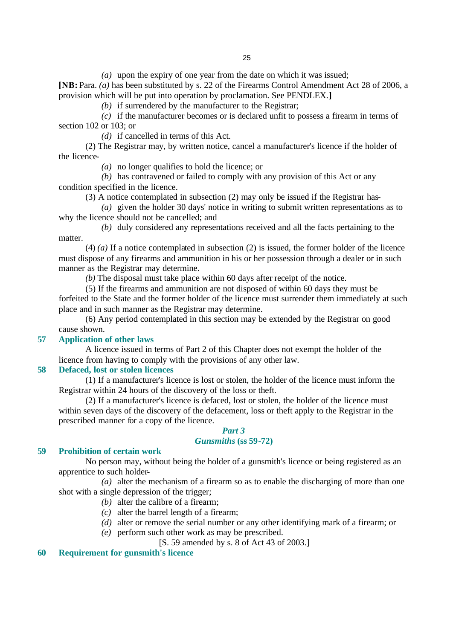*(a)* upon the expiry of one year from the date on which it was issued;

**[NB:** Para. *(a)* has been substituted by s. 22 of the Firearms Control Amendment Act 28 of 2006, a provision which will be put into operation by proclamation. See PENDLEX.**]**

*(b)* if surrendered by the manufacturer to the Registrar;

*(c)* if the manufacturer becomes or is declared unfit to possess a firearm in terms of section 102 or 103; or

*(d)* if cancelled in terms of this Act.

(2) The Registrar may, by written notice, cancel a manufacturer's licence if the holder of the licence-

*(a)* no longer qualifies to hold the licence; or

*(b)* has contravened or failed to comply with any provision of this Act or any condition specified in the licence.

(3) A notice contemplated in subsection (2) may only be issued if the Registrar has-

*(a)* given the holder 30 days' notice in writing to submit written representations as to why the licence should not be cancelled; and

*(b)* duly considered any representations received and all the facts pertaining to the matter.

(4) *(a)* If a notice contemplated in subsection (2) is issued, the former holder of the licence must dispose of any firearms and ammunition in his or her possession through a dealer or in such manner as the Registrar may determine.

*(b)* The disposal must take place within 60 days after receipt of the notice.

(5) If the firearms and ammunition are not disposed of within 60 days they must be forfeited to the State and the former holder of the licence must surrender them immediately at such place and in such manner as the Registrar may determine.

(6) Any period contemplated in this section may be extended by the Registrar on good cause shown.

## **57 Application of other laws**

A licence issued in terms of Part 2 of this Chapter does not exempt the holder of the licence from having to comply with the provisions of any other law.

## **58 Defaced, lost or stolen licences**

(1) If a manufacturer's licence is lost or stolen, the holder of the licence must inform the Registrar within 24 hours of the discovery of the loss or theft.

(2) If a manufacturer's licence is defaced, lost or stolen, the holder of the licence must within seven days of the discovery of the defacement, loss or theft apply to the Registrar in the prescribed manner for a copy of the licence.

# *Part 3*

# *Gunsmiths* **(ss 59-72)**

# **59 Prohibition of certain work**

No person may, without being the holder of a gunsmith's licence or being registered as an apprentice to such holder-

*(a)* alter the mechanism of a firearm so as to enable the discharging of more than one shot with a single depression of the trigger;

- *(b)* alter the calibre of a firearm;
- *(c)* alter the barrel length of a firearm;
- *(d)* alter or remove the serial number or any other identifying mark of a firearm; or
- *(e)* perform such other work as may be prescribed.

[S. 59 amended by s. 8 of Act 43 of 2003.]

## **60 Requirement for gunsmith's licence**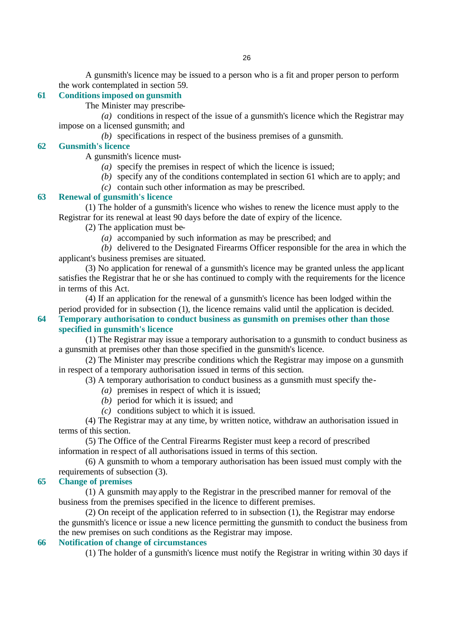A gunsmith's licence may be issued to a person who is a fit and proper person to perform the work contemplated in section 59.

## **61 Conditions imposed on gunsmith**

The Minister may prescribe-

*(a)* conditions in respect of the issue of a gunsmith's licence which the Registrar may impose on a licensed gunsmith; and

*(b)* specifications in respect of the business premises of a gunsmith.

# **62 Gunsmith's licence**

A gunsmith's licence must-

- *(a)* specify the premises in respect of which the licence is issued;
- *(b)* specify any of the conditions contemplated in section 61 which are to apply; and
- *(c)* contain such other information as may be prescribed.

# **63 Renewal of gunsmith's licence**

(1) The holder of a gunsmith's licence who wishes to renew the licence must apply to the Registrar for its renewal at least 90 days before the date of expiry of the licence.

(2) The application must be-

*(a)* accompanied by such information as may be prescribed; and

*(b)* delivered to the Designated Firearms Officer responsible for the area in which the applicant's business premises are situated.

(3) No application for renewal of a gunsmith's licence may be granted unless the applicant satisfies the Registrar that he or she has continued to comply with the requirements for the licence in terms of this Act.

(4) If an application for the renewal of a gunsmith's licence has been lodged within the period provided for in subsection (1), the licence remains valid until the application is decided.

**64 Temporary authorisation to conduct business as gunsmith on premises other than those specified in gunsmith's licence** 

(1) The Registrar may issue a temporary authorisation to a gunsmith to conduct business as a gunsmith at premises other than those specified in the gunsmith's licence.

(2) The Minister may prescribe conditions which the Registrar may impose on a gunsmith in respect of a temporary authorisation issued in terms of this section.

(3) A temporary authorisation to conduct business as a gunsmith must specify the-

- *(a)* premises in respect of which it is issued;
- *(b)* period for which it is issued; and
- *(c)* conditions subject to which it is issued.

(4) The Registrar may at any time, by written notice, withdraw an authorisation issued in terms of this section.

(5) The Office of the Central Firearms Register must keep a record of prescribed information in re spect of all authorisations issued in terms of this section.

(6) A gunsmith to whom a temporary authorisation has been issued must comply with the requirements of subsection (3).

## **65 Change of premises**

(1) A gunsmith may apply to the Registrar in the prescribed manner for removal of the business from the premises specified in the licence to different premises.

(2) On receipt of the application referred to in subsection (1), the Registrar may endorse the gunsmith's licence or issue a new licence permitting the gunsmith to conduct the business from the new premises on such conditions as the Registrar may impose.

# **66 Notification of change of circumstances**

(1) The holder of a gunsmith's licence must notify the Registrar in writing within 30 days if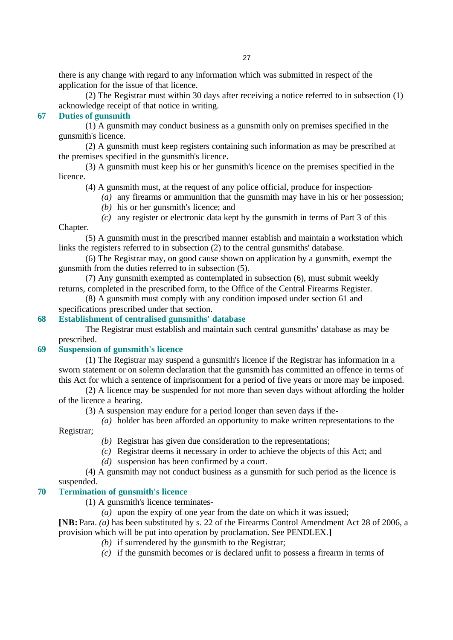there is any change with regard to any information which was submitted in respect of the application for the issue of that licence.

(2) The Registrar must within 30 days after receiving a notice referred to in subsection (1) acknowledge receipt of that notice in writing.

# **67 Duties of gunsmith**

(1) A gunsmith may conduct business as a gunsmith only on premises specified in the gunsmith's licence.

(2) A gunsmith must keep registers containing such information as may be prescribed at the premises specified in the gunsmith's licence.

(3) A gunsmith must keep his or her gunsmith's licence on the premises specified in the licence.

(4) A gunsmith must, at the request of any police official, produce for inspection-

*(a)* any firearms or ammunition that the gunsmith may have in his or her possession;

- *(b)* his or her gunsmith's licence; and
- *(c)* any register or electronic data kept by the gunsmith in terms of Part 3 of this Chapter.

(5) A gunsmith must in the prescribed manner establish and maintain a workstation which links the registers referred to in subsection (2) to the central gunsmiths' database.

(6) The Registrar may, on good cause shown on application by a gunsmith, exempt the gunsmith from the duties referred to in subsection (5).

(7) Any gunsmith exempted as contemplated in subsection (6), must submit weekly returns, completed in the prescribed form, to the Office of the Central Firearms Register.

(8) A gunsmith must comply with any condition imposed under section 61 and specifications prescribed under that section.

## **68 Establishment of centralised gunsmiths' database**

The Registrar must establish and maintain such central gunsmiths' database as may be prescribed.

# **69 Suspension of gunsmith's licence**

(1) The Registrar may suspend a gunsmith's licence if the Registrar has information in a sworn statement or on solemn declaration that the gunsmith has committed an offence in terms of this Act for which a sentence of imprisonment for a period of five years or more may be imposed.

(2) A licence may be suspended for not more than seven days without affording the holder of the licence a hearing.

(3) A suspension may endure for a period longer than seven days if the-

*(a)* holder has been afforded an opportunity to make written representations to the Registrar;

*(b)* Registrar has given due consideration to the representations;

- *(c)* Registrar deems it necessary in order to achieve the objects of this Act; and
- *(d)* suspension has been confirmed by a court.

(4) A gunsmith may not conduct business as a gunsmith for such period as the licence is suspended.

# **70 Termination of gunsmith's licence**

- (1) A gunsmith's licence terminates-
	- *(a)* upon the expiry of one year from the date on which it was issued;

**[NB:** Para. *(a)* has been substituted by s. 22 of the Firearms Control Amendment Act 28 of 2006, a provision which will be put into operation by proclamation. See PENDLEX.**]**

- *(b)* if surrendered by the gunsmith to the Registrar;
- *(c)* if the gunsmith becomes or is declared unfit to possess a firearm in terms of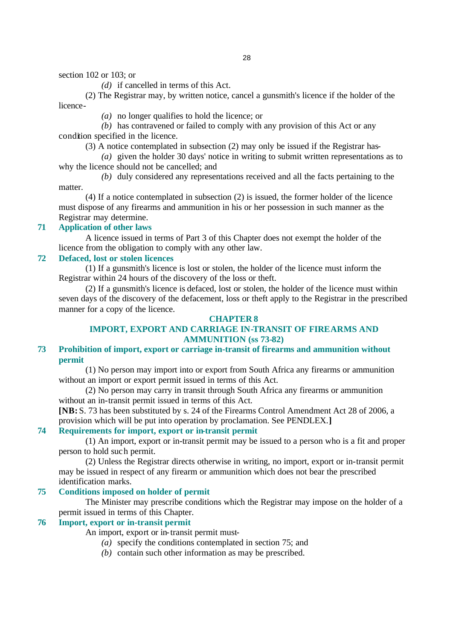section 102 or 103; or

*(d)* if cancelled in terms of this Act.

(2) The Registrar may, by written notice, cancel a gunsmith's licence if the holder of the licence-

*(a)* no longer qualifies to hold the licence; or

*(b)* has contravened or failed to comply with any provision of this Act or any condition specified in the licence.

(3) A notice contemplated in subsection (2) may only be issued if the Registrar has-

*(a)* given the holder 30 days' notice in writing to submit written representations as to why the licence should not be cancelled; and

*(b)* duly considered any representations received and all the facts pertaining to the matter.

(4) If a notice contemplated in subsection (2) is issued, the former holder of the licence must dispose of any firearms and ammunition in his or her possession in such manner as the Registrar may determine.

# **71 Application of other laws**

A licence issued in terms of Part 3 of this Chapter does not exempt the holder of the licence from the obligation to comply with any other law.

## **72 Defaced, lost or stolen licences**

(1) If a gunsmith's licence is lost or stolen, the holder of the licence must inform the Registrar within 24 hours of the discovery of the loss or theft.

(2) If a gunsmith's licence is defaced, lost or stolen, the holder of the licence must within seven days of the discovery of the defacement, loss or theft apply to the Registrar in the prescribed manner for a copy of the licence.

# **CHAPTER 8**

# **IMPORT, EXPORT AND CARRIAGE IN-TRANSIT OF FIREARMS AND AMMUNITION (ss 73-82)**

# **73 Prohibition of import, export or carriage in-transit of firearms and ammunition without permit**

(1) No person may import into or export from South Africa any firearms or ammunition without an import or export permit issued in terms of this Act.

(2) No person may carry in transit through South Africa any firearms or ammunition without an in-transit permit issued in terms of this Act.

**[NB:** S. 73 has been substituted by s. 24 of the Firearms Control Amendment Act 28 of 2006, a provision which will be put into operation by proclamation. See PENDLEX.**]**

# **74 Requirements for import, export or in-transit permit**

(1) An import, export or in-transit permit may be issued to a person who is a fit and proper person to hold such permit.

(2) Unless the Registrar directs otherwise in writing, no import, export or in-transit permit may be issued in respect of any firearm or ammunition which does not bear the prescribed identification marks.

# **75 Conditions imposed on holder of permit**

The Minister may prescribe conditions which the Registrar may impose on the holder of a permit issued in terms of this Chapter.

# **76 Import, export or in-transit permit**

An import, export or in-transit permit must-

- *(a)* specify the conditions contemplated in section 75; and
- *(b)* contain such other information as may be prescribed.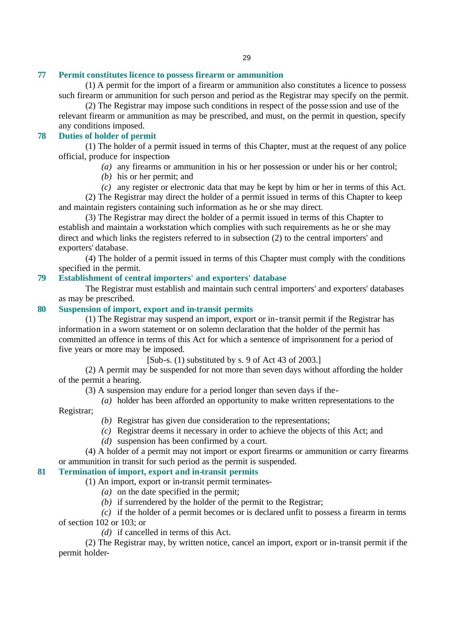# **77 Permit constitutes licence to possess firearm or ammunition**

(1) A permit for the import of a firearm or ammunition also constitutes a licence to possess such firearm or ammunition for such person and period as the Registrar may specify on the permit.

(2) The Registrar may impose such conditions in respect of the posse ssion and use of the relevant firearm or ammunition as may be prescribed, and must, on the permit in question, specify any conditions imposed.

# **78 Duties of holder of permit**

(1) The holder of a permit issued in terms of this Chapter, must at the request of any police official, produce for inspection-

- *(a)* any firearms or ammunition in his or her possession or under his or her control;
- *(b)* his or her permit; and

*(c)* any register or electronic data that may be kept by him or her in terms of this Act. (2) The Registrar may direct the holder of a permit issued in terms of this Chapter to keep and maintain registers containing such information as he or she may direct.

(3) The Registrar may direct the holder of a permit issued in terms of this Chapter to establish and maintain a workstation which complies with such requirements as he or she may direct and which links the registers referred to in subsection (2) to the central importers' and exporters' database.

(4) The holder of a permit issued in terms of this Chapter must comply with the conditions specified in the permit.

# **79 Establishment of central importers' and exporters' database**

The Registrar must establish and maintain such central importers' and exporters' databases as may be prescribed.

# **80 Suspension of import, export and in-transit permits**

(1) The Registrar may suspend an import, export or in-transit permit if the Registrar has information in a sworn statement or on solemn declaration that the holder of the permit has committed an offence in terms of this Act for which a sentence of imprisonment for a period of five years or more may be imposed.

[Sub-s. (1) substituted by s. 9 of Act 43 of 2003.]

(2) A permit may be suspended for not more than seven days without affording the holder of the permit a hearing.

(3) A suspension may endure for a period longer than seven days if the-

*(a)* holder has been afforded an opportunity to make written representations to the

Registrar;

- *(b)* Registrar has given due consideration to the representations;
- *(c)* Registrar deems it necessary in order to achieve the objects of this Act; and
- *(d)* suspension has been confirmed by a court.

(4) A holder of a permit may not import or export firearms or ammunition or carry firearms or ammunition in transit for such period as the permit is suspended.

# **81 Termination of import, export and in-transit permits**

(1) An import, export or in-transit permit terminates-

- *(a)* on the date specified in the permit;
- *(b)* if surrendered by the holder of the permit to the Registrar;

*(c)* if the holder of a permit becomes or is declared unfit to possess a firearm in terms of section 102 or 103; or

*(d)* if cancelled in terms of this Act.

(2) The Registrar may, by written notice, cancel an import, export or in-transit permit if the permit holder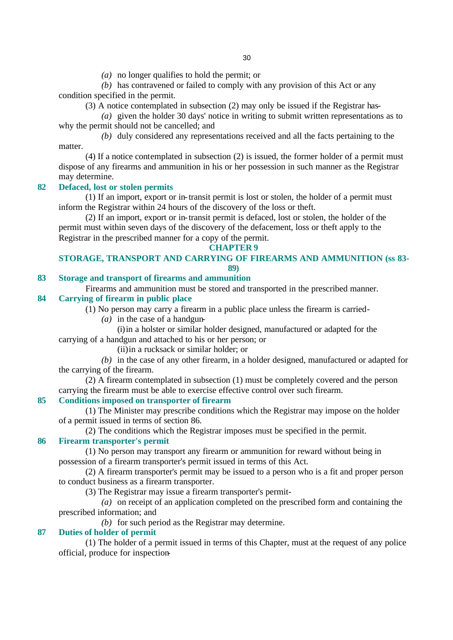*(a)* no longer qualifies to hold the permit; or

*(b)* has contravened or failed to comply with any provision of this Act or any condition specified in the permit.

(3) A notice contemplated in subsection (2) may only be issued if the Registrar has-

*(a)* given the holder 30 days' notice in writing to submit written representations as to why the permit should not be cancelled; and

*(b)* duly considered any representations received and all the facts pertaining to the matter.

(4) If a notice contemplated in subsection (2) is issued, the former holder of a permit must dispose of any firearms and ammunition in his or her possession in such manner as the Registrar may determine.

# **82 Defaced, lost or stolen permits**

(1) If an import, export or in-transit permit is lost or stolen, the holder of a permit must inform the Registrar within 24 hours of the discovery of the loss or theft.

(2) If an import, export or in-transit permit is defaced, lost or stolen, the holder of the permit must within seven days of the discovery of the defacement, loss or theft apply to the Registrar in the prescribed manner for a copy of the permit.

### **CHAPTER 9**

# **STORAGE, TRANSPORT AND CARRYING OF FIREARMS AND AMMUNITION (ss 83- 89)**

# **83 Storage and transport of firearms and ammunition**

Firearms and ammunition must be stored and transported in the prescribed manner.

# **84 Carrying of firearm in public place**

(1) No person may carry a firearm in a public place unless the firearm is carried-

- *(a)* in the case of a handgun-
- (i)in a holster or similar holder designed, manufactured or adapted for the carrying of a handgun and attached to his or her person; or

(ii)in a rucksack or similar holder; or

*(b)* in the case of any other firearm, in a holder designed, manufactured or adapted for the carrying of the firearm.

(2) A firearm contemplated in subsection (1) must be completely covered and the person carrying the firearm must be able to exercise effective control over such firearm.

# **85 Conditions imposed on transporter of firearm**

(1) The Minister may prescribe conditions which the Registrar may impose on the holder of a permit issued in terms of section 86.

(2) The conditions which the Registrar imposes must be specified in the permit.

## **86 Firearm transporter's permit**

(1) No person may transport any firearm or ammunition for reward without being in possession of a firearm transporter's permit issued in terms of this Act.

(2) A firearm transporter's permit may be issued to a person who is a fit and proper person to conduct business as a firearm transporter.

(3) The Registrar may issue a firearm transporter's permit-

*(a)* on receipt of an application completed on the prescribed form and containing the prescribed information; and

*(b)* for such period as the Registrar may determine.

## **87 Duties of holder of permit**

(1) The holder of a permit issued in terms of this Chapter, must at the request of any police official, produce for inspection-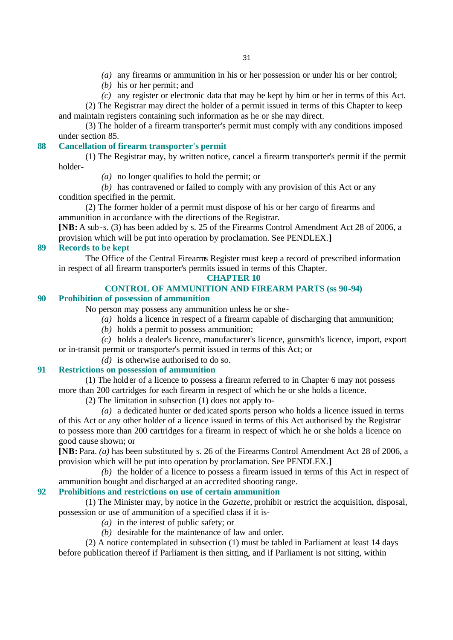- *(a)* any firearms or ammunition in his or her possession or under his or her control;
- *(b)* his or her permit; and
- *(c)* any register or electronic data that may be kept by him or her in terms of this Act.

(2) The Registrar may direct the holder of a permit issued in terms of this Chapter to keep and maintain registers containing such information as he or she may direct.

(3) The holder of a firearm transporter's permit must comply with any conditions imposed under section 85.

# **88 Cancellation of firearm transporter's permit**

(1) The Registrar may, by written notice, cancel a firearm transporter's permit if the permit holder-

*(a)* no longer qualifies to hold the permit; or

*(b)* has contravened or failed to comply with any provision of this Act or any condition specified in the permit.

(2) The former holder of a permit must dispose of his or her cargo of firearms and ammunition in accordance with the directions of the Registrar.

**[NB:** A sub-s. (3) has been added by s. 25 of the Firearms Control Amendment Act 28 of 2006, a provision which will be put into operation by proclamation. See PENDLEX.**]**

## **89 Records to be kept**

The Office of the Central Firearms Register must keep a record of prescribed information in respect of all firearm transporter's permits issued in terms of this Chapter.

# **CHAPTER 10**

# **CONTROL OF AMMUNITION AND FIREARM PARTS (ss 90-94)**

## **90 Prohibition of possession of ammunition**

No person may possess any ammunition unless he or she-

- *(a)* holds a licence in respect of a firearm capable of discharging that ammunition;
- *(b)* holds a permit to possess ammunition;

*(c)* holds a dealer's licence, manufacturer's licence, gunsmith's licence, import, export or in-transit permit or transporter's permit issued in terms of this Act; or

# *(d)* is otherwise authorised to do so.

# **91 Restrictions on possession of ammunition**

(1) The holder of a licence to possess a firearm referred to in Chapter 6 may not possess more than 200 cartridges for each firearm in respect of which he or she holds a licence.

(2) The limitation in subsection (1) does not apply to-

*(a)* a dedicated hunter or dedicated sports person who holds a licence issued in terms of this Act or any other holder of a licence issued in terms of this Act authorised by the Registrar to possess more than 200 cartridges for a firearm in respect of which he or she holds a licence on good cause shown; or

**[NB:** Para. *(a)* has been substituted by s. 26 of the Firearms Control Amendment Act 28 of 2006, a provision which will be put into operation by proclamation. See PENDLEX.**]**

*(b)* the holder of a licence to possess a firearm issued in terms of this Act in respect of ammunition bought and discharged at an accredited shooting range.

# **92 Prohibitions and restrictions on use of certain ammunition**

(1) The Minister may, by notice in the *Gazette,* prohibit or restrict the acquisition, disposal, possession or use of ammunition of a specified class if it is-

- *(a)* in the interest of public safety; or
- *(b)* desirable for the maintenance of law and order.

(2) A notice contemplated in subsection (1) must be tabled in Parliament at least 14 days before publication thereof if Parliament is then sitting, and if Parliament is not sitting, within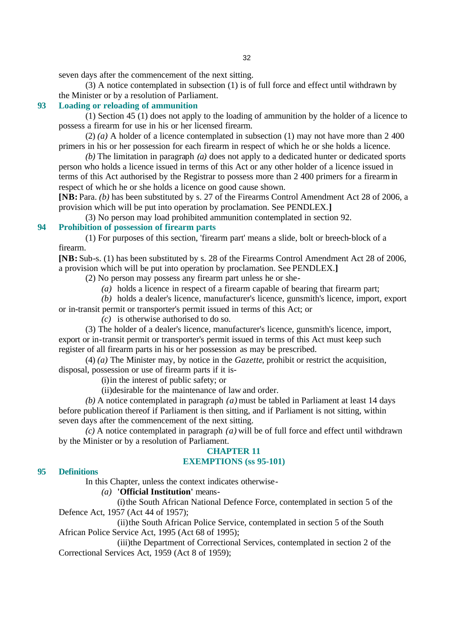seven days after the commencement of the next sitting.

(3) A notice contemplated in subsection (1) is of full force and effect until withdrawn by the Minister or by a resolution of Parliament.

# **93 Loading or reloading of ammunition**

(1) Section 45 (1) does not apply to the loading of ammunition by the holder of a licence to possess a firearm for use in his or her licensed firearm.

(2) *(a)* A holder of a licence contemplated in subsection (1) may not have more than 2 400 primers in his or her possession for each firearm in respect of which he or she holds a licence.

*(b)* The limitation in paragraph *(a)* does not apply to a dedicated hunter or dedicated sports person who holds a licence issued in terms of this Act or any other holder of a licence issued in terms of this Act authorised by the Registrar to possess more than 2 400 primers for a firearm in respect of which he or she holds a licence on good cause shown.

**[NB:** Para. *(b)* has been substituted by s. 27 of the Firearms Control Amendment Act 28 of 2006, a provision which will be put into operation by proclamation. See PENDLEX.**]**

(3) No person may load prohibited ammunition contemplated in section 92.

# **94 Prohibition of possession of firearm parts**

(1) For purposes of this section, 'firearm part' means a slide, bolt or breech-block of a firearm.

**[NB:** Sub-s. (1) has been substituted by s. 28 of the Firearms Control Amendment Act 28 of 2006, a provision which will be put into operation by proclamation. See PENDLEX.**]**

(2) No person may possess any firearm part unless he or she-

*(a)* holds a licence in respect of a firearm capable of bearing that firearm part;

*(b)* holds a dealer's licence, manufacturer's licence, gunsmith's licence, import, export

or in-transit permit or transporter's permit issued in terms of this Act; or

*(c)* is otherwise authorised to do so.

(3) The holder of a dealer's licence, manufacturer's licence, gunsmith's licence, import, export or in-transit permit or transporter's permit issued in terms of this Act must keep such register of all firearm parts in his or her possession as may be prescribed.

(4) *(a)* The Minister may, by notice in the *Gazette*, prohibit or restrict the acquisition, disposal, possession or use of firearm parts if it is-

(i)in the interest of public safety; or

(ii)desirable for the maintenance of law and order.

*(b)* A notice contemplated in paragraph *(a)* must be tabled in Parliament at least 14 days before publication thereof if Parliament is then sitting, and if Parliament is not sitting, within seven days after the commencement of the next sitting.

*(c)* A notice contemplated in paragraph *(a)* will be of full force and effect until withdrawn by the Minister or by a resolution of Parliament.

## **CHAPTER 11 EXEMPTIONS (ss 95-101)**

## **95 Definitions**

In this Chapter, unless the context indicates otherwise-

*(a)* **'Official Institution'** means-

(i)the South African National Defence Force, contemplated in section 5 of the Defence Act, 1957 (Act 44 of 1957);

(ii)the South African Police Service, contemplated in section 5 of the South African Police Service Act, 1995 (Act 68 of 1995);

(iii)the Department of Correctional Services, contemplated in section 2 of the Correctional Services Act, 1959 (Act 8 of 1959);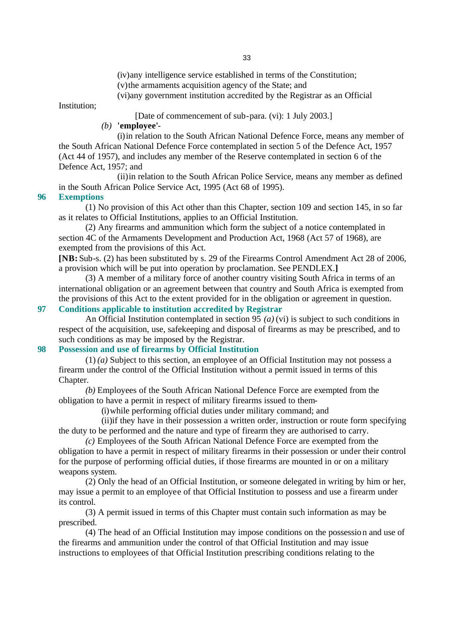(iv)any intelligence service established in terms of the Constitution; (v)the armaments acquisition agency of the State; and

(vi)any government institution accredited by the Registrar as an Official

Institution;

[Date of commencement of sub-para. (vi): 1 July 2003.]

# *(b)* **'employee'**-

(i)in relation to the South African National Defence Force, means any member of the South African National Defence Force contemplated in section 5 of the Defence Act, 1957 (Act 44 of 1957), and includes any member of the Reserve contemplated in section 6 of the Defence Act, 1957; and

(ii)in relation to the South African Police Service, means any member as defined in the South African Police Service Act, 1995 (Act 68 of 1995).

## **96 Exemptions**

(1) No provision of this Act other than this Chapter, section 109 and section 145, in so far as it relates to Official Institutions, applies to an Official Institution.

(2) Any firearms and ammunition which form the subject of a notice contemplated in section 4C of the Armaments Development and Production Act, 1968 (Act 57 of 1968), are exempted from the provisions of this Act.

**[NB:** Sub-s. (2) has been substituted by s. 29 of the Firearms Control Amendment Act 28 of 2006, a provision which will be put into operation by proclamation. See PENDLEX.**]**

(3) A member of a military force of another country visiting South Africa in terms of an international obligation or an agreement between that country and South Africa is exempted from the provisions of this Act to the extent provided for in the obligation or agreement in question. **97 Conditions applicable to institution accredited by Registrar** 

An Official Institution contemplated in section 95 *(a)* (vi) is subject to such conditions in respect of the acquisition, use, safekeeping and disposal of firearms as may be prescribed, and to such conditions as may be imposed by the Registrar.

# **98 Possession and use of firearms by Official Institution**

(1) *(a)* Subject to this section, an employee of an Official Institution may not possess a firearm under the control of the Official Institution without a permit issued in terms of this Chapter.

*(b)* Employees of the South African National Defence Force are exempted from the obligation to have a permit in respect of military firearms issued to them-

(i)while performing official duties under military command; and

(ii)if they have in their possession a written order, instruction or route form specifying the duty to be performed and the nature and type of firearm they are authorised to carry.

*(c)* Employees of the South African National Defence Force are exempted from the obligation to have a permit in respect of military firearms in their possession or under their control for the purpose of performing official duties, if those firearms are mounted in or on a military weapons system.

(2) Only the head of an Official Institution, or someone delegated in writing by him or her, may issue a permit to an employee of that Official Institution to possess and use a firearm under its control.

(3) A permit issued in terms of this Chapter must contain such information as may be prescribed.

(4) The head of an Official Institution may impose conditions on the possession and use of the firearms and ammunition under the control of that Official Institution and may issue instructions to employees of that Official Institution prescribing conditions relating to the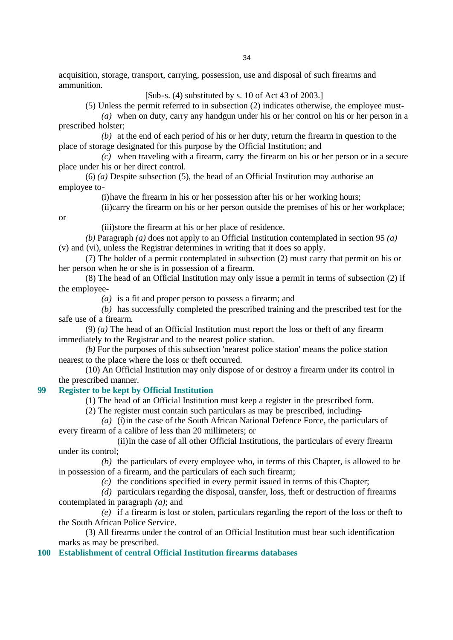acquisition, storage, transport, carrying, possession, use and disposal of such firearms and ammunition.

[Sub-s. (4) substituted by s. 10 of Act 43 of 2003.]

(5) Unless the permit referred to in subsection (2) indicates otherwise, the employee must-

*(a)* when on duty, carry any handgun under his or her control on his or her person in a prescribed holster;

*(b)* at the end of each period of his or her duty, return the firearm in question to the place of storage designated for this purpose by the Official Institution; and

*(c)* when traveling with a firearm, carry the firearm on his or her person or in a secure place under his or her direct control.

(6) *(a)* Despite subsection (5), the head of an Official Institution may authorise an employee to-

(i)have the firearm in his or her possession after his or her working hours;

(ii)carry the firearm on his or her person outside the premises of his or her workplace;

or

(iii)store the firearm at his or her place of residence.

*(b)* Paragraph *(a)* does not apply to an Official Institution contemplated in section 95 *(a)* (v) and (vi), unless the Registrar determines in writing that it does so apply.

(7) The holder of a permit contemplated in subsection (2) must carry that permit on his or her person when he or she is in possession of a firearm.

(8) The head of an Official Institution may only issue a permit in terms of subsection (2) if the employee-

*(a)* is a fit and proper person to possess a firearm; and

*(b)* has successfully completed the prescribed training and the prescribed test for the safe use of a firearm.

(9) *(a)* The head of an Official Institution must report the loss or theft of any firearm immediately to the Registrar and to the nearest police station.

*(b)* For the purposes of this subsection 'nearest police station' means the police station nearest to the place where the loss or theft occurred.

(10) An Official Institution may only dispose of or destroy a firearm under its control in the prescribed manner.

## **99 Register to be kept by Official Institution**

(1) The head of an Official Institution must keep a register in the prescribed form.

(2) The register must contain such particulars as may be prescribed, including-

*(a)* (i)in the case of the South African National Defence Force, the particulars of every firearm of a calibre of less than 20 millimeters; or

(ii)in the case of all other Official Institutions, the particulars of every firearm under its control;

*(b)* the particulars of every employee who, in terms of this Chapter, is allowed to be in possession of a firearm, and the particulars of each such firearm;

*(c)* the conditions specified in every permit issued in terms of this Chapter;

*(d)* particulars regarding the disposal, transfer, loss, theft or destruction of firearms contemplated in paragraph *(a)*; and

*(e)* if a firearm is lost or stolen, particulars regarding the report of the loss or theft to the South African Police Service.

(3) All firearms under the control of an Official Institution must bear such identification marks as may be prescribed.

**100 Establishment of central Official Institution firearms databases**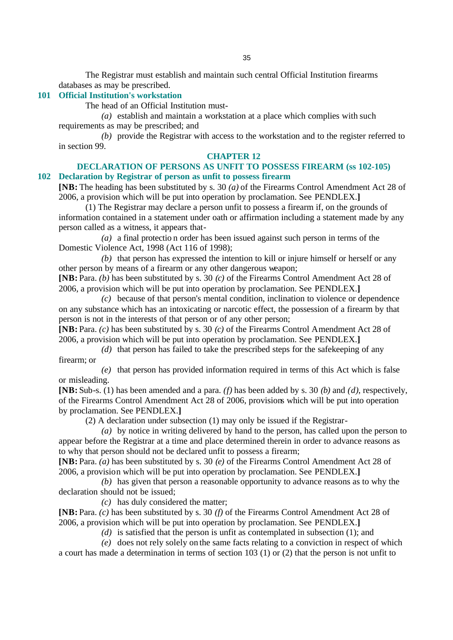The Registrar must establish and maintain such central Official Institution firearms databases as may be prescribed.

# **101 Official Institution's workstation**

The head of an Official Institution must-

*(a)* establish and maintain a workstation at a place which complies with such requirements as may be prescribed; and

*(b)* provide the Registrar with access to the workstation and to the register referred to in section 99.

### **CHAPTER 12**

**DECLARATION OF PERSONS AS UNFIT TO POSSESS FIREARM (ss 102-105) 102 Declaration by Registrar of person as unfit to possess firearm**

**[NB:** The heading has been substituted by s. 30 *(a)* of the Firearms Control Amendment Act 28 of 2006, a provision which will be put into operation by proclamation. See PENDLEX.**]**

(1) The Registrar may declare a person unfit to possess a firearm if, on the grounds of information contained in a statement under oath or affirmation including a statement made by any person called as a witness, it appears that-

*(a)* a final protectio n order has been issued against such person in terms of the Domestic Violence Act, 1998 (Act 116 of 1998);

*(b)* that person has expressed the intention to kill or injure himself or herself or any other person by means of a firearm or any other dangerous weapon;

**[NB:** Para. *(b)* has been substituted by s. 30 *(c)* of the Firearms Control Amendment Act 28 of 2006, a provision which will be put into operation by proclamation. See PENDLEX.**]**

*(c)* because of that person's mental condition, inclination to violence or dependence on any substance which has an intoxicating or narcotic effect, the possession of a firearm by that person is not in the interests of that person or of any other person;

**[NB:** Para. *(c)* has been substituted by s. 30 *(c)* of the Firearms Control Amendment Act 28 of 2006, a provision which will be put into operation by proclamation. See PENDLEX.**]**

*(d)* that person has failed to take the prescribed steps for the safekeeping of any firearm; or

*(e)* that person has provided information required in terms of this Act which is false or misleading.

**[NB:** Sub-s. (1) has been amended and a para. *(f)* has been added by s. 30 *(b)* and *(d)*, respectively, of the Firearms Control Amendment Act 28 of 2006, provisions which will be put into operation by proclamation. See PENDLEX.**]**

(2) A declaration under subsection (1) may only be issued if the Registrar-

*(a)* by notice in writing delivered by hand to the person, has called upon the person to appear before the Registrar at a time and place determined therein in order to advance reasons as to why that person should not be declared unfit to possess a firearm;

**[NB:** Para. *(a)* has been substituted by s. 30 *(e)* of the Firearms Control Amendment Act 28 of 2006, a provision which will be put into operation by proclamation. See PENDLEX.**]**

*(b)* has given that person a reasonable opportunity to advance reasons as to why the declaration should not be issued;

*(c)* has duly considered the matter;

**[NB:** Para. *(c)* has been substituted by s. 30 *(f)* of the Firearms Control Amendment Act 28 of 2006, a provision which will be put into operation by proclamation. See PENDLEX.**]**

*(d)* is satisfied that the person is unfit as contemplated in subsection (1); and

*(e)* does not rely solely on the same facts relating to a conviction in respect of which a court has made a determination in terms of section 103 (1) or (2) that the person is not unfit to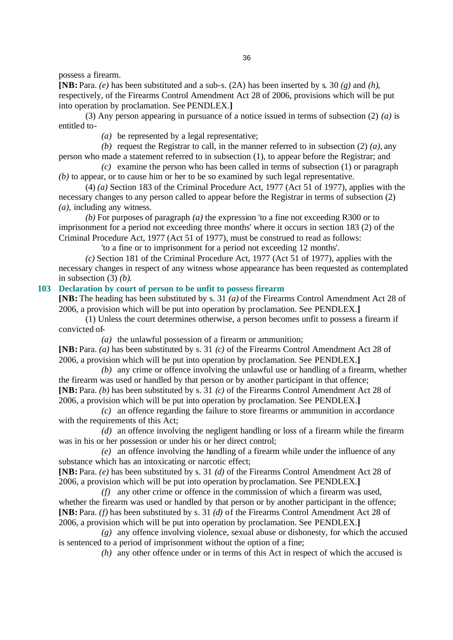possess a firearm.

**[NB:** Para. *(e)* has been substituted and a sub-s. (2A) has been inserted by s. 30 *(g)* and *(h)*, respectively, of the Firearms Control Amendment Act 28 of 2006, provisions which will be put into operation by proclamation. See PENDLEX.**]**

(3) Any person appearing in pursuance of a notice issued in terms of subsection (2) *(a)* is entitled to-

*(a)* be represented by a legal representative;

*(b)* request the Registrar to call, in the manner referred to in subsection (2) *(a)*, any person who made a statement referred to in subsection (1), to appear before the Registrar; and

*(c)* examine the person who has been called in terms of subsection (1) or paragraph *(b)* to appear, or to cause him or her to be so examined by such legal representative.

(4) *(a)* Section 183 of the Criminal Procedure Act, 1977 (Act 51 of 1977), applies with the necessary changes to any person called to appear before the Registrar in terms of subsection (2) *(a)*, including any witness.

*(b)* For purposes of paragraph *(a)* the expression 'to a fine not exceeding R300 or to imprisonment for a period not exceeding three months' where it occurs in section 183 (2) of the Criminal Procedure Act, 1977 (Act 51 of 1977), must be construed to read as follows:

'to a fine or to imprisonment for a period not exceeding 12 months'.

*(c)* Section 181 of the Criminal Procedure Act, 1977 (Act 51 of 1977), applies with the necessary changes in respect of any witness whose appearance has been requested as contemplated in subsection (3) *(b)*.

## **103 Declaration by court of person to be unfit to possess firearm**

**[NB:** The heading has been substituted by s. 31 *(a)* of the Firearms Control Amendment Act 28 of 2006, a provision which will be put into operation by proclamation. See PENDLEX.**]**

(1) Unless the court determines otherwise, a person becomes unfit to possess a firearm if convicted of-

*(a)* the unlawful possession of a firearm or ammunition;

**[NB:** Para. *(a)* has been substituted by s. 31 *(c)* of the Firearms Control Amendment Act 28 of 2006, a provision which will be put into operation by proclamation. See PENDLEX.**]**

*(b)* any crime or offence involving the unlawful use or handling of a firearm, whether the firearm was used or handled by that person or by another participant in that offence; **[NB:** Para. *(b)* has been substituted by s. 31 *(c)* of the Firearms Control Amendment Act 28 of 2006, a provision which will be put into operation by proclamation. See PENDLEX.**]**

*(c)* an offence regarding the failure to store firearms or ammunition in accordance with the requirements of this Act;

*(d)* an offence involving the negligent handling or loss of a firearm while the firearm was in his or her possession or under his or her direct control;

*(e)* an offence involving the handling of a firearm while under the influence of any substance which has an intoxicating or narcotic effect;

**[NB:** Para. *(e)* has been substituted by s. 31 *(d)* of the Firearms Control Amendment Act 28 of 2006, a provision which will be put into operation by proclamation. See PENDLEX.**]**

*(f)* any other crime or offence in the commission of which a firearm was used, whether the firearm was used or handled by that person or by another participant in the offence; **[NB:** Para. *(f)* has been substituted by s. 31 *(d)* of the Firearms Control Amendment Act 28 of 2006, a provision which will be put into operation by proclamation. See PENDLEX.**]**

*(g)* any offence involving violence, sexual abuse or dishonesty, for which the accused is sentenced to a period of imprisonment without the option of a fine;

*(h)* any other offence under or in terms of this Act in respect of which the accused is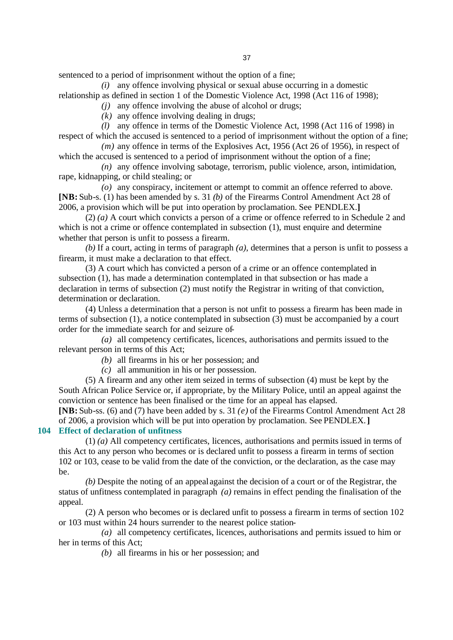sentenced to a period of imprisonment without the option of a fine;

*(i)* any offence involving physical or sexual abuse occurring in a domestic relationship as defined in section 1 of the Domestic Violence Act, 1998 (Act 116 of 1998);

*(j)* any offence involving the abuse of alcohol or drugs;

*(k)* any offence involving dealing in drugs;

*(l)* any offence in terms of the Domestic Violence Act, 1998 (Act 116 of 1998) in respect of which the accused is sentenced to a period of imprisonment without the option of a fine;

*(m)* any offence in terms of the Explosives Act, 1956 (Act 26 of 1956), in respect of which the accused is sentenced to a period of imprisonment without the option of a fine;

*(n)* any offence involving sabotage, terrorism, public violence, arson, intimidation, rape, kidnapping, or child stealing; or

*(o)* any conspiracy, incitement or attempt to commit an offence referred to above. **[NB:** Sub-s. (1) has been amended by s. 31 *(b)* of the Firearms Control Amendment Act 28 of 2006, a provision which will be put into operation by proclamation. See PENDLEX.**]**

(2) *(a)* A court which convicts a person of a crime or offence referred to in Schedule 2 and which is not a crime or offence contemplated in subsection  $(1)$ , must enquire and determine whether that person is unfit to possess a firearm.

*(b)* If a court, acting in terms of paragraph *(a)*, determines that a person is unfit to possess a firearm, it must make a declaration to that effect.

(3) A court which has convicted a person of a crime or an offence contemplated in subsection (1), has made a determination contemplated in that subsection or has made a declaration in terms of subsection (2) must notify the Registrar in writing of that conviction, determination or declaration.

(4) Unless a determination that a person is not unfit to possess a firearm has been made in terms of subsection (1), a notice contemplated in subsection (3) must be accompanied by a court order for the immediate search for and seizure of-

*(a)* all competency certificates, licences, authorisations and permits issued to the relevant person in terms of this Act;

*(b)* all firearms in his or her possession; and

*(c)* all ammunition in his or her possession.

(5) A firearm and any other item seized in terms of subsection (4) must be kept by the South African Police Service or, if appropriate, by the Military Police, until an appeal against the conviction or sentence has been finalised or the time for an appeal has elapsed.

**[NB:** Sub-ss. (6) and (7) have been added by s. 31 *(e)* of the Firearms Control Amendment Act 28 of 2006, a provision which will be put into operation by proclamation. See PENDLEX.**] 104 Effect of declaration of unfitness**

(1) *(a)* All competency certificates, licences, authorisations and permits issued in terms of this Act to any person who becomes or is declared unfit to possess a firearm in terms of section 102 or 103, cease to be valid from the date of the conviction, or the declaration, as the case may be.

*(b)* Despite the noting of an appeal against the decision of a court or of the Registrar, the status of unfitness contemplated in paragraph *(a)* remains in effect pending the finalisation of the appeal.

(2) A person who becomes or is declared unfit to possess a firearm in terms of section 102 or 103 must within 24 hours surrender to the nearest police station-

*(a)* all competency certificates, licences, authorisations and permits issued to him or her in terms of this Act;

*(b)* all firearms in his or her possession; and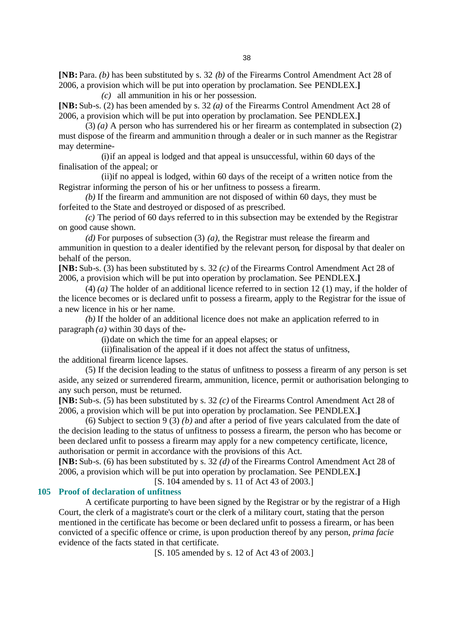**[NB:** Para. *(b)* has been substituted by s. 32 *(b)* of the Firearms Control Amendment Act 28 of 2006, a provision which will be put into operation by proclamation. See PENDLEX.**]**

*(c)* all ammunition in his or her possession. **[NB:** Sub-s. (2) has been amended by s. 32 *(a)* of the Firearms Control Amendment Act 28 of

2006, a provision which will be put into operation by proclamation. See PENDLEX.**]** (3) *(a)* A person who has surrendered his or her firearm as contemplated in subsection (2) must dispose of the firearm and ammunitio n through a dealer or in such manner as the Registrar may determine-

(i)if an appeal is lodged and that appeal is unsuccessful, within 60 days of the finalisation of the appeal; or

(ii)if no appeal is lodged, within 60 days of the receipt of a written notice from the Registrar informing the person of his or her unfitness to possess a firearm.

*(b)* If the firearm and ammunition are not disposed of within 60 days, they must be forfeited to the State and destroyed or disposed of as prescribed.

*(c)* The period of 60 days referred to in this subsection may be extended by the Registrar on good cause shown.

*(d)* For purposes of subsection (3) *(a)*, the Registrar must release the firearm and ammunition in question to a dealer identified by the relevant person, for disposal by that dealer on behalf of the person.

**[NB:** Sub-s. (3) has been substituted by s. 32 *(c)* of the Firearms Control Amendment Act 28 of 2006, a provision which will be put into operation by proclamation. See PENDLEX.**]**

(4) *(a)* The holder of an additional licence referred to in section 12 (1) may, if the holder of the licence becomes or is declared unfit to possess a firearm, apply to the Registrar for the issue of a new licence in his or her name.

*(b)* If the holder of an additional licence does not make an application referred to in paragraph *(a)* within 30 days of the-

(i)date on which the time for an appeal elapses; or

(ii)finalisation of the appeal if it does not affect the status of unfitness,

the additional firearm licence lapses.

(5) If the decision leading to the status of unfitness to possess a firearm of any person is set aside, any seized or surrendered firearm, ammunition, licence, permit or authorisation belonging to any such person, must be returned.

**[NB:** Sub-s. (5) has been substituted by s. 32 *(c)* of the Firearms Control Amendment Act 28 of 2006, a provision which will be put into operation by proclamation. See PENDLEX.**]**

(6) Subject to section 9 (3) *(b)* and after a period of five years calculated from the date of the decision leading to the status of unfitness to possess a firearm, the person who has become or been declared unfit to possess a firearm may apply for a new competency certificate, licence, authorisation or permit in accordance with the provisions of this Act.

**[NB:** Sub-s. (6) has been substituted by s. 32 *(d)* of the Firearms Control Amendment Act 28 of 2006, a provision which will be put into operation by proclamation. See PENDLEX.**]**

[S. 104 amended by s. 11 of Act 43 of 2003.]

## **105 Proof of declaration of unfitness**

A certificate purporting to have been signed by the Registrar or by the registrar of a High Court, the clerk of a magistrate's court or the clerk of a military court, stating that the person mentioned in the certificate has become or been declared unfit to possess a firearm, or has been convicted of a specific offence or crime, is upon production thereof by any person, *prima facie* evidence of the facts stated in that certificate.

[S. 105 amended by s. 12 of Act 43 of 2003.]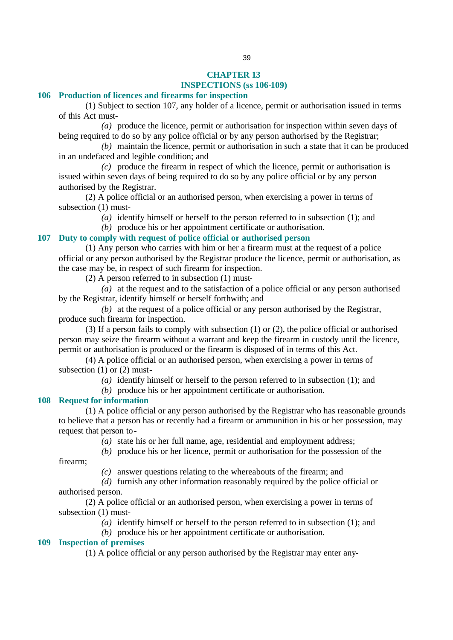#### **CHAPTER 13 INSPECTIONS (ss 106-109)**

#### **106 Production of licences and firearms for inspection**

(1) Subject to section 107, any holder of a licence, permit or authorisation issued in terms of this Act must-

*(a)* produce the licence, permit or authorisation for inspection within seven days of being required to do so by any police official or by any person authorised by the Registrar;

*(b)* maintain the licence, permit or authorisation in such a state that it can be produced in an undefaced and legible condition; and

*(c)* produce the firearm in respect of which the licence, permit or authorisation is issued within seven days of being required to do so by any police official or by any person authorised by the Registrar.

(2) A police official or an authorised person, when exercising a power in terms of subsection (1) must-

*(a)* identify himself or herself to the person referred to in subsection (1); and

*(b)* produce his or her appointment certificate or authorisation.

## **107 Duty to comply with request of police official or authorised person**

(1) Any person who carries with him or her a firearm must at the request of a police official or any person authorised by the Registrar produce the licence, permit or authorisation, as the case may be, in respect of such firearm for inspection.

(2) A person referred to in subsection (1) must-

*(a)* at the request and to the satisfaction of a police official or any person authorised by the Registrar, identify himself or herself forthwith; and

*(b)* at the request of a police official or any person authorised by the Registrar, produce such firearm for inspection.

(3) If a person fails to comply with subsection (1) or (2), the police official or authorised person may seize the firearm without a warrant and keep the firearm in custody until the licence, permit or authorisation is produced or the firearm is disposed of in terms of this Act.

(4) A police official or an authorised person, when exercising a power in terms of subsection (1) or (2) must-

*(a)* identify himself or herself to the person referred to in subsection (1); and

*(b)* produce his or her appointment certificate or authorisation.

## **108 Request for information**

(1) A police official or any person authorised by the Registrar who has reasonable grounds to believe that a person has or recently had a firearm or ammunition in his or her possession, may request that person to-

*(a)* state his or her full name, age, residential and employment address;

*(b)* produce his or her licence, permit or authorisation for the possession of the

firearm;

*(c)* answer questions relating to the whereabouts of the firearm; and

*(d)* furnish any other information reasonably required by the police official or

authorised person.

(2) A police official or an authorised person, when exercising a power in terms of subsection (1) must-

*(a)* identify himself or herself to the person referred to in subsection (1); and

*(b)* produce his or her appointment certificate or authorisation.

## **109 Inspection of premises**

(1) A police official or any person authorised by the Registrar may enter any-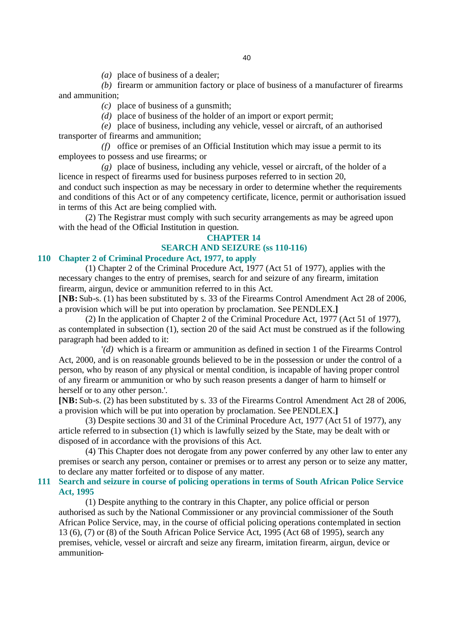*(a)* place of business of a dealer;

*(b)* firearm or ammunition factory or place of business of a manufacturer of firearms and ammunition;

*(c)* place of business of a gunsmith;

*(d)* place of business of the holder of an import or export permit;

*(e)* place of business, including any vehicle, vessel or aircraft, of an authorised transporter of firearms and ammunition;

*(f)* office or premises of an Official Institution which may issue a permit to its employees to possess and use firearms; or

*(g)* place of business, including any vehicle, vessel or aircraft, of the holder of a licence in respect of firearms used for business purposes referred to in section 20, and conduct such inspection as may be necessary in order to determine whether the requirements and conditions of this Act or of any competency certificate, licence, permit or authorisation issued in terms of this Act are being complied with.

(2) The Registrar must comply with such security arrangements as may be agreed upon with the head of the Official Institution in question.

## **CHAPTER 14 SEARCH AND SEIZURE (ss 110-116)**

#### **110 Chapter 2 of Criminal Procedure Act, 1977, to apply**

(1) Chapter 2 of the Criminal Procedure Act, 1977 (Act 51 of 1977), applies with the necessary changes to the entry of premises, search for and seizure of any firearm, imitation firearm, airgun, device or ammunition referred to in this Act.

**[NB:** Sub-s. (1) has been substituted by s. 33 of the Firearms Control Amendment Act 28 of 2006, a provision which will be put into operation by proclamation. See PENDLEX.**]**

(2) In the application of Chapter 2 of the Criminal Procedure Act, 1977 (Act 51 of 1977), as contemplated in subsection (1), section 20 of the said Act must be construed as if the following paragraph had been added to it:

'*(d)* which is a firearm or ammunition as defined in section 1 of the Firearms Control Act, 2000, and is on reasonable grounds believed to be in the possession or under the control of a person, who by reason of any physical or mental condition, is incapable of having proper control of any firearm or ammunition or who by such reason presents a danger of harm to himself or herself or to any other person.'.

**[NB:** Sub-s. (2) has been substituted by s. 33 of the Firearms Control Amendment Act 28 of 2006, a provision which will be put into operation by proclamation. See PENDLEX.**]**

(3) Despite sections 30 and 31 of the Criminal Procedure Act, 1977 (Act 51 of 1977), any article referred to in subsection (1) which is lawfully seized by the State, may be dealt with or disposed of in accordance with the provisions of this Act.

(4) This Chapter does not derogate from any power conferred by any other law to enter any premises or search any person, container or premises or to arrest any person or to seize any matter, to declare any matter forfeited or to dispose of any matter.

## **111 Search and seizure in course of policing operations in terms of South African Police Service Act, 1995**

(1) Despite anything to the contrary in this Chapter, any police official or person authorised as such by the National Commissioner or any provincial commissioner of the South African Police Service, may, in the course of official policing operations contemplated in section 13 (6), (7) or (8) of the South African Police Service Act, 1995 (Act 68 of 1995), search any premises, vehicle, vessel or aircraft and seize any firearm, imitation firearm, airgun, device or ammunition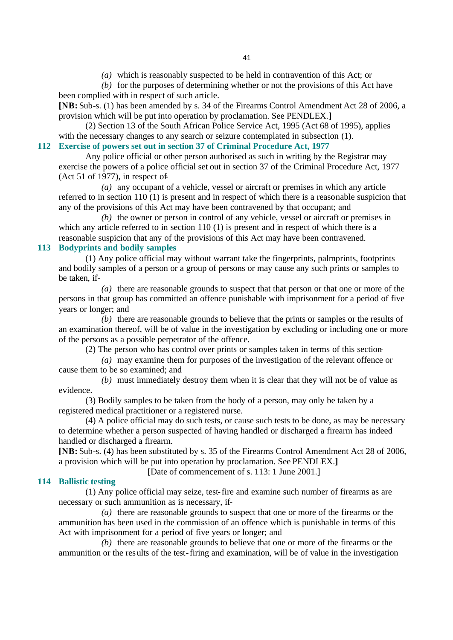*(a)* which is reasonably suspected to be held in contravention of this Act; or

*(b)* for the purposes of determining whether or not the provisions of this Act have been complied with in respect of such article.

**[NB:** Sub-s. (1) has been amended by s. 34 of the Firearms Control Amendment Act 28 of 2006, a provision which will be put into operation by proclamation. See PENDLEX.**]**

(2) Section 13 of the South African Police Service Act, 1995 (Act 68 of 1995), applies with the necessary changes to any search or seizure contemplated in subsection (1).

# **112 Exercise of powers set out in section 37 of Criminal Procedure Act, 1977**

Any police official or other person authorised as such in writing by the Registrar may exercise the powers of a police official set out in section 37 of the Criminal Procedure Act, 1977 (Act 51 of 1977), in respect of-

*(a)* any occupant of a vehicle, vessel or aircraft or premises in which any article referred to in section 110 (1) is present and in respect of which there is a reasonable suspicion that any of the provisions of this Act may have been contravened by that occupant; and

*(b)* the owner or person in control of any vehicle, vessel or aircraft or premises in which any article referred to in section 110 (1) is present and in respect of which there is a reasonable suspicion that any of the provisions of this Act may have been contravened.

## **113 Bodyprints and bodily samples**

(1) Any police official may without warrant take the fingerprints, palmprints, footprints and bodily samples of a person or a group of persons or may cause any such prints or samples to be taken, if-

*(a)* there are reasonable grounds to suspect that that person or that one or more of the persons in that group has committed an offence punishable with imprisonment for a period of five years or longer; and

*(b)* there are reasonable grounds to believe that the prints or samples or the results of an examination thereof, will be of value in the investigation by excluding or including one or more of the persons as a possible perpetrator of the offence.

(2) The person who has control over prints or samples taken in terms of this section-

*(a)* may examine them for purposes of the investigation of the relevant offence or cause them to be so examined; and

*(b)* must immediately destroy them when it is clear that they will not be of value as evidence.

(3) Bodily samples to be taken from the body of a person, may only be taken by a registered medical practitioner or a registered nurse.

(4) A police official may do such tests, or cause such tests to be done, as may be necessary to determine whether a person suspected of having handled or discharged a firearm has indeed handled or discharged a firearm.

**[NB:** Sub-s. (4) has been substituted by s. 35 of the Firearms Control Amendment Act 28 of 2006, a provision which will be put into operation by proclamation. See PENDLEX.**]**

[Date of commencement of s. 113: 1 June 2001.]

## **114 Ballistic testing**

(1) Any police official may seize, test-fire and examine such number of firearms as are necessary or such ammunition as is necessary, if-

*(a)* there are reasonable grounds to suspect that one or more of the firearms or the ammunition has been used in the commission of an offence which is punishable in terms of this Act with imprisonment for a period of five years or longer; and

*(b)* there are reasonable grounds to believe that one or more of the firearms or the ammunition or the results of the test-firing and examination, will be of value in the investigation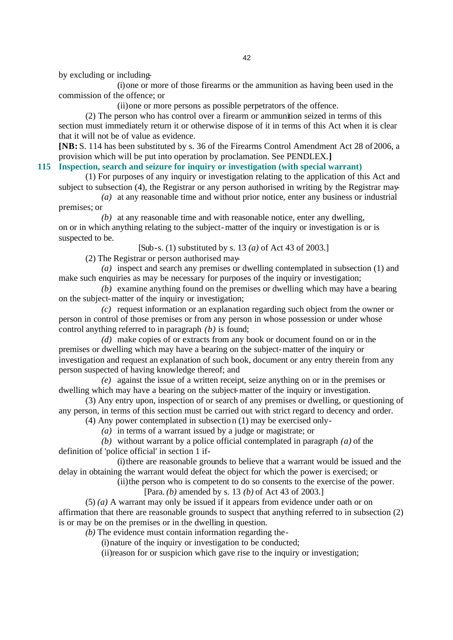by excluding or including-

(i)one or more of those firearms or the ammunition as having been used in the commission of the offence; or

(ii)one or more persons as possible perpetrators of the offence.

(2) The person who has control over a firearm or ammunition seized in terms of this section must immediately return it or otherwise dispose of it in terms of this Act when it is clear that it will not be of value as evidence.

**[NB:** S. 114 has been substituted by s. 36 of the Firearms Control Amendment Act 28 of 2006, a provision which will be put into operation by proclamation. See PENDLEX.**]**

## **115 Inspection, search and seizure for inquiry or investigation (with special warrant)**

(1) For purposes of any inquiry or investigation relating to the application of this Act and subject to subsection (4), the Registrar or any person authorised in writing by the Registrar may-

*(a)* at any reasonable time and without prior notice, enter any business or industrial premises; or

*(b)* at any reasonable time and with reasonable notice, enter any dwelling, on or in which anything relating to the subject-matter of the inquiry or investigation is or is suspected to be.

[Sub-s. (1) substituted by s. 13 *(a)* of Act 43 of 2003.]

(2) The Registrar or person authorised may-

*(a)* inspect and search any premises or dwelling contemplated in subsection (1) and make such enquiries as may be necessary for purposes of the inquiry or investigation;

*(b)* examine anything found on the premises or dwelling which may have a bearing on the subject-matter of the inquiry or investigation;

*(c)* request information or an explanation regarding such object from the owner or person in control of those premises or from any person in whose possession or under whose control anything referred to in paragraph *(b)* is found;

*(d)* make copies of or extracts from any book or document found on or in the premises or dwelling which may have a bearing on the subject-matter of the inquiry or investigation and request an explanation of such book, document or any entry therein from any person suspected of having knowledge thereof; and

*(e)* against the issue of a written receipt, seize anything on or in the premises or dwelling which may have a bearing on the subject-matter of the inquiry or investigation.

(3) Any entry upon, inspection of or search of any premises or dwelling, or questioning of any person, in terms of this section must be carried out with strict regard to decency and order.

(4) Any power contemplated in subsection (1) may be exercised only-

*(a)* in terms of a warrant issued by a judge or magistrate; or

*(b)* without warrant by a police official contemplated in paragraph *(a)* of the definition of 'police official' in section 1 if-

(i)there are reasonable grounds to believe that a warrant would be issued and the delay in obtaining the warrant would defeat the object for which the power is exercised; or

(ii)the person who is competent to do so consents to the exercise of the power.

[Para. *(b)* amended by s. 13 *(b)* of Act 43 of 2003.]

(5) *(a)* A warrant may only be issued if it appears from evidence under oath or on affirmation that there are reasonable grounds to suspect that anything referred to in subsection (2) is or may be on the premises or in the dwelling in question.

*(b)* The evidence must contain information regarding the-

(i)nature of the inquiry or investigation to be conducted;

(ii)reason for or suspicion which gave rise to the inquiry or investigation;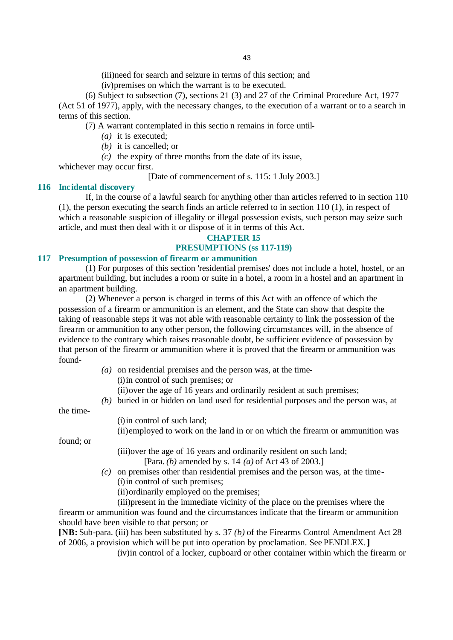(iii)need for search and seizure in terms of this section; and

(iv)premises on which the warrant is to be executed.

(6) Subject to subsection (7), sections 21 (3) and 27 of the Criminal Procedure Act, 1977 (Act 51 of 1977), apply, with the necessary changes, to the execution of a warrant or to a search in terms of this section.

(7) A warrant contemplated in this sectio n remains in force until-

- *(a)* it is executed;
- *(b)* it is cancelled; or
- *(c)* the expiry of three months from the date of its issue,

whichever may occur first.

[Date of commencement of s. 115: 1 July 2003.]

#### **116 Incidental discovery**

If, in the course of a lawful search for anything other than articles referred to in section 110 (1), the person executing the search finds an article referred to in section 110 (1), in respect of which a reasonable suspicion of illegality or illegal possession exists, such person may seize such article, and must then deal with it or dispose of it in terms of this Act.

## **CHAPTER 15 PRESUMPTIONS (ss 117-119)**

#### **117 Presumption of possession of firearm or ammunition**

(1) For purposes of this section 'residential premises' does not include a hotel, hostel, or an apartment building, but includes a room or suite in a hotel, a room in a hostel and an apartment in an apartment building.

(2) Whenever a person is charged in terms of this Act with an offence of which the possession of a firearm or ammunition is an element, and the State can show that despite the taking of reasonable steps it was not able with reasonable certainty to link the possession of the firearm or ammunition to any other person, the following circumstances will, in the absence of evidence to the contrary which raises reasonable doubt, be sufficient evidence of possession by that person of the firearm or ammunition where it is proved that the firearm or ammunition was found-

- *(a)* on residential premises and the person was, at the time-
	- (i)in control of such premises; or

(ii)over the age of 16 years and ordinarily resident at such premises;

*(b)* buried in or hidden on land used for residential purposes and the person was, at

the time-

(i)in control of such land;

(ii)employed to work on the land in or on which the firearm or ammunition was

found; or

(iii)over the age of 16 years and ordinarily resident on such land;

[Para. *(b)* amended by s. 14 *(a)* of Act 43 of 2003.]

*(c)* on premises other than residential premises and the person was, at the time- (i)in control of such premises;

(ii)ordinarily employed on the premises;

(iii)present in the immediate vicinity of the place on the premises where the firearm or ammunition was found and the circumstances indicate that the firearm or ammunition should have been visible to that person; or

**[NB:** Sub-para. (iii) has been substituted by s. 37 *(b)* of the Firearms Control Amendment Act 28 of 2006, a provision which will be put into operation by proclamation. See PENDLEX.**]**

(iv)in control of a locker, cupboard or other container within which the firearm or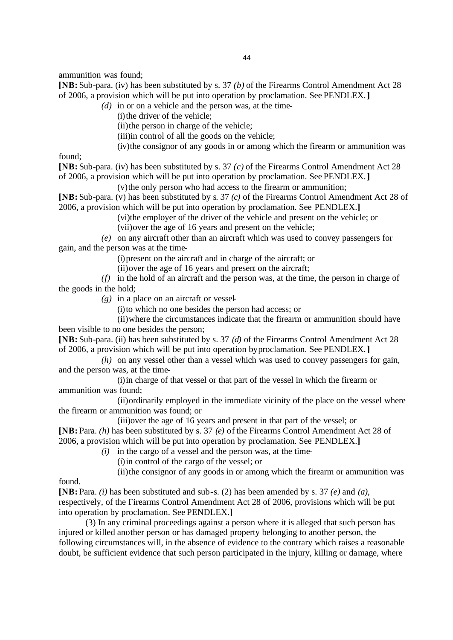ammunition was found;

**[NB:** Sub-para. (iv) has been substituted by s. 37 *(b)* of the Firearms Control Amendment Act 28 of 2006, a provision which will be put into operation by proclamation. See PENDLEX.**]**

*(d)* in or on a vehicle and the person was, at the time-

(i) the driver of the vehicle;

(ii)the person in charge of the vehicle;

(iii)in control of all the goods on the vehicle;

(iv)the consignor of any goods in or among which the firearm or ammunition was

found;

**[NB:** Sub-para. (iv) has been substituted by s. 37 *(c)* of the Firearms Control Amendment Act 28 of 2006, a provision which will be put into operation by proclamation. See PENDLEX.**]**

(v)the only person who had access to the firearm or ammunition;

**[NB:** Sub-para. (v) has been substituted by s. 37 *(c)* of the Firearms Control Amendment Act 28 of 2006, a provision which will be put into operation by proclamation. See PENDLEX.**]**

(vi)the employer of the driver of the vehicle and present on the vehicle; or

(vii)over the age of 16 years and present on the vehicle;

*(e)* on any aircraft other than an aircraft which was used to convey passengers for gain, and the person was at the time-

(i)present on the aircraft and in charge of the aircraft; or

(ii)over the age of 16 years and present on the aircraft;

*(f)* in the hold of an aircraft and the person was, at the time, the person in charge of the goods in the hold;

*(g)* in a place on an aircraft or vessel-

(i)to which no one besides the person had access; or

(ii)where the circumstances indicate that the firearm or ammunition should have been visible to no one besides the person;

**[NB:** Sub-para. (ii) has been substituted by s. 37 *(d)* of the Firearms Control Amendment Act 28 of 2006, a provision which will be put into operation by proclamation. See PENDLEX.**]**

*(h)* on any vessel other than a vessel which was used to convey passengers for gain, and the person was, at the time-

(i)in charge of that vessel or that part of the vessel in which the firearm or ammunition was found;

(ii)ordinarily employed in the immediate vicinity of the place on the vessel where the firearm or ammunition was found; or

(iii)over the age of 16 years and present in that part of the vessel; or **[NB:** Para. *(h)* has been substituted by s. 37 *(e)* of the Firearms Control Amendment Act 28 of 2006, a provision which will be put into operation by proclamation. See PENDLEX.**]**

*(i)* in the cargo of a vessel and the person was, at the time-

(i)in control of the cargo of the vessel; or

(ii)the consignor of any goods in or among which the firearm or ammunition was

found.

**[NB:** Para. *(i)* has been substituted and sub-s. (2) has been amended by s. 37 *(e)* and *(a)*, respectively, of the Firearms Control Amendment Act 28 of 2006, provisions which will be put into operation by proclamation. See PENDLEX.**]**

(3) In any criminal proceedings against a person where it is alleged that such person has injured or killed another person or has damaged property belonging to another person, the following circumstances will, in the absence of evidence to the contrary which raises a reasonable doubt, be sufficient evidence that such person participated in the injury, killing or damage, where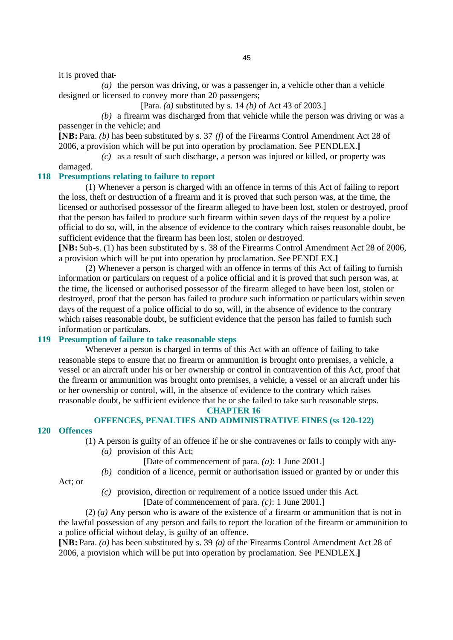it is proved that-

*(a)* the person was driving, or was a passenger in, a vehicle other than a vehicle designed or licensed to convey more than 20 passengers;

[Para. *(a)* substituted by s. 14 *(b)* of Act 43 of 2003.]

*(b)* a firearm was discharged from that vehicle while the person was driving or was a passenger in the vehicle; and

**[NB:** Para. *(b)* has been substituted by s. 37 *(f)* of the Firearms Control Amendment Act 28 of 2006, a provision which will be put into operation by proclamation. See PENDLEX.**]**

*(c)* as a result of such discharge, a person was injured or killed, or property was damaged.

#### **118 Presumptions relating to failure to report**

(1) Whenever a person is charged with an offence in terms of this Act of failing to report the loss, theft or destruction of a firearm and it is proved that such person was, at the time, the licensed or authorised possessor of the firearm alleged to have been lost, stolen or destroyed, proof that the person has failed to produce such firearm within seven days of the request by a police official to do so, will, in the absence of evidence to the contrary which raises reasonable doubt, be sufficient evidence that the firearm has been lost, stolen or destroyed.

**[NB:** Sub-s. (1) has been substituted by s. 38 of the Firearms Control Amendment Act 28 of 2006, a provision which will be put into operation by proclamation. See PENDLEX.**]**

(2) Whenever a person is charged with an offence in terms of this Act of failing to furnish information or particulars on request of a police official and it is proved that such person was, at the time, the licensed or authorised possessor of the firearm alleged to have been lost, stolen or destroyed, proof that the person has failed to produce such information or particulars within seven days of the request of a police official to do so, will, in the absence of evidence to the contrary which raises reasonable doubt, be sufficient evidence that the person has failed to furnish such information or particulars.

#### **119 Presumption of failure to take reasonable steps**

Whenever a person is charged in terms of this Act with an offence of failing to take reasonable steps to ensure that no firearm or ammunition is brought onto premises, a vehicle, a vessel or an aircraft under his or her ownership or control in contravention of this Act, proof that the firearm or ammunition was brought onto premises, a vehicle, a vessel or an aircraft under his or her ownership or control, will, in the absence of evidence to the contrary which raises reasonable doubt, be sufficient evidence that he or she failed to take such reasonable steps.

## **CHAPTER 16**

## **OFFENCES, PENALTIES AND ADMINISTRATIVE FINES (ss 120-122)**

## **120 Offences**

(1) A person is guilty of an offence if he or she contravenes or fails to comply with any- *(a)* provision of this Act;

- [Date of commencement of para. *(a)*: 1 June 2001.]
- *(b)* condition of a licence, permit or authorisation issued or granted by or under this

Act; or

*(c)* provision, direction or requirement of a notice issued under this Act.

[Date of commencement of para. *(c)*: 1 June 2001.]

(2) *(a)* Any person who is aware of the existence of a firearm or ammunition that is not in the lawful possession of any person and fails to report the location of the firearm or ammunition to a police official without delay, is guilty of an offence.

**[NB:** Para. *(a)* has been substituted by s. 39 *(a)* of the Firearms Control Amendment Act 28 of 2006, a provision which will be put into operation by proclamation. See PENDLEX.**]**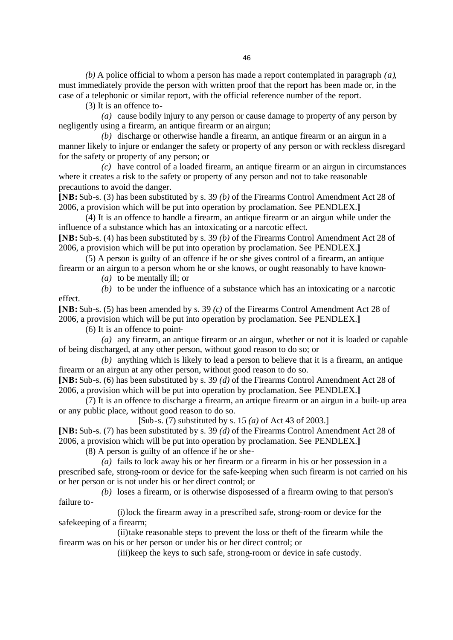*(b)* A police official to whom a person has made a report contemplated in paragraph *(a)*, must immediately provide the person with written proof that the report has been made or, in the case of a telephonic or similar report, with the official reference number of the report.

(3) It is an offence to-

*(a)* cause bodily injury to any person or cause damage to property of any person by negligently using a firearm, an antique firearm or an airgun;

*(b)* discharge or otherwise handle a firearm, an antique firearm or an airgun in a manner likely to injure or endanger the safety or property of any person or with reckless disregard for the safety or property of any person; or

*(c)* have control of a loaded firearm, an antique firearm or an airgun in circumstances where it creates a risk to the safety or property of any person and not to take reasonable precautions to avoid the danger.

**[NB:** Sub-s. (3) has been substituted by s. 39 *(b)* of the Firearms Control Amendment Act 28 of 2006, a provision which will be put into operation by proclamation. See PENDLEX.**]**

(4) It is an offence to handle a firearm, an antique firearm or an airgun while under the influence of a substance which has an intoxicating or a narcotic effect. **[NB:** Sub-s. (4) has been substituted by s. 39 *(b)* of the Firearms Control Amendment Act 28 of

2006, a provision which will be put into operation by proclamation. See PENDLEX.**]**

(5) A person is guilty of an offence if he or she gives control of a firearm, an antique firearm or an airgun to a person whom he or she knows, or ought reasonably to have known-

*(a)* to be mentally ill; or

*(b)* to be under the influence of a substance which has an intoxicating or a narcotic effect.

**[NB:** Sub-s. (5) has been amended by s. 39 *(c)* of the Firearms Control Amendment Act 28 of 2006, a provision which will be put into operation by proclamation. See PENDLEX.**]**

(6) It is an offence to point-

*(a)* any firearm, an antique firearm or an airgun, whether or not it is loaded or capable of being discharged, at any other person, without good reason to do so; or

*(b)* anything which is likely to lead a person to believe that it is a firearm, an antique firearm or an airgun at any other person, without good reason to do so.

**[NB:** Sub-s. (6) has been substituted by s. 39 *(d)* of the Firearms Control Amendment Act 28 of 2006, a provision which will be put into operation by proclamation. See PENDLEX.**]**

(7) It is an offence to discharge a firearm, an antique firearm or an airgun in a built-up area or any public place, without good reason to do so.

[Sub-s. (7) substituted by s. 15 *(a)* of Act 43 of 2003.]

**[NB:** Sub-s. (7) has been substituted by s. 39 *(d)* of the Firearms Control Amendment Act 28 of 2006, a provision which will be put into operation by proclamation. See PENDLEX.**]**

(8) A person is guilty of an offence if he or she-

*(a)* fails to lock away his or her firearm or a firearm in his or her possession in a prescribed safe, strong-room or device for the safe-keeping when such firearm is not carried on his or her person or is not under his or her direct control; or

*(b)* loses a firearm, or is otherwise disposessed of a firearm owing to that person's failure to-

(i)lock the firearm away in a prescribed safe, strong-room or device for the safekeeping of a firearm;

(ii)take reasonable steps to prevent the loss or theft of the firearm while the firearm was on his or her person or under his or her direct control; or

(iii)keep the keys to such safe, strong-room or device in safe custody.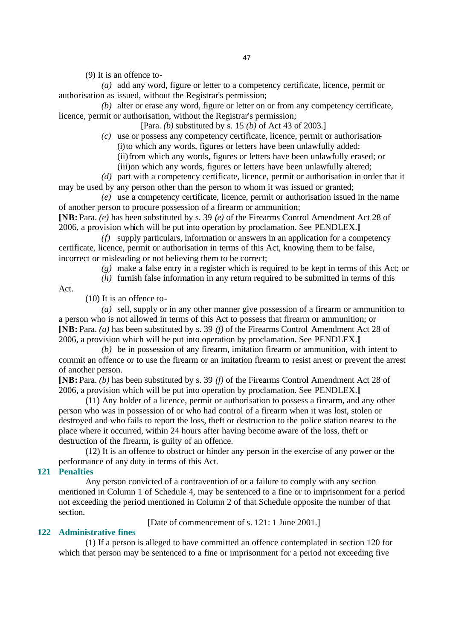(9) It is an offence to-

*(a)* add any word, figure or letter to a competency certificate, licence, permit or authorisation as issued, without the Registrar's permission;

*(b)* alter or erase any word, figure or letter on or from any competency certificate, licence, permit or authorisation, without the Registrar's permission;

[Para. *(b)* substituted by s. 15 *(b)* of Act 43 of 2003.]

*(c)* use or possess any competency certificate, licence, permit or authorisation- (i)to which any words, figures or letters have been unlawfully added; (ii)from which any words, figures or letters have been unlawfully erased; or (iii)on which any words, figures or letters have been unlawfully altered;

*(d)* part with a competency certificate, licence, permit or authorisation in order that it may be used by any person other than the person to whom it was issued or granted;

*(e)* use a competency certificate, licence, permit or authorisation issued in the name of another person to procure possession of a firearm or ammunition;

**[NB:** Para. *(e)* has been substituted by s. 39 *(e)* of the Firearms Control Amendment Act 28 of 2006, a provision which will be put into operation by proclamation. See PENDLEX.**]**

*(f)* supply particulars, information or answers in an application for a competency certificate, licence, permit or authorisation in terms of this Act, knowing them to be false, incorrect or misleading or not believing them to be correct;

- *(g)* make a false entry in a register which is required to be kept in terms of this Act; or
- *(h)* furnish false information in any return required to be submitted in terms of this

Act.

(10) It is an offence to-

*(a)* sell, supply or in any other manner give possession of a firearm or ammunition to a person who is not allowed in terms of this Act to possess that firearm or ammunition; or **[NB:** Para. *(a)* has been substituted by s. 39 *(f)* of the Firearms Control Amendment Act 28 of 2006, a provision which will be put into operation by proclamation. See PENDLEX.**]**

*(b)* be in possession of any firearm, imitation firearm or ammunition, with intent to commit an offence or to use the firearm or an imitation firearm to resist arrest or prevent the arrest of another person.

**[NB:** Para. *(b)* has been substituted by s. 39 *(f)* of the Firearms Control Amendment Act 28 of 2006, a provision which will be put into operation by proclamation. See PENDLEX.**]**

(11) Any holder of a licence, permit or authorisation to possess a firearm, and any other person who was in possession of or who had control of a firearm when it was lost, stolen or destroyed and who fails to report the loss, theft or destruction to the police station nearest to the place where it occurred, within 24 hours after having become aware of the loss, theft or destruction of the firearm, is guilty of an offence.

(12) It is an offence to obstruct or hinder any person in the exercise of any power or the performance of any duty in terms of this Act.

## **121 Penalties**

Any person convicted of a contravention of or a failure to comply with any section mentioned in Column 1 of Schedule 4, may be sentenced to a fine or to imprisonment for a period not exceeding the period mentioned in Column 2 of that Schedule opposite the number of that section.

[Date of commencement of s. 121: 1 June 2001.]

## **122 Administrative fines**

(1) If a person is alleged to have committed an offence contemplated in section 120 for which that person may be sentenced to a fine or imprisonment for a period not exceeding five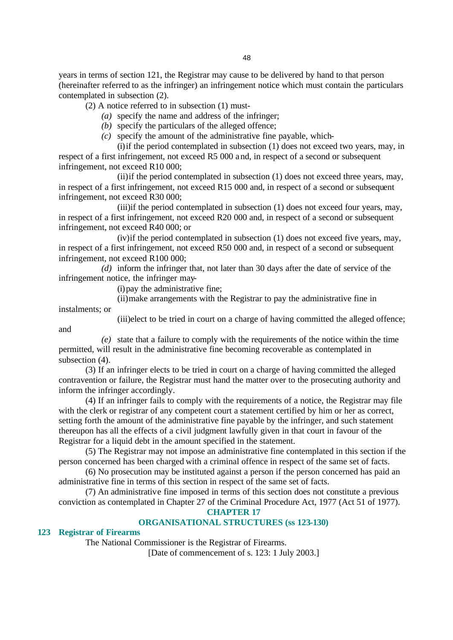years in terms of section 121, the Registrar may cause to be delivered by hand to that person (hereinafter referred to as the infringer) an infringement notice which must contain the particulars contemplated in subsection (2).

(2) A notice referred to in subsection (1) must-

- *(a)* specify the name and address of the infringer;
- *(b)* specify the particulars of the alleged offence;
- *(c)* specify the amount of the administrative fine payable, which-

(i)if the period contemplated in subsection (1) does not exceed two years, may, in respect of a first infringement, not exceed R5 000 and, in respect of a second or subsequent infringement, not exceed R10 000;

(ii)if the period contemplated in subsection (1) does not exceed three years, may, in respect of a first infringement, not exceed R15 000 and, in respect of a second or subsequent infringement, not exceed R30 000;

(iii)if the period contemplated in subsection (1) does not exceed four years, may, in respect of a first infringement, not exceed R20 000 and, in respect of a second or subsequent infringement, not exceed R40 000; or

(iv)if the period contemplated in subsection (1) does not exceed five years, may, in respect of a first infringement, not exceed R50 000 and, in respect of a second or subsequent infringement, not exceed R100 000;

*(d)* inform the infringer that, not later than 30 days after the date of service of the infringement notice, the infringer may-

(i)pay the administrative fine;

(ii)make arrangements with the Registrar to pay the administrative fine in

instalments; or

and

(iii)elect to be tried in court on a charge of having committed the alleged offence;

*(e)* state that a failure to comply with the requirements of the notice within the time permitted, will result in the administrative fine becoming recoverable as contemplated in subsection (4).

(3) If an infringer elects to be tried in court on a charge of having committed the alleged contravention or failure, the Registrar must hand the matter over to the prosecuting authority and inform the infringer accordingly.

(4) If an infringer fails to comply with the requirements of a notice, the Registrar may file with the clerk or registrar of any competent court a statement certified by him or her as correct, setting forth the amount of the administrative fine payable by the infringer, and such statement thereupon has all the effects of a civil judgment lawfully given in that court in favour of the Registrar for a liquid debt in the amount specified in the statement.

(5) The Registrar may not impose an administrative fine contemplated in this section if the person concerned has been charged with a criminal offence in respect of the same set of facts.

(6) No prosecution may be instituted against a person if the person concerned has paid an administrative fine in terms of this section in respect of the same set of facts.

(7) An administrative fine imposed in terms of this section does not constitute a previous conviction as contemplated in Chapter 27 of the Criminal Procedure Act, 1977 (Act 51 of 1977).

**CHAPTER 17**

## **ORGANISATIONAL STRUCTURES (ss 123-130)**

## **123 Registrar of Firearms**

The National Commissioner is the Registrar of Firearms.

[Date of commencement of s. 123: 1 July 2003.]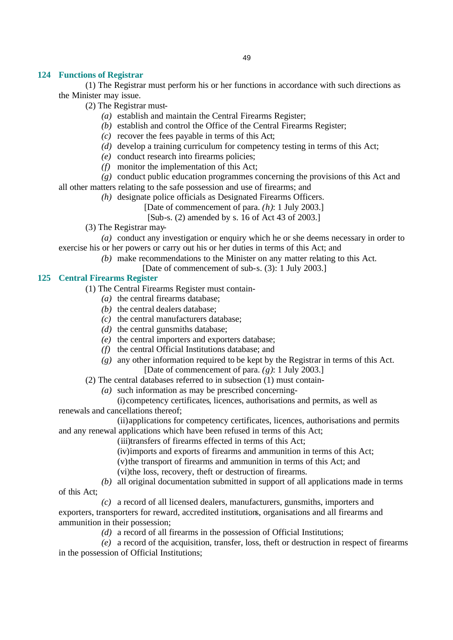## **124 Functions of Registrar**

(1) The Registrar must perform his or her functions in accordance with such directions as the Minister may issue.

- (2) The Registrar must-
	- *(a)* establish and maintain the Central Firearms Register;
	- *(b)* establish and control the Office of the Central Firearms Register;
	- *(c)* recover the fees payable in terms of this Act;
	- *(d)* develop a training curriculum for competency testing in terms of this Act;
	- *(e)* conduct research into firearms policies;
	- *(f)* monitor the implementation of this Act;

*(g)* conduct public education programmes concerning the provisions of this Act and all other matters relating to the safe possession and use of firearms; and

*(h)* designate police officials as Designated Firearms Officers.

[Date of commencement of para. *(h)*: 1 July 2003.]

[Sub-s. (2) amended by s. 16 of Act 43 of 2003.]

(3) The Registrar may-

*(a)* conduct any investigation or enquiry which he or she deems necessary in order to exercise his or her powers or carry out his or her duties in terms of this Act; and

*(b)* make recommendations to the Minister on any matter relating to this Act.

[Date of commencement of sub-s. (3): 1 July 2003.]

## **125 Central Firearms Register**

- (1) The Central Firearms Register must contain-
	- *(a)* the central firearms database;
	- *(b)* the central dealers database;
	- *(c)* the central manufacturers database;
	- *(d)* the central gunsmiths database;
	- *(e)* the central importers and exporters database;
	- *(f)* the central Official Institutions database; and
	- *(g)* any other information required to be kept by the Registrar in terms of this Act. [Date of commencement of para. *(g)*: 1 July 2003.]

(2) The central databases referred to in subsection (1) must contain-

*(a)* such information as may be prescribed concerning-

(i)competency certificates, licences, authorisations and permits, as well as renewals and cancellations thereof;

(ii)applications for competency certificates, licences, authorisations and permits and any renewal applications which have been refused in terms of this Act;

(iii)transfers of firearms effected in terms of this Act;

- (iv)imports and exports of firearms and ammunition in terms of this Act;
- (v)the transport of firearms and ammunition in terms of this Act; and
- (vi)the loss, recovery, theft or destruction of firearms.
- *(b)* all original documentation submitted in support of all applications made in terms of this Act;

*(c)* a record of all licensed dealers, manufacturers, gunsmiths, importers and exporters, transporters for reward, accredited institutions, organisations and all firearms and ammunition in their possession;

*(d)* a record of all firearms in the possession of Official Institutions;

*(e)* a record of the acquisition, transfer, loss, theft or destruction in respect of firearms in the possession of Official Institutions;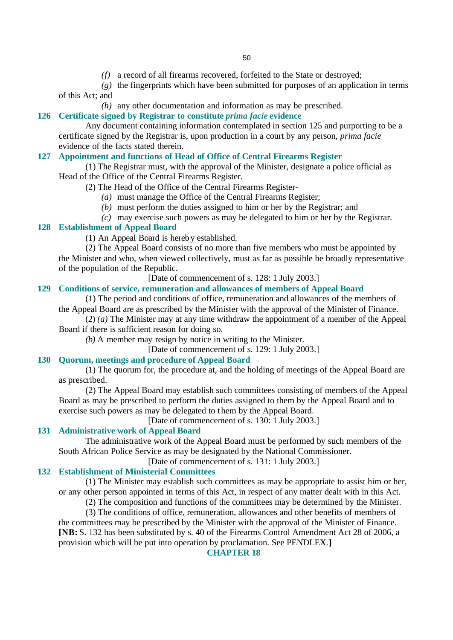*(f)* a record of all firearms recovered, forfeited to the State or destroyed;

*(g)* the fingerprints which have been submitted for purposes of an application in terms of this Act; and

*(h)* any other documentation and information as may be prescribed.

#### **126 Certificate signed by Registrar to constitute** *prima facie* **evidence**

Any document containing information contemplated in section 125 and purporting to be a certificate signed by the Registrar is, upon production in a court by any person, *prima facie* evidence of the facts stated therein.

## **127 Appointment and functions of Head of Office of Central Firearms Register**

(1) The Registrar must, with the approval of the Minister, designate a police official as Head of the Office of the Central Firearms Register.

- (2) The Head of the Office of the Central Firearms Register-
	- *(a)* must manage the Office of the Central Firearms Register;
	- *(b)* must perform the duties assigned to him or her by the Registrar; and
	- *(c)* may exercise such powers as may be delegated to him or her by the Registrar.

## **128 Establishment of Appeal Board**

(1) An Appeal Board is hereby established.

(2) The Appeal Board consists of no more than five members who must be appointed by the Minister and who, when viewed collectively, must as far as possible be broadly representative of the population of the Republic.

[Date of commencement of s. 128: 1 July 2003.]

## **129 Conditions of service, remuneration and allowances of members of Appeal Board**

(1) The period and conditions of office, remuneration and allowances of the members of the Appeal Board are as prescribed by the Minister with the approval of the Minister of Finance.

(2) *(a)* The Minister may at any time withdraw the appointment of a member of the Appeal Board if there is sufficient reason for doing so.

*(b)* A member may resign by notice in writing to the Minister.

[Date of commencement of s. 129: 1 July 2003.]

#### **130 Quorum, meetings and procedure of Appeal Board**

(1) The quorum for, the procedure at, and the holding of meetings of the Appeal Board are as prescribed.

(2) The Appeal Board may establish such committees consisting of members of the Appeal Board as may be prescribed to perform the duties assigned to them by the Appeal Board and to exercise such powers as may be delegated to them by the Appeal Board.

[Date of commencement of s. 130: 1 July 2003.]

#### **131 Administrative work of Appeal Board**

The administrative work of the Appeal Board must be performed by such members of the South African Police Service as may be designated by the National Commissioner.

[Date of commencement of s. 131: 1 July 2003.]

#### **132 Establishment of Ministerial Committees**

(1) The Minister may establish such committees as may be appropriate to assist him or her, or any other person appointed in terms of this Act, in respect of any matter dealt with in this Act.

(2) The composition and functions of the committees may be determined by the Minister. (3) The conditions of office, remuneration, allowances and other benefits of members of

the committees may be prescribed by the Minister with the approval of the Minister of Finance. **[NB:** S. 132 has been substituted by s. 40 of the Firearms Control Amendment Act 28 of 2006, a provision which will be put into operation by proclamation. See PENDLEX.**]**

## **CHAPTER 18**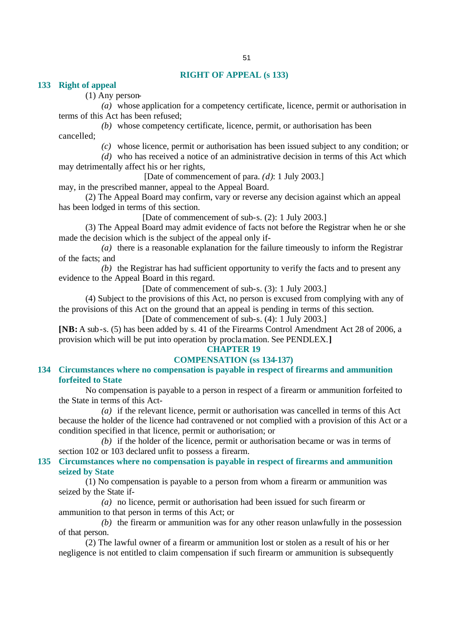## **RIGHT OF APPEAL (s 133)**

**133 Right of appeal** 

(1) Any person-

*(a)* whose application for a competency certificate, licence, permit or authorisation in terms of this Act has been refused;

*(b)* whose competency certificate, licence, permit, or authorisation has been cancelled;

*(c)* whose licence, permit or authorisation has been issued subject to any condition; or

*(d)* who has received a notice of an administrative decision in terms of this Act which may detrimentally affect his or her rights,

[Date of commencement of para. *(d)*: 1 July 2003.]

may, in the prescribed manner, appeal to the Appeal Board.

(2) The Appeal Board may confirm, vary or reverse any decision against which an appeal has been lodged in terms of this section.

[Date of commencement of sub-s. (2): 1 July 2003.]

(3) The Appeal Board may admit evidence of facts not before the Registrar when he or she made the decision which is the subject of the appeal only if-

*(a)* there is a reasonable explanation for the failure timeously to inform the Registrar of the facts; and

*(b)* the Registrar has had sufficient opportunity to verify the facts and to present any evidence to the Appeal Board in this regard.

[Date of commencement of sub-s. (3): 1 July 2003.]

(4) Subject to the provisions of this Act, no person is excused from complying with any of the provisions of this Act on the ground that an appeal is pending in terms of this section.

[Date of commencement of sub-s. (4): 1 July 2003.]

**[NB:** A sub-s. (5) has been added by s. 41 of the Firearms Control Amendment Act 28 of 2006, a provision which will be put into operation by proclamation. See PENDLEX.**]**

## **CHAPTER 19**

## **COMPENSATION (ss 134-137)**

## **134 Circumstances where no compensation is payable in respect of firearms and ammunition forfeited to State**

No compensation is payable to a person in respect of a firearm or ammunition forfeited to the State in terms of this Act-

*(a)* if the relevant licence, permit or authorisation was cancelled in terms of this Act because the holder of the licence had contravened or not complied with a provision of this Act or a condition specified in that licence, permit or authorisation; or

*(b)* if the holder of the licence, permit or authorisation became or was in terms of section 102 or 103 declared unfit to possess a firearm.

## **135 Circumstances where no compensation is payable in respect of firearms and ammunition seized by State**

(1) No compensation is payable to a person from whom a firearm or ammunition was seized by the State if-

*(a)* no licence, permit or authorisation had been issued for such firearm or ammunition to that person in terms of this Act; or

*(b)* the firearm or ammunition was for any other reason unlawfully in the possession of that person.

(2) The lawful owner of a firearm or ammunition lost or stolen as a result of his or her negligence is not entitled to claim compensation if such firearm or ammunition is subsequently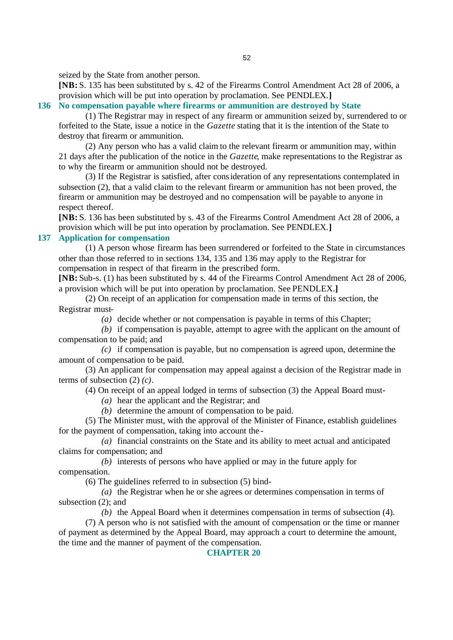seized by the State from another person.

**[NB:** S. 135 has been substituted by s. 42 of the Firearms Control Amendment Act 28 of 2006, a provision which will be put into operation by proclamation. See PENDLEX.**]**

## **136 No compensation payable where firearms or ammunition are destroyed by State**

(1) The Registrar may in respect of any firearm or ammunition seized by, surrendered to or forfeited to the State, issue a notice in the *Gazette* stating that it is the intention of the State to destroy that firearm or ammunition.

(2) Any person who has a valid claim to the relevant firearm or ammunition may, within 21 days after the publication of the notice in the *Gazette*, make representations to the Registrar as to why the firearm or ammunition should not be destroyed.

(3) If the Registrar is satisfied, after consideration of any representations contemplated in subsection (2), that a valid claim to the relevant firearm or ammunition has not been proved, the firearm or ammunition may be destroyed and no compensation will be payable to anyone in respect thereof.

**[NB:** S. 136 has been substituted by s. 43 of the Firearms Control Amendment Act 28 of 2006, a provision which will be put into operation by proclamation. See PENDLEX.**]**

## **137 Application for compensation**

(1) A person whose firearm has been surrendered or forfeited to the State in circumstances other than those referred to in sections 134, 135 and 136 may apply to the Registrar for compensation in respect of that firearm in the prescribed form.

**[NB:** Sub-s. (1) has been substituted by s. 44 of the Firearms Control Amendment Act 28 of 2006, a provision which will be put into operation by proclamation. See PENDLEX.**]**

(2) On receipt of an application for compensation made in terms of this section, the Registrar must-

*(a)* decide whether or not compensation is payable in terms of this Chapter;

*(b)* if compensation is payable, attempt to agree with the applicant on the amount of compensation to be paid; and

*(c)* if compensation is payable, but no compensation is agreed upon, determine the amount of compensation to be paid.

(3) An applicant for compensation may appeal against a decision of the Registrar made in terms of subsection (2) *(c)*.

(4) On receipt of an appeal lodged in terms of subsection (3) the Appeal Board must-

*(a)* hear the applicant and the Registrar; and

*(b)* determine the amount of compensation to be paid.

(5) The Minister must, with the approval of the Minister of Finance, establish guidelines for the payment of compensation, taking into account the -

*(a)* financial constraints on the State and its ability to meet actual and anticipated claims for compensation; and

*(b)* interests of persons who have applied or may in the future apply for compensation.

(6) The guidelines referred to in subsection (5) bind-

*(a)* the Registrar when he or she agrees or determines compensation in terms of subsection (2); and

*(b)* the Appeal Board when it determines compensation in terms of subsection (4).

(7) A person who is not satisfied with the amount of compensation or the time or manner of payment as determined by the Appeal Board, may approach a court to determine the amount, the time and the manner of payment of the compensation.

#### **CHAPTER 20**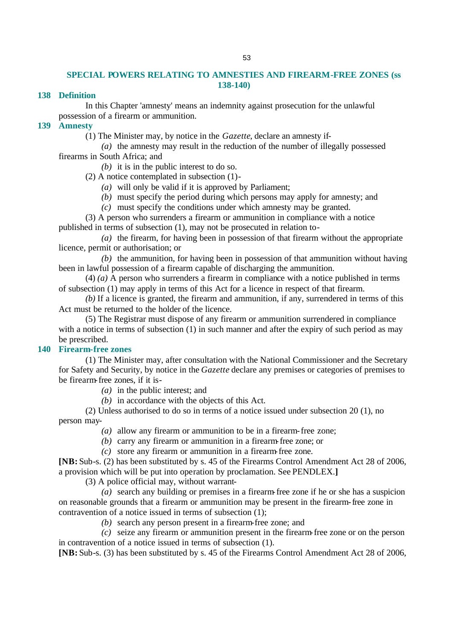## **SPECIAL POWERS RELATING TO AMNESTIES AND FIREARM-FREE ZONES (ss 138-140)**

## **138 Definition**

In this Chapter 'amnesty' means an indemnity against prosecution for the unlawful possession of a firearm or ammunition.

## **139 Amnesty**

(1) The Minister may, by notice in the *Gazette*, declare an amnesty if-

*(a)* the amnesty may result in the reduction of the number of illegally possessed firearms in South Africa; and

*(b)* it is in the public interest to do so.

(2) A notice contemplated in subsection (1)-

*(a)* will only be valid if it is approved by Parliament;

*(b)* must specify the period during which persons may apply for amnesty; and

*(c)* must specify the conditions under which amnesty may be granted.

(3) A person who surrenders a firearm or ammunition in compliance with a notice published in terms of subsection (1), may not be prosecuted in relation to-

*(a)* the firearm, for having been in possession of that firearm without the appropriate licence, permit or authorisation; or

*(b)* the ammunition, for having been in possession of that ammunition without having been in lawful possession of a firearm capable of discharging the ammunition.

(4) *(a)* A person who surrenders a firearm in compliance with a notice published in terms of subsection (1) may apply in terms of this Act for a licence in respect of that firearm.

*(b)* If a licence is granted, the firearm and ammunition, if any, surrendered in terms of this Act must be returned to the holder of the licence.

(5) The Registrar must dispose of any firearm or ammunition surrendered in compliance with a notice in terms of subsection (1) in such manner and after the expiry of such period as may be prescribed.

## **140 Firearm-free zones**

(1) The Minister may, after consultation with the National Commissioner and the Secretary for Safety and Security, by notice in the *Gazette* declare any premises or categories of premises to be firearm-free zones, if it is-

*(a)* in the public interest; and

*(b)* in accordance with the objects of this Act.

(2) Unless authorised to do so in terms of a notice issued under subsection 20 (1), no person may-

- *(a)* allow any firearm or ammunition to be in a firearm-free zone;
- *(b)* carry any firearm or ammunition in a firearm-free zone; or
- *(c)* store any firearm or ammunition in a firearm-free zone.

**[NB:** Sub-s. (2) has been substituted by s. 45 of the Firearms Control Amendment Act 28 of 2006, a provision which will be put into operation by proclamation. See PENDLEX.**]**

(3) A police official may, without warrant-

*(a)* search any building or premises in a firearm-free zone if he or she has a suspicion on reasonable grounds that a firearm or ammunition may be present in the firearm-free zone in contravention of a notice issued in terms of subsection (1);

*(b)* search any person present in a firearm-free zone; and

*(c)* seize any firearm or ammunition present in the firearm-free zone or on the person in contravention of a notice issued in terms of subsection (1).

**[NB:** Sub-s. (3) has been substituted by s. 45 of the Firearms Control Amendment Act 28 of 2006,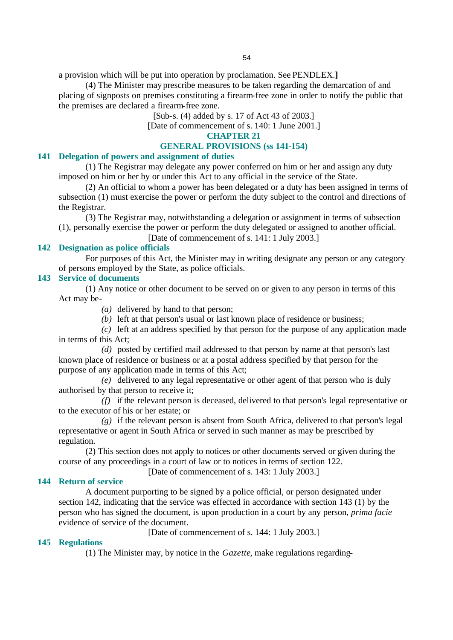a provision which will be put into operation by proclamation. See PENDLEX.**]**

(4) The Minister may prescribe measures to be taken regarding the demarcation of and placing of signposts on premises constituting a firearm-free zone in order to notify the public that the premises are declared a firearm-free zone.

[Sub-s. (4) added by s. 17 of Act 43 of 2003.]

[Date of commencement of s. 140: 1 June 2001.]

## **CHAPTER 21**

#### **GENERAL PROVISIONS (ss 141-154)**

## **141 Delegation of powers and assignment of duties**

(1) The Registrar may delegate any power conferred on him or her and assign any duty imposed on him or her by or under this Act to any official in the service of the State.

(2) An official to whom a power has been delegated or a duty has been assigned in terms of subsection (1) must exercise the power or perform the duty subject to the control and directions of the Registrar.

(3) The Registrar may, notwithstanding a delegation or assignment in terms of subsection (1), personally exercise the power or perform the duty delegated or assigned to another official.

[Date of commencement of s. 141: 1 July 2003.]

## **142 Designation as police officials**

For purposes of this Act, the Minister may in writing designate any person or any category of persons employed by the State, as police officials.

## **143 Service of documents**

(1) Any notice or other document to be served on or given to any person in terms of this Act may be-

- *(a)* delivered by hand to that person;
- *(b)* left at that person's usual or last known place of residence or business;

*(c)* left at an address specified by that person for the purpose of any application made in terms of this Act;

*(d)* posted by certified mail addressed to that person by name at that person's last known place of residence or business or at a postal address specified by that person for the purpose of any application made in terms of this Act;

*(e)* delivered to any legal representative or other agent of that person who is duly authorised by that person to receive it;

*(f)* if the relevant person is deceased, delivered to that person's legal representative or to the executor of his or her estate; or

*(g)* if the relevant person is absent from South Africa, delivered to that person's legal representative or agent in South Africa or served in such manner as may be prescribed by regulation.

(2) This section does not apply to notices or other documents served or given during the course of any proceedings in a court of law or to notices in terms of section 122.

[Date of commencement of s. 143: 1 July 2003.]

## **144 Return of service**

A document purporting to be signed by a police official, or person designated under section 142, indicating that the service was effected in accordance with section 143 (1) by the person who has signed the document, is upon production in a court by any person, *prima facie* evidence of service of the document.

[Date of commencement of s. 144: 1 July 2003.]

## **145 Regulations**

(1) The Minister may, by notice in the *Gazette*, make regulations regarding-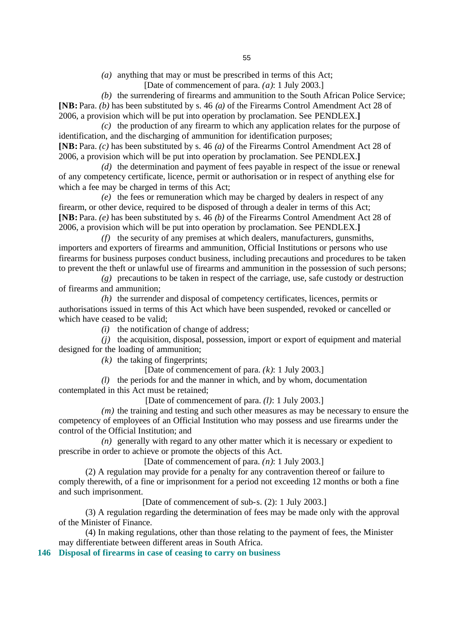*(a)* anything that may or must be prescribed in terms of this Act;

[Date of commencement of para. *(a)*: 1 July 2003.]

*(b)* the surrendering of firearms and ammunition to the South African Police Service; **[NB:** Para. *(b)* has been substituted by s. 46 *(a)* of the Firearms Control Amendment Act 28 of 2006, a provision which will be put into operation by proclamation. See PENDLEX.**]**

*(c)* the production of any firearm to which any application relates for the purpose of identification, and the discharging of ammunition for identification purposes; **[NB:** Para. *(c)* has been substituted by s. 46 *(a)* of the Firearms Control Amendment Act 28 of 2006, a provision which will be put into operation by proclamation. See PENDLEX.**]**

*(d)* the determination and payment of fees payable in respect of the issue or renewal of any competency certificate, licence, permit or authorisation or in respect of anything else for which a fee may be charged in terms of this Act;

*(e)* the fees or remuneration which may be charged by dealers in respect of any firearm, or other device, required to be disposed of through a dealer in terms of this Act; **[NB:** Para. *(e)* has been substituted by s. 46 *(b)* of the Firearms Control Amendment Act 28 of 2006, a provision which will be put into operation by proclamation. See PENDLEX.**]**

*(f)* the security of any premises at which dealers, manufacturers, gunsmiths, importers and exporters of firearms and ammunition, Official Institutions or persons who use firearms for business purposes conduct business, including precautions and procedures to be taken to prevent the theft or unlawful use of firearms and ammunition in the possession of such persons;

*(g)* precautions to be taken in respect of the carriage, use, safe custody or destruction of firearms and ammunition;

*(h)* the surrender and disposal of competency certificates, licences, permits or authorisations issued in terms of this Act which have been suspended, revoked or cancelled or which have ceased to be valid;

*(i)* the notification of change of address;

*(j)* the acquisition, disposal, possession, import or export of equipment and material designed for the loading of ammunition;

*(k)* the taking of fingerprints;

[Date of commencement of para. *(k)*: 1 July 2003.]

*(l)* the periods for and the manner in which, and by whom, documentation contemplated in this Act must be retained;

[Date of commencement of para. *(l)*: 1 July 2003.]

*(m)* the training and testing and such other measures as may be necessary to ensure the competency of employees of an Official Institution who may possess and use firearms under the control of the Official Institution; and

*(n)* generally with regard to any other matter which it is necessary or expedient to prescribe in order to achieve or promote the objects of this Act.

[Date of commencement of para. *(n)*: 1 July 2003.]

(2) A regulation may provide for a penalty for any contravention thereof or failure to comply therewith, of a fine or imprisonment for a period not exceeding 12 months or both a fine and such imprisonment.

[Date of commencement of sub-s. (2): 1 July 2003.]

(3) A regulation regarding the determination of fees may be made only with the approval of the Minister of Finance.

(4) In making regulations, other than those relating to the payment of fees, the Minister may differentiate between different areas in South Africa.

**146 Disposal of firearms in case of ceasing to carry on business**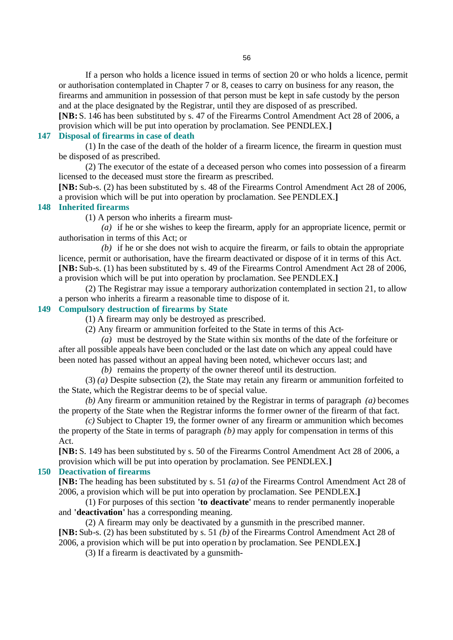If a person who holds a licence issued in terms of section 20 or who holds a licence, permit or authorisation contemplated in Chapter 7 or 8, ceases to carry on business for any reason, the firearms and ammunition in possession of that person must be kept in safe custody by the person and at the place designated by the Registrar, until they are disposed of as prescribed.

**[NB:** S. 146 has been substituted by s. 47 of the Firearms Control Amendment Act 28 of 2006, a provision which will be put into operation by proclamation. See PENDLEX.**]**

#### **147 Disposal of firearms in case of death**

(1) In the case of the death of the holder of a firearm licence, the firearm in question must be disposed of as prescribed.

(2) The executor of the estate of a deceased person who comes into possession of a firearm licensed to the deceased must store the firearm as prescribed.

**[NB:** Sub-s. (2) has been substituted by s. 48 of the Firearms Control Amendment Act 28 of 2006, a provision which will be put into operation by proclamation. See PENDLEX.**]**

#### **148 Inherited firearms**

(1) A person who inherits a firearm must-

*(a)* if he or she wishes to keep the firearm, apply for an appropriate licence, permit or authorisation in terms of this Act; or

*(b)* if he or she does not wish to acquire the firearm, or fails to obtain the appropriate licence, permit or authorisation, have the firearm deactivated or dispose of it in terms of this Act. **[NB:** Sub-s. (1) has been substituted by s. 49 of the Firearms Control Amendment Act 28 of 2006, a provision which will be put into operation by proclamation. See PENDLEX.**]**

(2) The Registrar may issue a temporary authorization contemplated in section 21, to allow a person who inherits a firearm a reasonable time to dispose of it.

#### **149 Compulsory destruction of firearms by State**

(1) A firearm may only be destroyed as prescribed.

(2) Any firearm or ammunition forfeited to the State in terms of this Act-

*(a)* must be destroyed by the State within six months of the date of the forfeiture or after all possible appeals have been concluded or the last date on which any appeal could have been noted has passed without an appeal having been noted, whichever occurs last; and

*(b)* remains the property of the owner thereof until its destruction.

(3) *(a)* Despite subsection (2), the State may retain any firearm or ammunition forfeited to the State, which the Registrar deems to be of special value.

*(b)* Any firearm or ammunition retained by the Registrar in terms of paragraph *(a)* becomes the property of the State when the Registrar informs the former owner of the firearm of that fact.

*(c)* Subject to Chapter 19, the former owner of any firearm or ammunition which becomes the property of the State in terms of paragraph *(b)* may apply for compensation in terms of this Act.

**[NB:** S. 149 has been substituted by s. 50 of the Firearms Control Amendment Act 28 of 2006, a provision which will be put into operation by proclamation. See PENDLEX.**]**

#### **150 Deactivation of firearms**

**[NB:** The heading has been substituted by s. 51 *(a)* of the Firearms Control Amendment Act 28 of 2006, a provision which will be put into operation by proclamation. See PENDLEX.**]**

(1) For purposes of this section **'to deactivate'** means to render permanently inoperable and **'deactivation'** has a corresponding meaning.

(2) A firearm may only be deactivated by a gunsmith in the prescribed manner. **[NB:** Sub-s. (2) has been substituted by s. 51 *(b)* of the Firearms Control Amendment Act 28 of 2006, a provision which will be put into operatio n by proclamation. See PENDLEX.**]**

(3) If a firearm is deactivated by a gunsmith-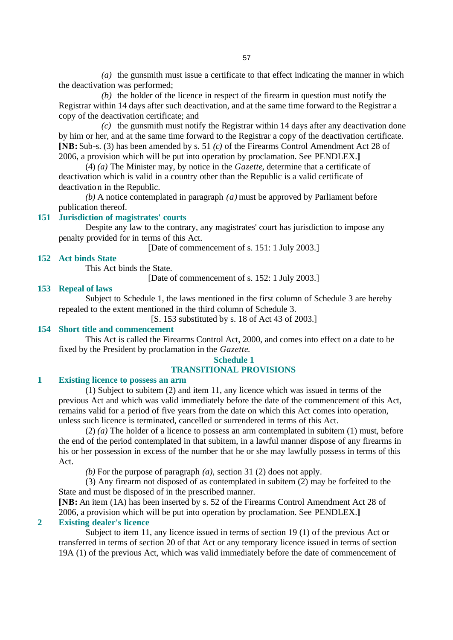*(a)* the gunsmith must issue a certificate to that effect indicating the manner in which the deactivation was performed;

*(b)* the holder of the licence in respect of the firearm in question must notify the Registrar within 14 days after such deactivation, and at the same time forward to the Registrar a copy of the deactivation certificate; and

*(c)* the gunsmith must notify the Registrar within 14 days after any deactivation done by him or her, and at the same time forward to the Registrar a copy of the deactivation certificate. **[NB:** Sub-s. (3) has been amended by s. 51 *(c)* of the Firearms Control Amendment Act 28 of 2006, a provision which will be put into operation by proclamation. See PENDLEX.**]**

(4) *(a)* The Minister may, by notice in the *Gazette*, determine that a certificate of deactivation which is valid in a country other than the Republic is a valid certificate of deactivation in the Republic.

*(b)* A notice contemplated in paragraph *(a)* must be approved by Parliament before publication thereof.

#### **151 Jurisdiction of magistrates' courts**

Despite any law to the contrary, any magistrates' court has jurisdiction to impose any penalty provided for in terms of this Act.

[Date of commencement of s. 151: 1 July 2003.]

#### **152 Act binds State**

This Act binds the State.

[Date of commencement of s. 152: 1 July 2003.]

#### **153 Repeal of laws**

Subject to Schedule 1, the laws mentioned in the first column of Schedule 3 are hereby repealed to the extent mentioned in the third column of Schedule 3.

[S. 153 substituted by s. 18 of Act 43 of 2003.]

## **154 Short title and commencement**

This Act is called the Firearms Control Act, 2000, and comes into effect on a date to be fixed by the President by proclamation in the *Gazette*.

## **Schedule 1 TRANSITIONAL PROVISIONS**

## **1 Existing licence to possess an arm**

(1) Subject to subitem (2) and item 11, any licence which was issued in terms of the previous Act and which was valid immediately before the date of the commencement of this Act, remains valid for a period of five years from the date on which this Act comes into operation, unless such licence is terminated, cancelled or surrendered in terms of this Act.

 $(2)$   $(a)$  The holder of a licence to possess an arm contemplated in subitem  $(1)$  must, before the end of the period contemplated in that subitem, in a lawful manner dispose of any firearms in his or her possession in excess of the number that he or she may lawfully possess in terms of this Act.

*(b)* For the purpose of paragraph *(a)*, section 31 (2) does not apply.

(3) Any firearm not disposed of as contemplated in subitem (2) may be forfeited to the State and must be disposed of in the prescribed manner.

**[NB:** An item (1A) has been inserted by s. 52 of the Firearms Control Amendment Act 28 of 2006, a provision which will be put into operation by proclamation. See PENDLEX.**] 2 Existing dealer's licence**

Subject to item 11, any licence issued in terms of section 19 (1) of the previous Act or transferred in terms of section 20 of that Act or any temporary licence issued in terms of section 19A (1) of the previous Act, which was valid immediately before the date of commencement of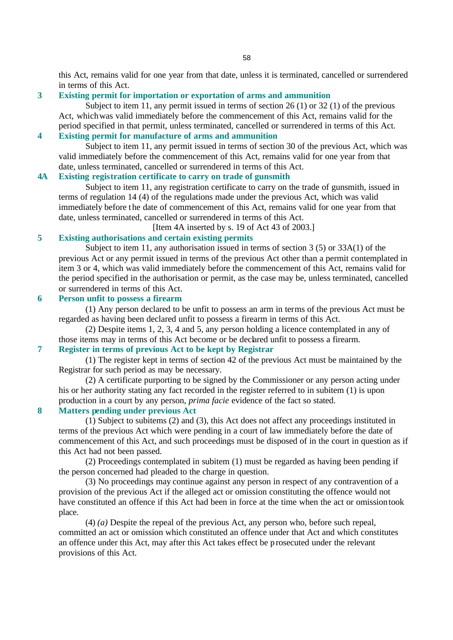this Act, remains valid for one year from that date, unless it is terminated, cancelled or surrendered in terms of this Act.

## **3 Existing permit for importation or exportation of arms and ammunition**

Subject to item 11, any permit issued in terms of section 26 (1) or 32 (1) of the previous Act, which was valid immediately before the commencement of this Act, remains valid for the period specified in that permit, unless terminated, cancelled or surrendered in terms of this Act.

# **4 Existing permit for manufacture of arms and ammunition**

Subject to item 11, any permit issued in terms of section 30 of the previous Act, which was valid immediately before the commencement of this Act, remains valid for one year from that date, unless terminated, cancelled or surrendered in terms of this Act.

## **4A Existing registration certificate to carry on trade of gunsmith**

Subject to item 11, any registration certificate to carry on the trade of gunsmith, issued in terms of regulation 14 (4) of the regulations made under the previous Act, which was valid immediately before the date of commencement of this Act, remains valid for one year from that date, unless terminated, cancelled or surrendered in terms of this Act.

[Item 4A inserted by s. 19 of Act 43 of 2003.]

## **5 Existing authorisations and certain existing permits**

Subject to item 11, any authorisation issued in terms of section 3 (5) or 33A(1) of the previous Act or any permit issued in terms of the previous Act other than a permit contemplated in item 3 or 4, which was valid immediately before the commencement of this Act, remains valid for the period specified in the authorisation or permit, as the case may be, unless terminated, cancelled or surrendered in terms of this Act.

## **6 Person unfit to possess a firearm**

(1) Any person declared to be unfit to possess an arm in terms of the previous Act must be regarded as having been declared unfit to possess a firearm in terms of this Act.

(2) Despite items 1, 2, 3, 4 and 5, any person holding a licence contemplated in any of those items may in terms of this Act become or be declared unfit to possess a firearm.

# **7 Register in terms of previous Act to be kept by Registrar**

(1) The register kept in terms of section 42 of the previous Act must be maintained by the Registrar for such period as may be necessary.

(2) A certificate purporting to be signed by the Commissioner or any person acting under his or her authority stating any fact recorded in the register referred to in subitem (1) is upon production in a court by any person, *prima facie* evidence of the fact so stated.

#### **8 Matters pending under previous Act**

(1) Subject to subitems (2) and (3), this Act does not affect any proceedings instituted in terms of the previous Act which were pending in a court of law immediately before the date of commencement of this Act, and such proceedings must be disposed of in the court in question as if this Act had not been passed.

(2) Proceedings contemplated in subitem (1) must be regarded as having been pending if the person concerned had pleaded to the charge in question.

(3) No proceedings may continue against any person in respect of any contravention of a provision of the previous Act if the alleged act or omission constituting the offence would not have constituted an offence if this Act had been in force at the time when the act or omission took place.

(4) *(a)* Despite the repeal of the previous Act, any person who, before such repeal, committed an act or omission which constituted an offence under that Act and which constitutes an offence under this Act, may after this Act takes effect be prosecuted under the relevant provisions of this Act.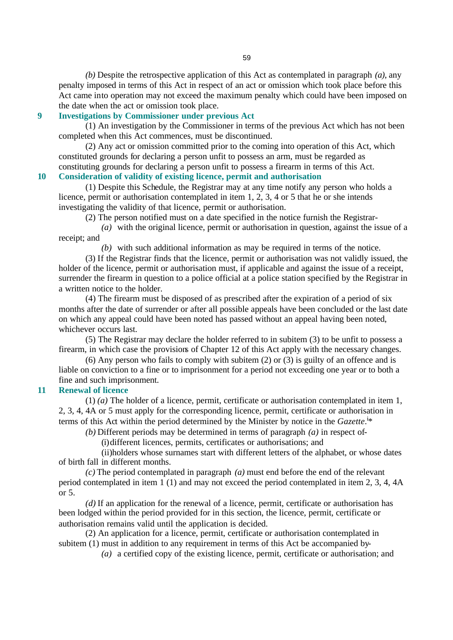*(b)* Despite the retrospective application of this Act as contemplated in paragraph *(a)*, any penalty imposed in terms of this Act in respect of an act or omission which took place before this Act came into operation may not exceed the maximum penalty which could have been imposed on the date when the act or omission took place.

## **9 Investigations by Commissioner under previous Act**

(1) An investigation by the Commissioner in terms of the previous Act which has not been completed when this Act commences, must be discontinued.

(2) Any act or omission committed prior to the coming into operation of this Act, which constituted grounds for declaring a person unfit to possess an arm, must be regarded as constituting grounds for declaring a person unfit to possess a firearm in terms of this Act. **10 Consideration of validity of existing licence, permit and authorisation**

(1) Despite this Schedule, the Registrar may at any time notify any person who holds a licence, permit or authorisation contemplated in item 1, 2, 3, 4 or 5 that he or she intends investigating the validity of that licence, permit or authorisation.

(2) The person notified must on a date specified in the notice furnish the Registrar-

*(a)* with the original licence, permit or authorisation in question, against the issue of a receipt; and

*(b)* with such additional information as may be required in terms of the notice.

(3) If the Registrar finds that the licence, permit or authorisation was not validly issued, the holder of the licence, permit or authorisation must, if applicable and against the issue of a receipt, surrender the firearm in question to a police official at a police station specified by the Registrar in a written notice to the holder.

(4) The firearm must be disposed of as prescribed after the expiration of a period of six months after the date of surrender or after all possible appeals have been concluded or the last date on which any appeal could have been noted has passed without an appeal having been noted, whichever occurs last.

(5) The Registrar may declare the holder referred to in subitem (3) to be unfit to possess a firearm, in which case the provisions of Chapter 12 of this Act apply with the necessary changes.

(6) Any person who fails to comply with subitem (2) or (3) is guilty of an offence and is liable on conviction to a fine or to imprisonment for a period not exceeding one year or to both a fine and such imprisonment.

## **11 Renewal of licence**

(1) *(a)* The holder of a licence, permit, certificate or authorisation contemplated in item 1, 2, 3, 4, 4A or 5 must apply for the corresponding licence, permit, certificate or authorisation in terms of this Act within the period determined by the Minister by notice in the *Gazette*.<sup>i\*</sup>

*(b)* Different periods may be determined in terms of paragraph *(a)* in respect of-

(i)different licences, permits, certificates or authorisations; and

(ii)holders whose surnames start with different letters of the alphabet, or whose dates of birth fall in different months.

*(c)* The period contemplated in paragraph *(a)* must end before the end of the relevant period contemplated in item 1 (1) and may not exceed the period contemplated in item 2, 3, 4, 4A or 5.

*(d)* If an application for the renewal of a licence, permit, certificate or authorisation has been lodged within the period provided for in this section, the licence, permit, certificate or authorisation remains valid until the application is decided.

(2) An application for a licence, permit, certificate or authorisation contemplated in subitem (1) must in addition to any requirement in terms of this Act be accompanied by-

*(a)* a certified copy of the existing licence, permit, certificate or authorisation; and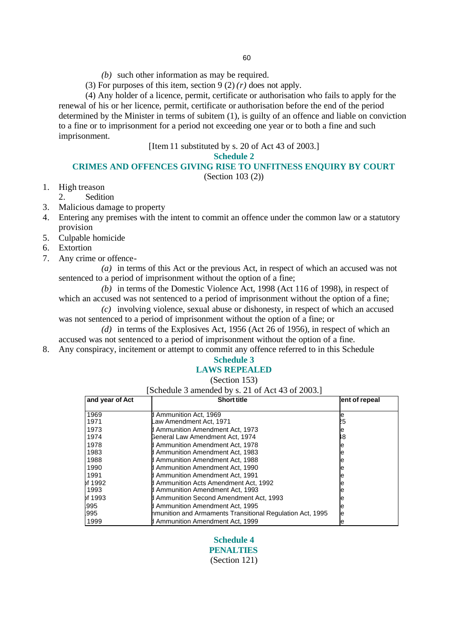- *(b)* such other information as may be required.
- (3) For purposes of this item, section  $9(2)(r)$  does not apply.

(4) Any holder of a licence, permit, certificate or authorisation who fails to apply for the renewal of his or her licence, permit, certificate or authorisation before the end of the period determined by the Minister in terms of subitem (1), is guilty of an offence and liable on conviction to a fine or to imprisonment for a period not exceeding one year or to both a fine and such imprisonment.

[Item 11 substituted by s. 20 of Act 43 of 2003.]

**Schedule 2**

## **CRIMES AND OFFENCES GIVING RISE TO UNFITNESS ENQUIRY BY COURT**

(Section 103 (2))

- 1. High treason
- 2. Sedition
- 3. Malicious damage to property
- 4. Entering any premises with the intent to commit an offence under the common law or a statutory provision
- 5. Culpable homicide
- 6. Extortion
- 7. Any crime or offence-

*(a)* in terms of this Act or the previous Act, in respect of which an accused was not sentenced to a period of imprisonment without the option of a fine;

*(b)* in terms of the Domestic Violence Act, 1998 (Act 116 of 1998), in respect of which an accused was not sentenced to a period of imprisonment without the option of a fine;

*(c)* involving violence, sexual abuse or dishonesty, in respect of which an accused was not sentenced to a period of imprisonment without the option of a fine; or

*(d)* in terms of the Explosives Act, 1956 (Act 26 of 1956), in respect of which an accused was not sentenced to a period of imprisonment without the option of a fine.

8. Any conspiracy, incitement or attempt to commit any offence referred to in this Schedule

# **Schedule 3**

# **LAWS REPEALED**

(Section 153)

[Schedule 3 amended by s. 21 of Act 43 of 2003.]

| and year of Act | <b>Short title</b>                                        | ent of repeal |
|-----------------|-----------------------------------------------------------|---------------|
| 1969            | d Ammunition Act. 1969                                    | е             |
| 1971            | aw Amendment Act, 1971–                                   | 25            |
| 1973            | Ammunition Amendment Act, 1973                            | е             |
| 1974            | Beneral Law Amendment Act, 1974                           | 18            |
| 1978            | d Ammunition Amendment Act. 1978                          |               |
| 1983            | d Ammunition Amendment Act, 1983                          | е             |
| 1988            | Ammunition Amendment Act, 1988                            | е             |
| 1990            | d Ammunition Amendment Act. 1990                          | е             |
| 1991            | d Ammunition Amendment Act, 1991                          |               |
| of 1992         | d Ammunition Acts Amendment Act. 1992                     |               |
| 1993            | <b>I</b> Ammunition Amendment Act, 1993                   |               |
| of 1993         | d Ammunition Second Amendment Act, 1993                   |               |
| 995             | d Ammunition Amendment Act, 1995                          | le            |
| 995             | hmunition and Armaments Transitional Regulation Act, 1995 | le            |
| 1999            | <b>I</b> Ammunition Amendment Act. 1999                   | e             |

**Schedule 4 PENALTIES** (Section 121)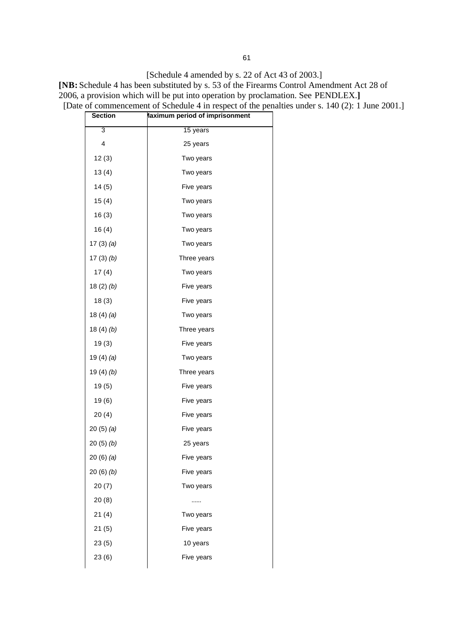**[NB:** Schedule 4 has been substituted by s. 53 of the Firearms Control Amendment Act 28 of 2006, a provision which will be put into operation by proclamation. See PENDLEX.**]**

| <b>Section</b> | laximum period of imprisonment |
|----------------|--------------------------------|
| 3              | 15 years                       |
| 4              | 25 years                       |
| 12(3)          | Two years                      |
| 13(4)          | Two years                      |
| 14(5)          | Five years                     |
| 15(4)          | Two years                      |
| 16(3)          | Two years                      |
| 16(4)          | Two years                      |
| 17 $(3)$ $(a)$ | Two years                      |
| 17 $(3)(b)$    | Three years                    |
| 17(4)          | Two years                      |
| 18(2)(b)       | Five years                     |
| 18(3)          | Five years                     |
| 18(4)(a)       | Two years                      |
| 18(4)(b)       | Three years                    |
| 19(3)          | Five years                     |
| 19 $(4)$ $(a)$ | Two years                      |
| 19 $(4)(b)$    | Three years                    |
| 19(5)          | Five years                     |
| 19(6)          | Five years                     |
| 20(4)          | Five years                     |
| 20(5)(a)       | Five years                     |
| 20(5)(b)       | 25 years                       |
| 20(6)(a)       | Five years                     |
| 20(6)(b)       | Five years                     |
| 20(7)          | Two years                      |
| 20(8)          |                                |
| 21(4)          | Two years                      |
| 21(5)          | Five years                     |
| 23(5)          | 10 years                       |
| 23(6)          | Five years                     |
|                |                                |

[Date of commencement of Schedule 4 in respect of the penalties under s. 140 (2): 1 June 2001.]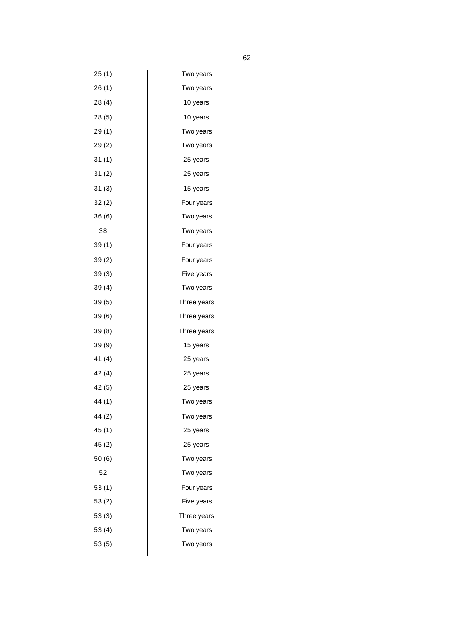| 25(1)  | Two years   |
|--------|-------------|
| 26(1)  | Two years   |
| 28(4)  | 10 years    |
| 28(5)  | 10 years    |
| 29(1)  | Two years   |
| 29(2)  | Two years   |
| 31(1)  | 25 years    |
| 31(2)  | 25 years    |
| 31(3)  | 15 years    |
| 32(2)  | Four years  |
| 36(6)  | Two years   |
| 38     | Two years   |
| 39(1)  | Four years  |
| 39(2)  | Four years  |
| 39(3)  | Five years  |
| 39(4)  | Two years   |
| 39(5)  | Three years |
| 39(6)  | Three years |
| 39(8)  | Three years |
| 39(9)  | 15 years    |
| 41(4)  | 25 years    |
| 42(4)  | 25 years    |
| 42(5)  | 25 years    |
| 44 (1) | Two years   |
| 44(2)  | Two years   |
| 45(1)  | 25 years    |
| 45(2)  | 25 years    |
| 50(6)  | Two years   |
| 52     | Two years   |
| 53(1)  | Four years  |
| 53(2)  | Five years  |
| 53(3)  | Three years |
| 53(4)  | Two years   |
| 53(5)  | Two years   |
|        |             |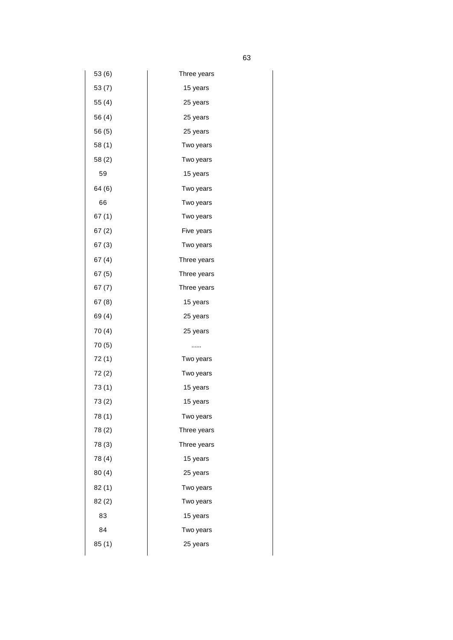| 53 (6) | Three years |  |
|--------|-------------|--|
| 53(7)  | 15 years    |  |
| 55 (4) | 25 years    |  |
| 56 (4) | 25 years    |  |
| 56 (5) | 25 years    |  |
| 58(1)  | Two years   |  |
| 58(2)  | Two years   |  |
| 59     | 15 years    |  |
| 64 (6) | Two years   |  |
| 66     | Two years   |  |
| 67(1)  | Two years   |  |
| 67(2)  | Five years  |  |
| 67(3)  | Two years   |  |
| 67(4)  | Three years |  |
| 67(5)  | Three years |  |
| 67 (7) | Three years |  |
| 67(8)  | 15 years    |  |
| 69 (4) | 25 years    |  |
| 70(4)  | 25 years    |  |
| 70(5)  |             |  |
| 72(1)  | Two years   |  |
| 72(2)  | Two years   |  |
| 73(1)  | 15 years    |  |
| 73(2)  | 15 years    |  |
| 78(1)  | Two years   |  |
| 78(2)  | Three years |  |
| 78 (3) | Three years |  |
| 78 (4) | 15 years    |  |
| 80(4)  | 25 years    |  |
| 82(1)  | Two years   |  |
| 82(2)  | Two years   |  |
| 83     | 15 years    |  |
| 84     | Two years   |  |
| 85(1)  | 25 years    |  |
|        |             |  |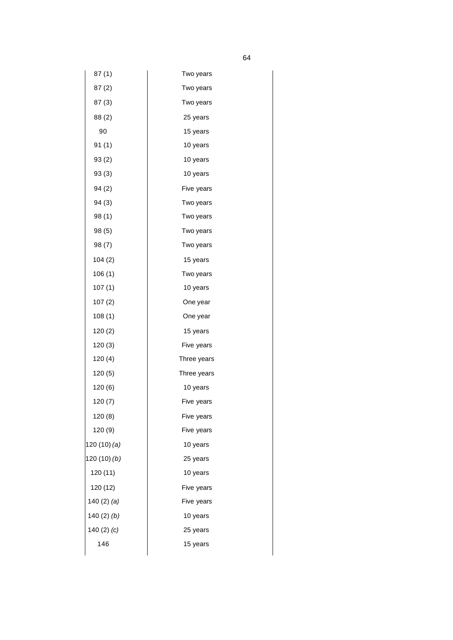| 87(1)           | Two years   |
|-----------------|-------------|
| 87(2)           | Two years   |
| 87(3)           | Two years   |
| 88 (2)          | 25 years    |
| 90              | 15 years    |
| 91(1)           | 10 years    |
| 93(2)           | 10 years    |
| 93 (3)          | 10 years    |
| 94 (2)          | Five years  |
| 94(3)           | Two years   |
| 98(1)           | Two years   |
| 98 (5)          | Two years   |
| 98(7)           | Two years   |
| 104 (2)         | 15 years    |
| 106(1)          | Two years   |
| 107(1)          | 10 years    |
| 107(2)          | One year    |
| 108(1)          | One year    |
| 120(2)          | 15 years    |
| 120(3)          | Five years  |
| 120(4)          | Three years |
| 120 (5)         | Three years |
| 120 (6)         | 10 years    |
| 120(7)          | Five years  |
| 120 (8)         | Five years  |
| 120 (9)         | Five years  |
| 120 (10) (a)    | 10 years    |
| 120(10)(b)      | 25 years    |
| 120 (11)        | 10 years    |
| 120 (12)        | Five years  |
| 140 $(2)$ $(a)$ | Five years  |
| 140 $(2)$ $(b)$ | 10 years    |
| 140 $(2)$ $(c)$ | 25 years    |
| 146             | 15 years    |
|                 |             |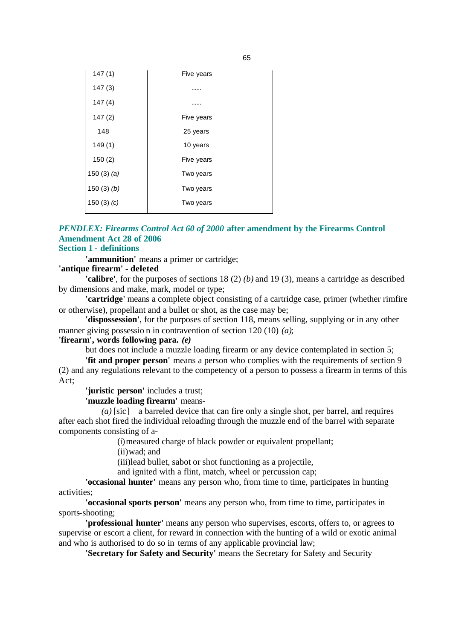| Five years |
|------------|
|            |
|            |
| Five years |
| 25 years   |
| 10 years   |
| Five years |
| Two years  |
| Two years  |
| Two years  |
|            |

#### *PENDLEX: Firearms Control Act 60 of 2000* **after amendment by the Firearms Control Amendment Act 28 of 2006 Section 1 - definitions**

**'ammunition'** means a primer or cartridge;

#### **'antique firearm' - deleted**

**'calibre'**, for the purposes of sections 18 (2) *(b)* and 19 (3), means a cartridge as described by dimensions and make, mark, model or type;

**'cartridge'** means a complete object consisting of a cartridge case, primer (whether rimfire or otherwise), propellant and a bullet or shot, as the case may be;

**'dispossession'**, for the purposes of section 118, means selling, supplying or in any other manner giving possessio n in contravention of section 120 (10) *(a)*;

#### **'firearm', words following para.** *(e)*

but does not include a muzzle loading firearm or any device contemplated in section 5;

**'fit and proper person'** means a person who complies with the requirements of section 9 (2) and any regulations relevant to the competency of a person to possess a firearm in terms of this Act;

**'juristic person'** includes a trust;

#### **'muzzle loading firearm'** means-

*(a)* [sic] a barreled device that can fire only a single shot, per barrel, and requires after each shot fired the individual reloading through the muzzle end of the barrel with separate components consisting of a-

(i)measured charge of black powder or equivalent propellant;

(ii)wad; and

(iii)lead bullet, sabot or shot functioning as a projectile,

and ignited with a flint, match, wheel or percussion cap;

**'occasional hunter'** means any person who, from time to time, participates in hunting activities;

**'occasional sports person'** means any person who, from time to time, participates in sports-shooting;

**'professional hunter'** means any person who supervises, escorts, offers to, or agrees to supervise or escort a client, for reward in connection with the hunting of a wild or exotic animal and who is authorised to do so in terms of any applicable provincial law;

**'Secretary for Safety and Security'** means the Secretary for Safety and Security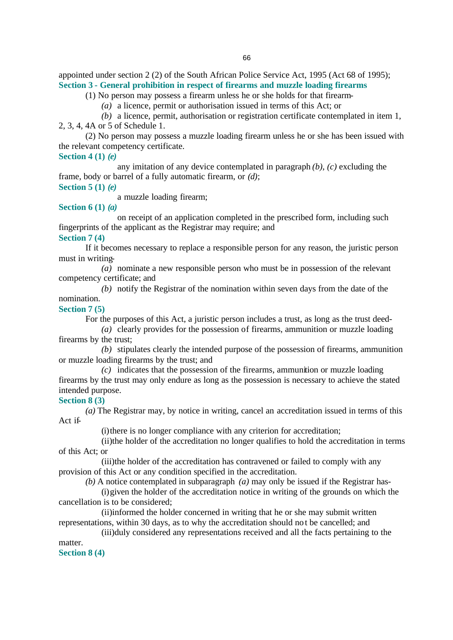appointed under section 2 (2) of the South African Police Service Act, 1995 (Act 68 of 1995); **Section 3 - General prohibition in respect of firearms and muzzle loading firearms**

(1) No person may possess a firearm unless he or she holds for that firearm-

*(a)* a licence, permit or authorisation issued in terms of this Act; or

*(b)* a licence, permit, authorisation or registration certificate contemplated in item 1, 2, 3, 4, 4A or 5 of Schedule 1.

(2) No person may possess a muzzle loading firearm unless he or she has been issued with the relevant competency certificate.

**Section 4 (1)** *(e)*

any imitation of any device contemplated in paragraph *(b)*, *(c)* excluding the frame, body or barrel of a fully automatic firearm, or *(d)*; **Section 5 (1)** *(e)*

a muzzle loading firearm;

## **Section 6 (1)** *(a)*

on receipt of an application completed in the prescribed form, including such fingerprints of the applicant as the Registrar may require; and

**Section 7 (4)**

If it becomes necessary to replace a responsible person for any reason, the juristic person must in writing-

*(a)* nominate a new responsible person who must be in possession of the relevant competency certificate; and

*(b)* notify the Registrar of the nomination within seven days from the date of the nomination.

#### **Section 7 (5)**

For the purposes of this Act, a juristic person includes a trust, as long as the trust deed-

*(a)* clearly provides for the possession of firearms, ammunition or muzzle loading firearms by the trust;

*(b)* stipulates clearly the intended purpose of the possession of firearms, ammunition or muzzle loading firearms by the trust; and

*(c)* indicates that the possession of the firearms, ammunition or muzzle loading firearms by the trust may only endure as long as the possession is necessary to achieve the stated intended purpose.

## **Section 8 (3)**

*(a)* The Registrar may, by notice in writing, cancel an accreditation issued in terms of this Act if-

(i)there is no longer compliance with any criterion for accreditation;

(ii)the holder of the accreditation no longer qualifies to hold the accreditation in terms of this Act; or

(iii)the holder of the accreditation has contravened or failed to comply with any provision of this Act or any condition specified in the accreditation.

*(b)* A notice contemplated in subparagraph *(a)* may only be issued if the Registrar has-

(i)given the holder of the accreditation notice in writing of the grounds on which the cancellation is to be considered;

(ii)informed the holder concerned in writing that he or she may submit written representations, within 30 days, as to why the accreditation should no t be cancelled; and

(iii)duly considered any representations received and all the facts pertaining to the matter.

**Section 8 (4)**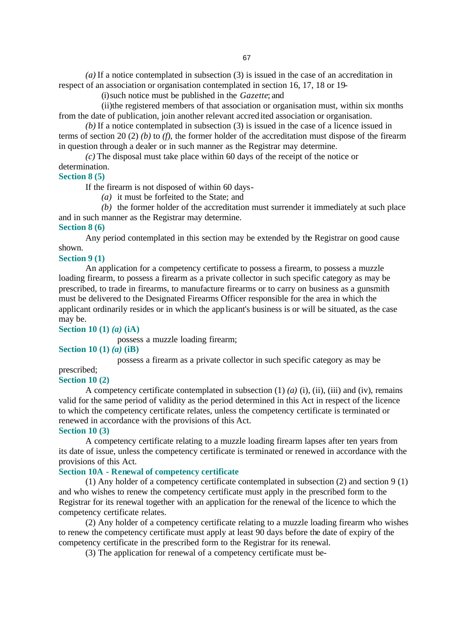*(a)* If a notice contemplated in subsection (3) is issued in the case of an accreditation in respect of an association or organisation contemplated in section 16, 17, 18 or 19-

(i)such notice must be published in the *Gazette*; and

(ii)the registered members of that association or organisation must, within six months from the date of publication, join another relevant accred ited association or organisation.

*(b)* If a notice contemplated in subsection (3) is issued in the case of a licence issued in terms of section 20 (2) *(b)* to *(f)*, the former holder of the accreditation must dispose of the firearm in question through a dealer or in such manner as the Registrar may determine.

*(c)* The disposal must take place within 60 days of the receipt of the notice or determination.

**Section 8 (5)**

If the firearm is not disposed of within 60 days-

*(a)* it must be forfeited to the State; and

*(b)* the former holder of the accreditation must surrender it immediately at such place and in such manner as the Registrar may determine. **Section 8 (6)**

Any period contemplated in this section may be extended by the Registrar on good cause shown.

#### **Section 9 (1)**

An application for a competency certificate to possess a firearm, to possess a muzzle loading firearm, to possess a firearm as a private collector in such specific category as may be prescribed, to trade in firearms, to manufacture firearms or to carry on business as a gunsmith must be delivered to the Designated Firearms Officer responsible for the area in which the applicant ordinarily resides or in which the applicant's business is or will be situated, as the case may be.

**Section 10 (1)** *(a)* **(iA)**

possess a muzzle loading firearm;

**Section 10 (1)** *(a)* **(iB)**

possess a firearm as a private collector in such specific category as may be

prescribed; **Section 10 (2)**

A competency certificate contemplated in subsection (1) *(a)* (i), (ii), (iii) and (iv), remains valid for the same period of validity as the period determined in this Act in respect of the licence to which the competency certificate relates, unless the competency certificate is terminated or renewed in accordance with the provisions of this Act.

#### **Section 10 (3)**

A competency certificate relating to a muzzle loading firearm lapses after ten years from its date of issue, unless the competency certificate is terminated or renewed in accordance with the provisions of this Act.

## **Section 10A - Renewal of competency certificate**

(1) Any holder of a competency certificate contemplated in subsection (2) and section 9 (1) and who wishes to renew the competency certificate must apply in the prescribed form to the Registrar for its renewal together with an application for the renewal of the licence to which the competency certificate relates.

(2) Any holder of a competency certificate relating to a muzzle loading firearm who wishes to renew the competency certificate must apply at least 90 days before the date of expiry of the competency certificate in the prescribed form to the Registrar for its renewal.

(3) The application for renewal of a competency certificate must be-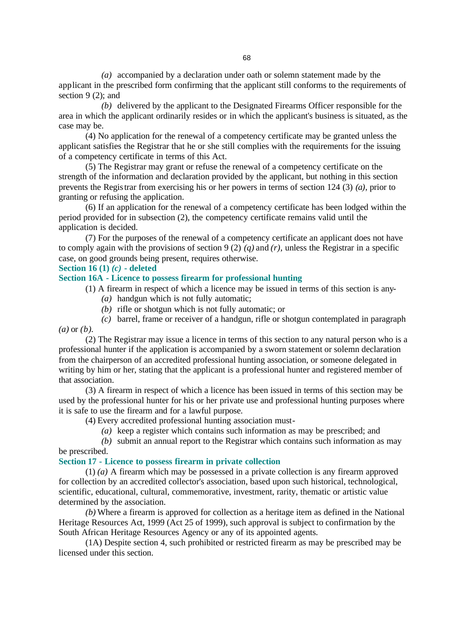*(a)* accompanied by a declaration under oath or solemn statement made by the applicant in the prescribed form confirming that the applicant still conforms to the requirements of section 9 (2); and

*(b)* delivered by the applicant to the Designated Firearms Officer responsible for the area in which the applicant ordinarily resides or in which the applicant's business is situated, as the case may be.

(4) No application for the renewal of a competency certificate may be granted unless the applicant satisfies the Registrar that he or she still complies with the requirements for the issuing of a competency certificate in terms of this Act.

(5) The Registrar may grant or refuse the renewal of a competency certificate on the strength of the information and declaration provided by the applicant, but nothing in this section prevents the Registrar from exercising his or her powers in terms of section 124 (3) *(a)*, prior to granting or refusing the application.

(6) If an application for the renewal of a competency certificate has been lodged within the period provided for in subsection (2), the competency certificate remains valid until the application is decided.

(7) For the purposes of the renewal of a competency certificate an applicant does not have to comply again with the provisions of section 9 (2) *(q)* and *(r)*, unless the Registrar in a specific case, on good grounds being present, requires otherwise.

#### **Section 16 (1)** *(c)* **- deleted**

## **Section 16A - Licence to possess firearm for professional hunting**

(1) A firearm in respect of which a licence may be issued in terms of this section is any-

- *(a)* handgun which is not fully automatic;
- *(b)* rifle or shotgun which is not fully automatic; or
- *(c)* barrel, frame or receiver of a handgun, rifle or shotgun contemplated in paragraph *(a)* or *(b)*.

(2) The Registrar may issue a licence in terms of this section to any natural person who is a professional hunter if the application is accompanied by a sworn statement or solemn declaration from the chairperson of an accredited professional hunting association, or someone delegated in writing by him or her, stating that the applicant is a professional hunter and registered member of that association.

(3) A firearm in respect of which a licence has been issued in terms of this section may be used by the professional hunter for his or her private use and professional hunting purposes where it is safe to use the firearm and for a lawful purpose.

(4) Every accredited professional hunting association must-

*(a)* keep a register which contains such information as may be prescribed; and

*(b)* submit an annual report to the Registrar which contains such information as may be prescribed.

## **Section 17 - Licence to possess firearm in private collection**

(1) *(a)* A firearm which may be possessed in a private collection is any firearm approved for collection by an accredited collector's association, based upon such historical, technological, scientific, educational, cultural, commemorative, investment, rarity, thematic or artistic value determined by the association.

*(b)* Where a firearm is approved for collection as a heritage item as defined in the National Heritage Resources Act, 1999 (Act 25 of 1999), such approval is subject to confirmation by the South African Heritage Resources Agency or any of its appointed agents.

(1A) Despite section 4, such prohibited or restricted firearm as may be prescribed may be licensed under this section.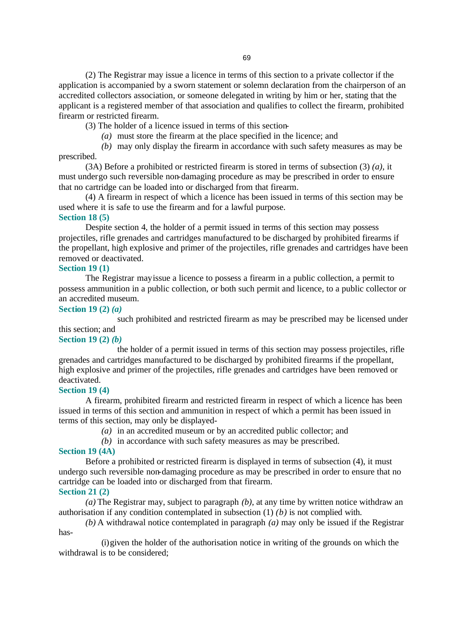(2) The Registrar may issue a licence in terms of this section to a private collector if the application is accompanied by a sworn statement or solemn declaration from the chairperson of an accredited collectors association, or someone delegated in writing by him or her, stating that the applicant is a registered member of that association and qualifies to collect the firearm, prohibited firearm or restricted firearm.

(3) The holder of a licence issued in terms of this section-

*(a)* must store the firearm at the place specified in the licence; and

*(b)* may only display the firearm in accordance with such safety measures as may be prescribed.

(3A) Before a prohibited or restricted firearm is stored in terms of subsection (3) *(a)*, it must undergo such reversible non-damaging procedure as may be prescribed in order to ensure that no cartridge can be loaded into or discharged from that firearm.

(4) A firearm in respect of which a licence has been issued in terms of this section may be used where it is safe to use the firearm and for a lawful purpose.

## **Section 18 (5)**

Despite section 4, the holder of a permit issued in terms of this section may possess projectiles, rifle grenades and cartridges manufactured to be discharged by prohibited firearms if the propellant, high explosive and primer of the projectiles, rifle grenades and cartridges have been removed or deactivated.

## **Section 19 (1)**

The Registrar may issue a licence to possess a firearm in a public collection, a permit to possess ammunition in a public collection, or both such permit and licence, to a public collector or an accredited museum.

## **Section 19 (2)** *(a)*

such prohibited and restricted firearm as may be prescribed may be licensed under this section; and

## **Section 19 (2)** *(b)*

the holder of a permit issued in terms of this section may possess projectiles, rifle grenades and cartridges manufactured to be discharged by prohibited firearms if the propellant, high explosive and primer of the projectiles, rifle grenades and cartridges have been removed or deactivated.

## **Section 19 (4)**

A firearm, prohibited firearm and restricted firearm in respect of which a licence has been issued in terms of this section and ammunition in respect of which a permit has been issued in terms of this section, may only be displayed-

- *(a)* in an accredited museum or by an accredited public collector; and
- *(b)* in accordance with such safety measures as may be prescribed.

## **Section 19 (4A)**

Before a prohibited or restricted firearm is displayed in terms of subsection (4), it must undergo such reversible non-damaging procedure as may be prescribed in order to ensure that no cartridge can be loaded into or discharged from that firearm. **Section 21 (2)**

*(a)* The Registrar may, subject to paragraph *(b)*, at any time by written notice withdraw an authorisation if any condition contemplated in subsection (1) *(b)* is not complied with.

*(b)* A withdrawal notice contemplated in paragraph *(a)* may only be issued if the Registrar has-

(i)given the holder of the authorisation notice in writing of the grounds on which the withdrawal is to be considered;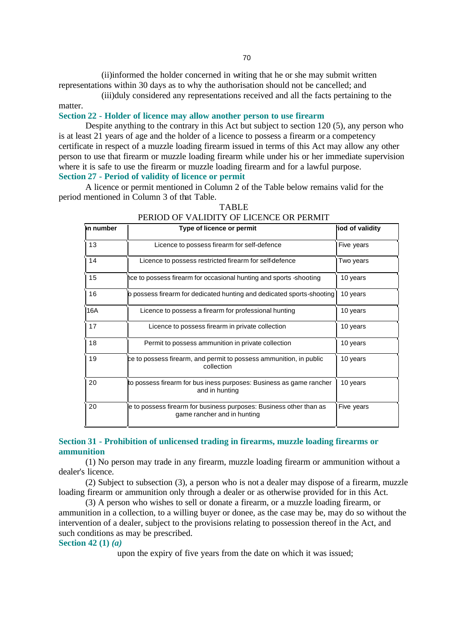(ii)informed the holder concerned in writing that he or she may submit written representations within 30 days as to why the authorisation should not be cancelled; and

(iii)duly considered any representations received and all the facts pertaining to the matter.

## **Section 22 - Holder of licence may allow another person to use firearm**

Despite anything to the contrary in this Act but subject to section 120 (5), any person who is at least 21 years of age and the holder of a licence to possess a firearm or a competency certificate in respect of a muzzle loading firearm issued in terms of this Act may allow any other person to use that firearm or muzzle loading firearm while under his or her immediate supervision where it is safe to use the firearm or muzzle loading firearm and for a lawful purpose. **Section 27 - Period of validity of licence or permit**

A licence or permit mentioned in Column 2 of the Table below remains valid for the period mentioned in Column 3 of that Table.

| n number | Type of licence or permit                                                                         | iod of validity |
|----------|---------------------------------------------------------------------------------------------------|-----------------|
| 13       | Licence to possess firearm for self-defence                                                       | Five years      |
| 14       | Licence to possess restricted firearm for self-defence                                            | Two years       |
| 15       | hce to possess firearm for occasional hunting and sports -shooting                                | 10 years        |
| 16       | p possess firearm for dedicated hunting and dedicated sports-shooting                             | 10 years        |
| 16A      | Licence to possess a firearm for professional hunting                                             | 10 years        |
| 17       | Licence to possess firearm in private collection                                                  | 10 years        |
| 18       | Permit to possess ammunition in private collection                                                | 10 years        |
| 19       | ce to possess firearm, and permit to possess ammunition, in public<br>collection                  | 10 years        |
| 20       | to possess firearm for bus iness purposes: Business as game rancher<br>and in hunting             | 10 years        |
| 20       | e to possess firearm for business purposes: Business other than as<br>game rancher and in hunting | Five years      |

#### TABLE PERIOD OF VALIDITY OF LICENCE OR PERMIT

## **Section 31 - Prohibition of unlicensed trading in firearms, muzzle loading firearms or ammunition**

(1) No person may trade in any firearm, muzzle loading firearm or ammunition without a dealer's licence.

(2) Subject to subsection (3), a person who is not a dealer may dispose of a firearm, muzzle loading firearm or ammunition only through a dealer or as otherwise provided for in this Act.

(3) A person who wishes to sell or donate a firearm, or a muzzle loading firearm, or ammunition in a collection, to a willing buyer or donee, as the case may be, may do so without the intervention of a dealer, subject to the provisions relating to possession thereof in the Act, and such conditions as may be prescribed.

## **Section 42 (1)** *(a)*

upon the expiry of five years from the date on which it was issued;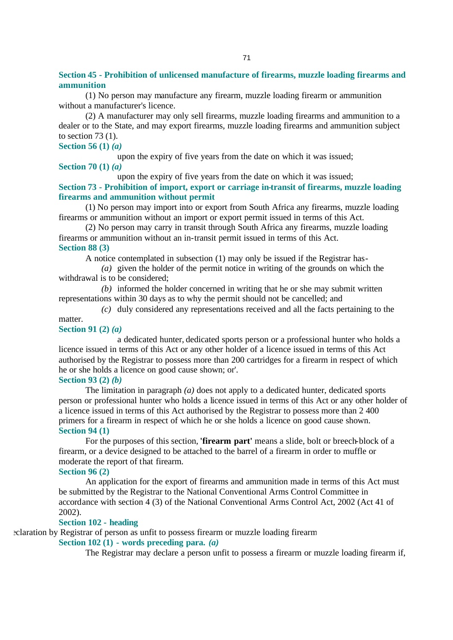**Section 45 - Prohibition of unlicensed manufacture of firearms, muzzle loading firearms and ammunition**

(1) No person may manufacture any firearm, muzzle loading firearm or ammunition without a manufacturer's licence.

(2) A manufacturer may only sell firearms, muzzle loading firearms and ammunition to a dealer or to the State, and may export firearms, muzzle loading firearms and ammunition subject to section 73 (1).

# **Section 56 (1)** *(a)*

upon the expiry of five years from the date on which it was issued;

## **Section 70 (1)** *(a)*

upon the expiry of five years from the date on which it was issued;

**Section 73 - Prohibition of import, export or carriage in-transit of firearms, muzzle loading firearms and ammunition without permit** 

(1) No person may import into or export from South Africa any firearms, muzzle loading firearms or ammunition without an import or export permit issued in terms of this Act.

(2) No person may carry in transit through South Africa any firearms, muzzle loading firearms or ammunition without an in-transit permit issued in terms of this Act. **Section 88 (3)**

A notice contemplated in subsection (1) may only be issued if the Registrar has-

*(a)* given the holder of the permit notice in writing of the grounds on which the withdrawal is to be considered;

*(b)* informed the holder concerned in writing that he or she may submit written representations within 30 days as to why the permit should not be cancelled; and

*(c)* duly considered any representations received and all the facts pertaining to the

## matter.

**Section 91 (2)** *(a)*

a dedicated hunter, dedicated sports person or a professional hunter who holds a licence issued in terms of this Act or any other holder of a licence issued in terms of this Act authorised by the Registrar to possess more than 200 cartridges for a firearm in respect of which he or she holds a licence on good cause shown; or'.

#### **Section 93 (2)** *(b)*

The limitation in paragraph *(a)* does not apply to a dedicated hunter, dedicated sports person or professional hunter who holds a licence issued in terms of this Act or any other holder of a licence issued in terms of this Act authorised by the Registrar to possess more than 2 400 primers for a firearm in respect of which he or she holds a licence on good cause shown. **Section 94 (1)**

For the purposes of this section, **'firearm part'** means a slide, bolt or breech-block of a firearm, or a device designed to be attached to the barrel of a firearm in order to muffle or moderate the report of that firearm.

#### **Section 96 (2)**

An application for the export of firearms and ammunition made in terms of this Act must be submitted by the Registrar to the National Conventional Arms Control Committee in accordance with section 4 (3) of the National Conventional Arms Control Act, 2002 (Act 41 of 2002).

## **Section 102 - heading**

eclaration by Registrar of person as unfit to possess firearm or muzzle loading firearm

## **Section 102 (1) - words preceding para.** *(a)*

The Registrar may declare a person unfit to possess a firearm or muzzle loading firearm if,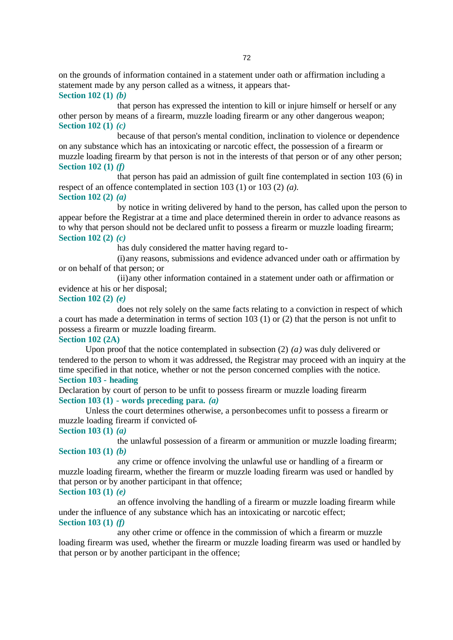on the grounds of information contained in a statement under oath or affirmation including a statement made by any person called as a witness, it appears that-**Section 102 (1)** *(b)*

that person has expressed the intention to kill or injure himself or herself or any other person by means of a firearm, muzzle loading firearm or any other dangerous weapon; **Section 102 (1)** *(c)*

because of that person's mental condition, inclination to violence or dependence on any substance which has an intoxicating or narcotic effect, the possession of a firearm or muzzle loading firearm by that person is not in the interests of that person or of any other person; **Section 102 (1)** *(f)*

that person has paid an admission of guilt fine contemplated in section 103 (6) in respect of an offence contemplated in section 103 (1) or 103 (2) *(a)*. **Section 102 (2)** *(a)*

by notice in writing delivered by hand to the person, has called upon the person to appear before the Registrar at a time and place determined therein in order to advance reasons as to why that person should not be declared unfit to possess a firearm or muzzle loading firearm; **Section 102 (2)** *(c)*

has duly considered the matter having regard to-

(i)any reasons, submissions and evidence advanced under oath or affirmation by or on behalf of that person; or

(ii)any other information contained in a statement under oath or affirmation or evidence at his or her disposal;

#### **Section 102 (2)** *(e)*

does not rely solely on the same facts relating to a conviction in respect of which a court has made a determination in terms of section 103 (1) or (2) that the person is not unfit to possess a firearm or muzzle loading firearm.

#### **Section 102 (2A)**

Upon proof that the notice contemplated in subsection (2) *(a)* was duly delivered or tendered to the person to whom it was addressed, the Registrar may proceed with an inquiry at the time specified in that notice, whether or not the person concerned complies with the notice. **Section 103 - heading**

Declaration by court of person to be unfit to possess firearm or muzzle loading firearm **Section 103 (1) - words preceding para.** *(a)*

Unless the court determines otherwise, a person becomes unfit to possess a firearm or muzzle loading firearm if convicted of-

## **Section 103 (1)** *(a)*

the unlawful possession of a firearm or ammunition or muzzle loading firearm; **Section 103 (1)** *(b)*

any crime or offence involving the unlawful use or handling of a firearm or muzzle loading firearm, whether the firearm or muzzle loading firearm was used or handled by that person or by another participant in that offence;

# **Section 103 (1)** *(e)*

an offence involving the handling of a firearm or muzzle loading firearm while under the influence of any substance which has an intoxicating or narcotic effect; **Section 103 (1)** *(f)*

any other crime or offence in the commission of which a firearm or muzzle loading firearm was used, whether the firearm or muzzle loading firearm was used or handled by that person or by another participant in the offence;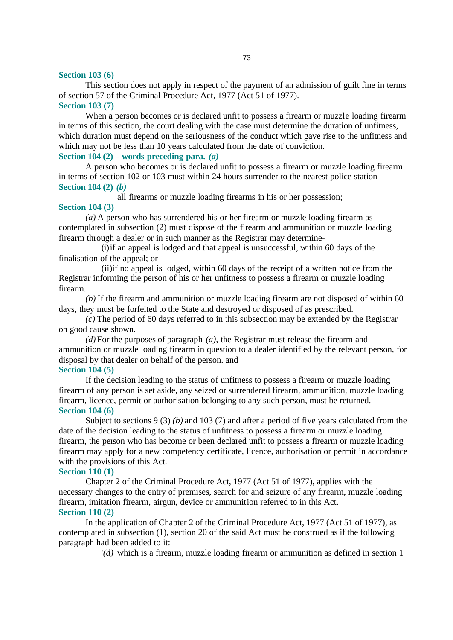### **Section 103 (6)**

This section does not apply in respect of the payment of an admission of guilt fine in terms of section 57 of the Criminal Procedure Act, 1977 (Act 51 of 1977). **Section 103 (7)**

When a person becomes or is declared unfit to possess a firearm or muzzle loading firearm in terms of this section, the court dealing with the case must determine the duration of unfitness, which duration must depend on the seriousness of the conduct which gave rise to the unfitness and which may not be less than 10 years calculated from the date of conviction.

**Section 104 (2) - words preceding para.** *(a)*

A person who becomes or is declared unfit to possess a firearm or muzzle loading firearm in terms of section 102 or 103 must within 24 hours surrender to the nearest police station-**Section 104 (2)** *(b)*

all firearms or muzzle loading firearms in his or her possession;

## **Section 104 (3)**

*(a)* A person who has surrendered his or her firearm or muzzle loading firearm as contemplated in subsection (2) must dispose of the firearm and ammunition or muzzle loading firearm through a dealer or in such manner as the Registrar may determine-

(i)if an appeal is lodged and that appeal is unsuccessful, within 60 days of the finalisation of the appeal; or

(ii)if no appeal is lodged, within 60 days of the receipt of a written notice from the Registrar informing the person of his or her unfitness to possess a firearm or muzzle loading firearm.

*(b)* If the firearm and ammunition or muzzle loading firearm are not disposed of within 60 days, they must be forfeited to the State and destroyed or disposed of as prescribed.

*(c)* The period of 60 days referred to in this subsection may be extended by the Registrar on good cause shown.

*(d)* For the purposes of paragraph *(a)*, the Registrar must release the firearm and ammunition or muzzle loading firearm in question to a dealer identified by the relevant person, for disposal by that dealer on behalf of the person. and **Section 104 (5)**

If the decision leading to the status of unfitness to possess a firearm or muzzle loading firearm of any person is set aside, any seized or surrendered firearm, ammunition, muzzle loading firearm, licence, permit or authorisation belonging to any such person, must be returned. **Section 104 (6)**

Subject to sections 9 (3) *(b)* and 103 (7) and after a period of five years calculated from the date of the decision leading to the status of unfitness to possess a firearm or muzzle loading firearm, the person who has become or been declared unfit to possess a firearm or muzzle loading firearm may apply for a new competency certificate, licence, authorisation or permit in accordance with the provisions of this Act.

#### **Section 110 (1)**

Chapter 2 of the Criminal Procedure Act, 1977 (Act 51 of 1977), applies with the necessary changes to the entry of premises, search for and seizure of any firearm, muzzle loading firearm, imitation firearm, airgun, device or ammunition referred to in this Act. **Section 110 (2)**

In the application of Chapter 2 of the Criminal Procedure Act, 1977 (Act 51 of 1977), as contemplated in subsection (1), section 20 of the said Act must be construed as if the following paragraph had been added to it:

'*(d)* which is a firearm, muzzle loading firearm or ammunition as defined in section 1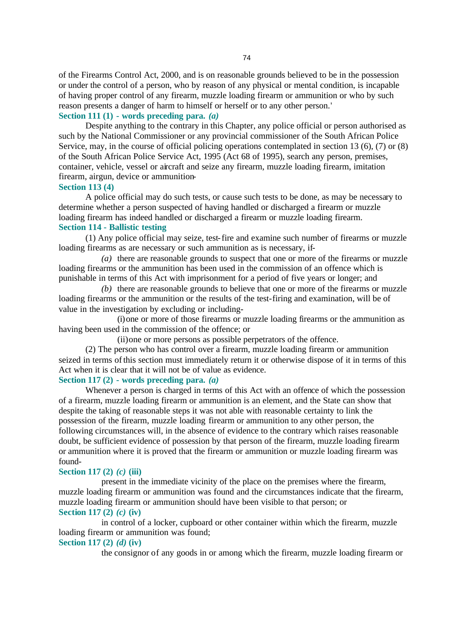of the Firearms Control Act, 2000, and is on reasonable grounds believed to be in the possession or under the control of a person, who by reason of any physical or mental condition, is incapable of having proper control of any firearm, muzzle loading firearm or ammunition or who by such reason presents a danger of harm to himself or herself or to any other person.'

# **Section 111 (1) - words preceding para.** *(a)*

Despite anything to the contrary in this Chapter, any police official or person authorised as such by the National Commissioner or any provincial commissioner of the South African Police Service, may, in the course of official policing operations contemplated in section 13 (6), (7) or (8) of the South African Police Service Act, 1995 (Act 68 of 1995), search any person, premises, container, vehicle, vessel or aircraft and seize any firearm, muzzle loading firearm, imitation firearm, airgun, device or ammunition-

### **Section 113 (4)**

A police official may do such tests, or cause such tests to be done, as may be necessary to determine whether a person suspected of having handled or discharged a firearm or muzzle loading firearm has indeed handled or discharged a firearm or muzzle loading firearm. **Section 114 - Ballistic testing**

(1) Any police official may seize, test-fire and examine such number of firearms or muzzle loading firearms as are necessary or such ammunition as is necessary, if-

*(a)* there are reasonable grounds to suspect that one or more of the firearms or muzzle loading firearms or the ammunition has been used in the commission of an offence which is punishable in terms of this Act with imprisonment for a period of five years or longer; and

*(b)* there are reasonable grounds to believe that one or more of the firearms or muzzle loading firearms or the ammunition or the results of the test-firing and examination, will be of value in the investigation by excluding or including-

(i)one or more of those firearms or muzzle loading firearms or the ammunition as having been used in the commission of the offence; or

(ii)one or more persons as possible perpetrators of the offence.

(2) The person who has control over a firearm, muzzle loading firearm or ammunition seized in terms of this section must immediately return it or otherwise dispose of it in terms of this Act when it is clear that it will not be of value as evidence.

## **Section 117 (2) - words preceding para.** *(a)*

Whenever a person is charged in terms of this Act with an offence of which the possession of a firearm, muzzle loading firearm or ammunition is an element, and the State can show that despite the taking of reasonable steps it was not able with reasonable certainty to link the possession of the firearm, muzzle loading firearm or ammunition to any other person, the following circumstances will, in the absence of evidence to the contrary which raises reasonable doubt, be sufficient evidence of possession by that person of the firearm, muzzle loading firearm or ammunition where it is proved that the firearm or ammunition or muzzle loading firearm was found-

### **Section 117 (2)** *(c)* **(iii)**

present in the immediate vicinity of the place on the premises where the firearm, muzzle loading firearm or ammunition was found and the circumstances indicate that the firearm, muzzle loading firearm or ammunition should have been visible to that person; or **Section 117 (2)** *(c)* **(iv)**

in control of a locker, cupboard or other container within which the firearm, muzzle loading firearm or ammunition was found;

# **Section 117 (2)** *(d)* **(iv)**

the consignor of any goods in or among which the firearm, muzzle loading firearm or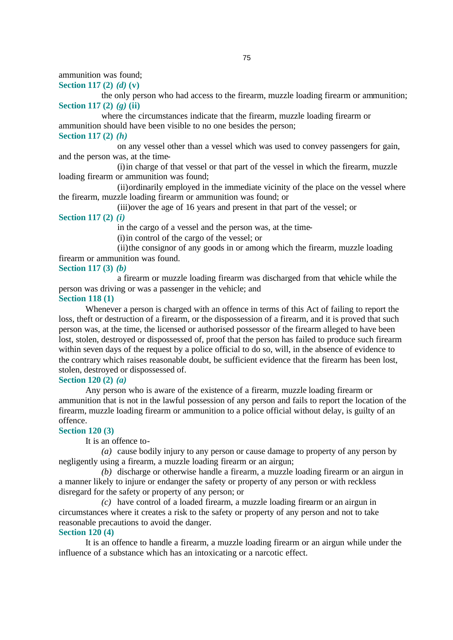ammunition was found;

**Section 117 (2)** *(d)* **(v)**

the only person who had access to the firearm, muzzle loading firearm or ammunition; **Section 117 (2)** *(g)* **(ii)**

where the circumstances indicate that the firearm, muzzle loading firearm or ammunition should have been visible to no one besides the person; **Section 117 (2)** *(h)*

on any vessel other than a vessel which was used to convey passengers for gain, and the person was, at the time-

(i)in charge of that vessel or that part of the vessel in which the firearm, muzzle loading firearm or ammunition was found;

(ii)ordinarily employed in the immediate vicinity of the place on the vessel where the firearm, muzzle loading firearm or ammunition was found; or

(iii)over the age of 16 years and present in that part of the vessel; or

**Section 117 (2)** *(i)*

in the cargo of a vessel and the person was, at the time-

(i)in control of the cargo of the vessel; or

(ii)the consignor of any goods in or among which the firearm, muzzle loading firearm or ammunition was found.

**Section 117 (3)** *(b)*

a firearm or muzzle loading firearm was discharged from that vehicle while the person was driving or was a passenger in the vehicle; and

#### **Section 118 (1)**

Whenever a person is charged with an offence in terms of this Act of failing to report the loss, theft or destruction of a firearm, or the dispossession of a firearm, and it is proved that such person was, at the time, the licensed or authorised possessor of the firearm alleged to have been lost, stolen, destroyed or dispossessed of, proof that the person has failed to produce such firearm within seven days of the request by a police official to do so, will, in the absence of evidence to the contrary which raises reasonable doubt, be sufficient evidence that the firearm has been lost, stolen, destroyed or dispossessed of.

#### **Section 120 (2)** *(a)*

Any person who is aware of the existence of a firearm, muzzle loading firearm or ammunition that is not in the lawful possession of any person and fails to report the location of the firearm, muzzle loading firearm or ammunition to a police official without delay, is guilty of an offence.

#### **Section 120 (3)**

It is an offence to-

*(a)* cause bodily injury to any person or cause damage to property of any person by negligently using a firearm, a muzzle loading firearm or an airgun;

*(b)* discharge or otherwise handle a firearm, a muzzle loading firearm or an airgun in a manner likely to injure or endanger the safety or property of any person or with reckless disregard for the safety or property of any person; or

*(c)* have control of a loaded firearm, a muzzle loading firearm or an airgun in circumstances where it creates a risk to the safety or property of any person and not to take reasonable precautions to avoid the danger.

# **Section 120 (4)**

It is an offence to handle a firearm, a muzzle loading firearm or an airgun while under the influence of a substance which has an intoxicating or a narcotic effect.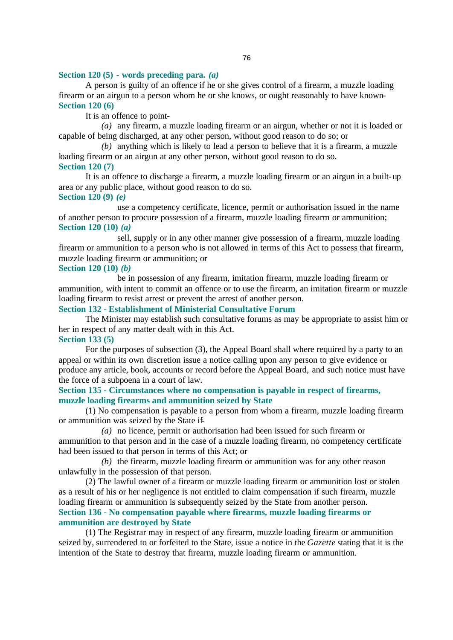## **Section 120 (5) - words preceding para.** *(a)*

A person is guilty of an offence if he or she gives control of a firearm, a muzzle loading firearm or an airgun to a person whom he or she knows, or ought reasonably to have known-**Section 120 (6)**

It is an offence to point-

*(a)* any firearm, a muzzle loading firearm or an airgun, whether or not it is loaded or capable of being discharged, at any other person, without good reason to do so; or

*(b)* anything which is likely to lead a person to believe that it is a firearm, a muzzle loading firearm or an airgun at any other person, without good reason to do so.

## **Section 120 (7)**

It is an offence to discharge a firearm, a muzzle loading firearm or an airgun in a built-up area or any public place, without good reason to do so. **Section 120 (9)** *(e)*

use a competency certificate, licence, permit or authorisation issued in the name of another person to procure possession of a firearm, muzzle loading firearm or ammunition; **Section 120 (10)** *(a)*

sell, supply or in any other manner give possession of a firearm, muzzle loading firearm or ammunition to a person who is not allowed in terms of this Act to possess that firearm, muzzle loading firearm or ammunition; or

**Section 120 (10)** *(b)*

be in possession of any firearm, imitation firearm, muzzle loading firearm or ammunition, with intent to commit an offence or to use the firearm, an imitation firearm or muzzle loading firearm to resist arrest or prevent the arrest of another person.

**Section 132 - Establishment of Ministerial Consultative Forum**

The Minister may establish such consultative forums as may be appropriate to assist him or her in respect of any matter dealt with in this Act. **Section 133 (5)**

For the purposes of subsection (3), the Appeal Board shall where required by a party to an appeal or within its own discretion issue a notice calling upon any person to give evidence or produce any article, book, accounts or record before the Appeal Board, and such notice must have the force of a subpoena in a court of law.

**Section 135 - Circumstances where no compensation is payable in respect of firearms, muzzle loading firearms and ammunition seized by State** 

(1) No compensation is payable to a person from whom a firearm, muzzle loading firearm or ammunition was seized by the State if-

*(a)* no licence, permit or authorisation had been issued for such firearm or ammunition to that person and in the case of a muzzle loading firearm, no competency certificate had been issued to that person in terms of this Act; or

*(b)* the firearm, muzzle loading firearm or ammunition was for any other reason unlawfully in the possession of that person.

(2) The lawful owner of a firearm or muzzle loading firearm or ammunition lost or stolen as a result of his or her negligence is not entitled to claim compensation if such firearm, muzzle loading firearm or ammunition is subsequently seized by the State from another person. **Section 136 - No compensation payable where firearms, muzzle loading firearms or ammunition are destroyed by State**

(1) The Registrar may in respect of any firearm, muzzle loading firearm or ammunition seized by, surrendered to or forfeited to the State, issue a notice in the *Gazette* stating that it is the intention of the State to destroy that firearm, muzzle loading firearm or ammunition.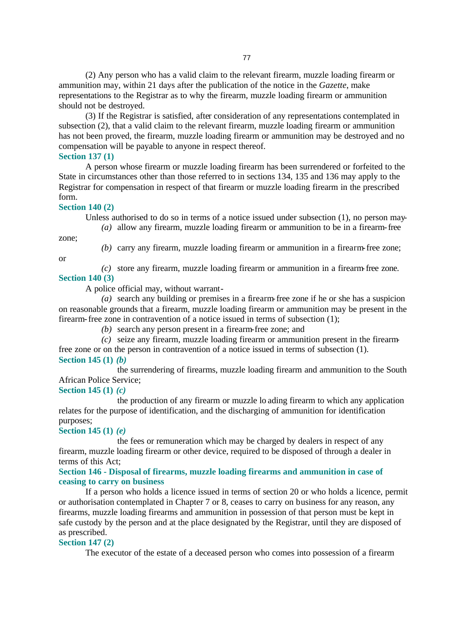(2) Any person who has a valid claim to the relevant firearm, muzzle loading firearm or ammunition may, within 21 days after the publication of the notice in the *Gazette*, make representations to the Registrar as to why the firearm, muzzle loading firearm or ammunition should not be destroyed.

(3) If the Registrar is satisfied, after consideration of any representations contemplated in subsection (2), that a valid claim to the relevant firearm, muzzle loading firearm or ammunition has not been proved, the firearm, muzzle loading firearm or ammunition may be destroyed and no compensation will be payable to anyone in respect thereof.

**Section 137 (1)**

A person whose firearm or muzzle loading firearm has been surrendered or forfeited to the State in circumstances other than those referred to in sections 134, 135 and 136 may apply to the Registrar for compensation in respect of that firearm or muzzle loading firearm in the prescribed form.

#### **Section 140 (2)**

Unless authorised to do so in terms of a notice issued under subsection (1), no person may- *(a)* allow any firearm, muzzle loading firearm or ammunition to be in a firearm-free

zone;

or

*(b)* carry any firearm, muzzle loading firearm or ammunition in a firearm-free zone;

*(c)* store any firearm, muzzle loading firearm or ammunition in a firearm-free zone.

## **Section 140 (3)**

A police official may, without warrant-

*(a)* search any building or premises in a firearm-free zone if he or she has a suspicion on reasonable grounds that a firearm, muzzle loading firearm or ammunition may be present in the firearm-free zone in contravention of a notice issued in terms of subsection (1);

*(b)* search any person present in a firearm-free zone; and

*(c)* seize any firearm, muzzle loading firearm or ammunition present in the firearmfree zone or on the person in contravention of a notice issued in terms of subsection (1). **Section 145 (1)** *(b)*

the surrendering of firearms, muzzle loading firearm and ammunition to the South African Police Service;

**Section 145 (1)** *(c)*

the production of any firearm or muzzle lo ading firearm to which any application relates for the purpose of identification, and the discharging of ammunition for identification purposes;

**Section 145 (1)** *(e)*

the fees or remuneration which may be charged by dealers in respect of any firearm, muzzle loading firearm or other device, required to be disposed of through a dealer in terms of this Act;

## **Section 146 - Disposal of firearms, muzzle loading firearms and ammunition in case of ceasing to carry on business**

If a person who holds a licence issued in terms of section 20 or who holds a licence, permit or authorisation contemplated in Chapter 7 or 8, ceases to carry on business for any reason, any firearms, muzzle loading firearms and ammunition in possession of that person must be kept in safe custody by the person and at the place designated by the Registrar, until they are disposed of as prescribed.

### **Section 147 (2)**

The executor of the estate of a deceased person who comes into possession of a firearm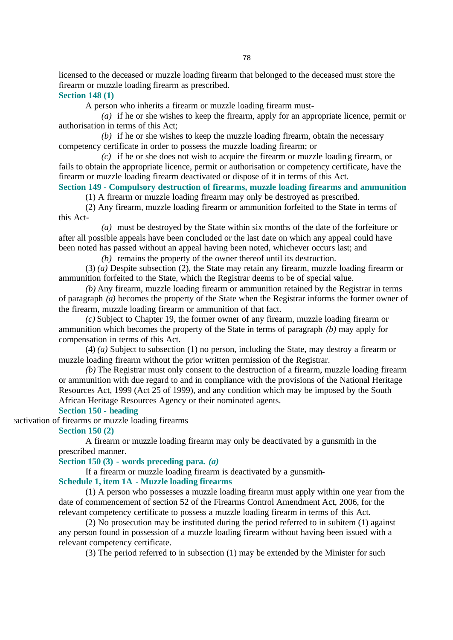licensed to the deceased or muzzle loading firearm that belonged to the deceased must store the firearm or muzzle loading firearm as prescribed.

**Section 148 (1)**

A person who inherits a firearm or muzzle loading firearm must-

*(a)* if he or she wishes to keep the firearm, apply for an appropriate licence, permit or authorisation in terms of this Act;

*(b)* if he or she wishes to keep the muzzle loading firearm, obtain the necessary competency certificate in order to possess the muzzle loading firearm; or

*(c)* if he or she does not wish to acquire the firearm or muzzle loading firearm, or fails to obtain the appropriate licence, permit or authorisation or competency certificate, have the firearm or muzzle loading firearm deactivated or dispose of it in terms of this Act.

# **Section 149 - Compulsory destruction of firearms, muzzle loading firearms and ammunition**

(1) A firearm or muzzle loading firearm may only be destroyed as prescribed.

(2) Any firearm, muzzle loading firearm or ammunition forfeited to the State in terms of this Act-

*(a)* must be destroyed by the State within six months of the date of the forfeiture or after all possible appeals have been concluded or the last date on which any appeal could have been noted has passed without an appeal having been noted, whichever occurs last; and

*(b)* remains the property of the owner thereof until its destruction.

(3) *(a)* Despite subsection (2), the State may retain any firearm, muzzle loading firearm or ammunition forfeited to the State, which the Registrar deems to be of special value.

*(b)* Any firearm, muzzle loading firearm or ammunition retained by the Registrar in terms of paragraph *(a)* becomes the property of the State when the Registrar informs the former owner of the firearm, muzzle loading firearm or ammunition of that fact.

*(c)* Subject to Chapter 19, the former owner of any firearm, muzzle loading firearm or ammunition which becomes the property of the State in terms of paragraph *(b)* may apply for compensation in terms of this Act.

(4) *(a)* Subject to subsection (1) no person, including the State, may destroy a firearm or muzzle loading firearm without the prior written permission of the Registrar.

*(b)* The Registrar must only consent to the destruction of a firearm, muzzle loading firearm or ammunition with due regard to and in compliance with the provisions of the National Heritage Resources Act, 1999 (Act 25 of 1999), and any condition which may be imposed by the South African Heritage Resources Agency or their nominated agents.

### **Section 150 - heading**

eactivation of firearms or muzzle loading firearms

#### **Section 150 (2)**

A firearm or muzzle loading firearm may only be deactivated by a gunsmith in the prescribed manner.

## **Section 150 (3) - words preceding para.** *(a)*

If a firearm or muzzle loading firearm is deactivated by a gunsmith-**Schedule 1, item 1A - Muzzle loading firearms**

(1) A person who possesses a muzzle loading firearm must apply within one year from the date of commencement of section 52 of the Firearms Control Amendment Act, 2006, for the relevant competency certificate to possess a muzzle loading firearm in terms of this Act.

(2) No prosecution may be instituted during the period referred to in subitem (1) against any person found in possession of a muzzle loading firearm without having been issued with a relevant competency certificate.

(3) The period referred to in subsection (1) may be extended by the Minister for such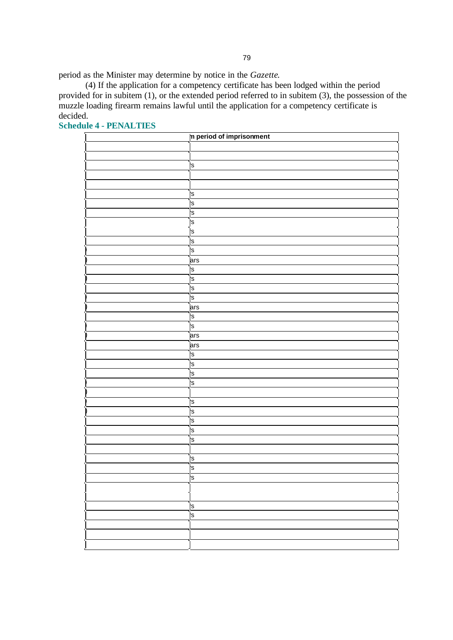period as the Minister may determine by notice in the *Gazette*.

(4) If the application for a competency certificate has been lodged within the period provided for in subitem (1), or the extended period referred to in subitem (3), the possession of the muzzle loading firearm remains lawful until the application for a competency certificate is decided.

| In period of imprisonment |
|---------------------------|
|                           |
|                           |
| 's                        |
|                           |
|                           |
| ls.                       |
| 's                        |
| 's                        |
| 's                        |
| S,                        |
| 's                        |
| 's                        |
| ars                       |
| 's                        |
| 's                        |
| 's                        |
| 's                        |
| ars                       |
| ¦s                        |
| 's                        |
| ars                       |
| ars                       |
| 's                        |
| 's                        |
| 's                        |
| 's                        |
|                           |
| 's                        |
| 's                        |
| 's                        |
| 's                        |
| 's                        |
|                           |
| ls.                       |
| 's                        |
| 'S                        |
|                           |
|                           |
| 's                        |
| 's                        |
|                           |
|                           |
|                           |

**Schedule 4 - PENALTIES**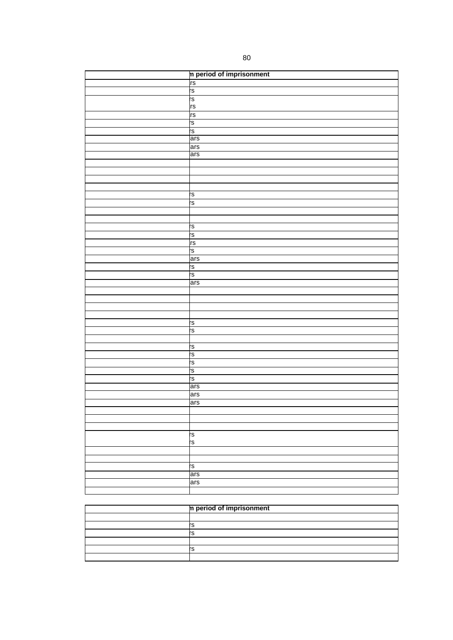| In period of imprisonment |
|---------------------------|
| rs<br>'s                  |
|                           |
| rs<br>rs                  |
|                           |
| rs                        |
| ۱ġ                        |
| rs<br>ars                 |
|                           |
| ars<br>ars                |
|                           |
|                           |
|                           |
|                           |
|                           |
| 'S                        |
| rs                        |
|                           |
|                           |
| rs                        |
|                           |
|                           |
| ی <u>ام</u> ام            |
| ars                       |
|                           |
| ဖွဲ့ ဖွဲ                  |
| ars                       |
|                           |
|                           |
|                           |
|                           |
| S.                        |
| rs.                       |
|                           |
| ۱g                        |
| rs                        |
| ပု (၇                     |
|                           |
| rs                        |
| ars                       |
| ars                       |
| ars                       |
|                           |
|                           |
|                           |
|                           |
| ري<br>S                   |
|                           |
|                           |
| rs                        |
| ars                       |
| ars                       |
|                           |

| In period of imprisonment |  |
|---------------------------|--|
|                           |  |
|                           |  |
|                           |  |
|                           |  |
|                           |  |
|                           |  |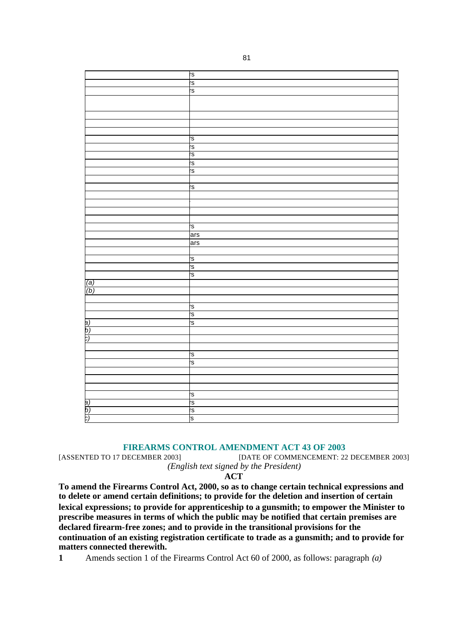|                  | rs  |
|------------------|-----|
|                  | rs  |
|                  | rs  |
|                  |     |
|                  |     |
|                  |     |
|                  |     |
|                  |     |
|                  | S,  |
|                  | S.  |
|                  | rs  |
|                  | rs  |
|                  | rs  |
|                  |     |
|                  | rs  |
|                  |     |
|                  |     |
|                  |     |
|                  |     |
|                  | Ġ.  |
|                  | ars |
|                  | ars |
|                  |     |
|                  | rs  |
|                  | ρņ  |
|                  | Ġ.  |
| (a)              |     |
| $\overline{(b)}$ |     |
|                  |     |
|                  | 's  |
|                  | ัร  |
| þ)               | rs. |
| b)               |     |
| b.               |     |
|                  |     |
|                  | 's  |
|                  | rs  |
|                  |     |
|                  |     |
|                  |     |
|                  | 's  |
| a)               | rs  |
| b)<br>C)         | rs  |
|                  | 's  |
|                  |     |

#### **FIREARMS CONTROL AMENDMENT ACT 43 OF 2003**

[ASSENTED TO 17 DECEMBER 2003] [DATE OF COMMENCEMENT: 22 DECEMBER 2003] *(English text signed by the President)*

**ACT**

**To amend the Firearms Control Act, 2000, so as to change certain technical expressions and to delete or amend certain definitions; to provide for the deletion and insertion of certain lexical expressions; to provide for apprenticeship to a gunsmith; to empower the Minister to prescribe measures in terms of which the public may be notified that certain premises are declared firearm-free zones; and to provide in the transitional provisions for the continuation of an existing registration certificate to trade as a gunsmith; and to provide for matters connected therewith.**

**1** Amends section 1 of the Firearms Control Act 60 of 2000, as follows: paragraph *(a)*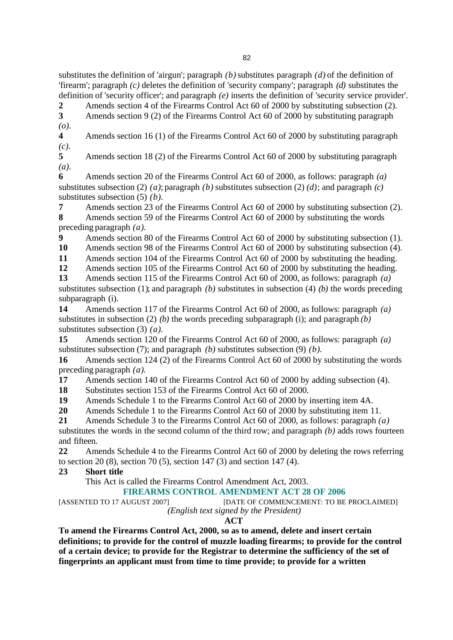substitutes the definition of 'airgun'; paragraph *(b)* substitutes paragraph *(d)* of the definition of 'firearm'; paragraph *(c)* deletes the definition of 'security company'; paragraph *(d)* substitutes the definition of 'security officer'; and paragraph *(e)* inserts the definition of 'security service provider'.

**2** Amends section 4 of the Firearms Control Act 60 of 2000 by substituting subsection (2). **3** Amends section 9 (2) of the Firearms Control Act 60 of 2000 by substituting paragraph *(o)*.

**4** Amends section 16 (1) of the Firearms Control Act 60 of 2000 by substituting paragraph *(c)*.

**5** Amends section 18 (2) of the Firearms Control Act 60 of 2000 by substituting paragraph *(a)*.

**6** Amends section 20 of the Firearms Control Act 60 of 2000, as follows: paragraph *(a)* substitutes subsection (2) *(a)*; paragraph *(b)* substitutes subsection (2) *(d)*; and paragraph *(c)* substitutes subsection (5) *(b)*.

**7** Amends section 23 of the Firearms Control Act 60 of 2000 by substituting subsection (2). **8** Amends section 59 of the Firearms Control Act 60 of 2000 by substituting the words preceding paragraph *(a)*.

**9** Amends section 80 of the Firearms Control Act 60 of 2000 by substituting subsection (1).

**10** Amends section 98 of the Firearms Control Act 60 of 2000 by substituting subsection (4).

**11** Amends section 104 of the Firearms Control Act 60 of 2000 by substituting the heading.

**12** Amends section 105 of the Firearms Control Act 60 of 2000 by substituting the heading.

**13** Amends section 115 of the Firearms Control Act 60 of 2000, as follows: paragraph *(a)*

substitutes subsection (1); and paragraph *(b)* substitutes in subsection (4) *(b)* the words preceding subparagraph (i).

**14** Amends section 117 of the Firearms Control Act 60 of 2000, as follows: paragraph *(a)* substitutes in subsection (2) *(b)* the words preceding subparagraph (i); and paragraph *(b)* substitutes subsection (3) *(a)*.

**15** Amends section 120 of the Firearms Control Act 60 of 2000, as follows: paragraph *(a)* substitutes subsection (7); and paragraph *(b)* substitutes subsection (9) *(b)*.

**16** Amends section 124 (2) of the Firearms Control Act 60 of 2000 by substituting the words preceding paragraph *(a)*.

**17** Amends section 140 of the Firearms Control Act 60 of 2000 by adding subsection (4).

**18** Substitutes section 153 of the Firearms Control Act 60 of 2000.

**19** Amends Schedule 1 to the Firearms Control Act 60 of 2000 by inserting item 4A.

**20** Amends Schedule 1 to the Firearms Control Act 60 of 2000 by substituting item 11.

**21** Amends Schedule 3 to the Firearms Control Act 60 of 2000, as follows: paragraph *(a)*

substitutes the words in the second column of the third row; and paragraph *(b)* adds rows fourteen and fifteen.

**22** Amends Schedule 4 to the Firearms Control Act 60 of 2000 by deleting the rows referring to section 20 (8), section 70 (5), section 147 (3) and section 147 (4).

## **23 Short title**

This Act is called the Firearms Control Amendment Act, 2003.

## **FIREARMS CONTROL AMENDMENT ACT 28 OF 2006**

[ASSENTED TO 17 AUGUST 2007] [DATE OF COMMENCEMENT: TO BE PROCLAIMED]

*(English text signed by the President)*

## **ACT**

**To amend the Firearms Control Act, 2000, so as to amend, delete and insert certain definitions; to provide for the control of muzzle loading firearms; to provide for the control of a certain device; to provide for the Registrar to determine the sufficiency of the set of fingerprints an applicant must from time to time provide; to provide for a written**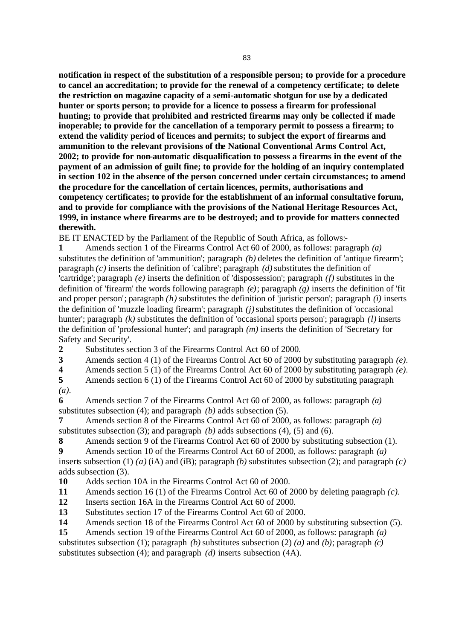**notification in respect of the substitution of a responsible person; to provide for a procedure to cancel an accreditation; to provide for the renewal of a competency certificate; to delete the restriction on magazine capacity of a semi-automatic shotgun for use by a dedicated hunter or sports person; to provide for a licence to possess a firearm for professional hunting; to provide that prohibited and restricted firearms may only be collected if made inoperable; to provide for the cancellation of a temporary permit to possess a firearm; to extend the validity period of licences and permits; to subject the export of firearms and ammunition to the relevant provisions of the National Conventional Arms Control Act, 2002; to provide for non-automatic disqualification to possess a firearms in the event of the payment of an admission of guilt fine; to provide for the holding of an inquiry contemplated in section 102 in the absence of the person concerned under certain circumstances; to amend the procedure for the cancellation of certain licences, permits, authorisations and competency certificates; to provide for the establishment of an informal consultative forum, and to provide for compliance with the provisions of the National Heritage Resources Act, 1999, in instance where firearms are to be destroyed; and to provide for matters connected therewith.**

BE IT ENACTED by the Parliament of the Republic of South Africa, as follows:-

**1** Amends section 1 of the Firearms Control Act 60 of 2000, as follows: paragraph *(a)* substitutes the definition of 'ammunition'; paragraph *(b)* deletes the definition of 'antique firearm'; paragraph *(c)* inserts the definition of 'calibre'; paragraph *(d)* substitutes the definition of 'cartridge'; paragraph *(e)* inserts the definition of 'dispossession'; paragraph *(f)* substitutes in the definition of 'firearm' the words following paragraph *(e)*; paragraph *(g)* inserts the definition of 'fit and proper person'; paragraph *(h)* substitutes the definition of 'juristic person'; paragraph *(i)* inserts the definition of 'muzzle loading firearm'; paragraph *(j)* substitutes the definition of 'occasional hunter'; paragraph *(k)* substitutes the definition of 'occasional sports person'; paragraph *(l)* inserts the definition of 'professional hunter'; and paragraph *(m)* inserts the definition of 'Secretary for Safety and Security'.

**2** Substitutes section 3 of the Firearms Control Act 60 of 2000.

**3** Amends section 4 (1) of the Firearms Control Act 60 of 2000 by substituting paragraph *(e)*.

**4** Amends section 5 (1) of the Firearms Control Act 60 of 2000 by substituting paragraph *(e)*.

**5** Amends section 6 (1) of the Firearms Control Act 60 of 2000 by substituting paragraph *(a)*.

**6** Amends section 7 of the Firearms Control Act 60 of 2000, as follows: paragraph *(a)* substitutes subsection (4); and paragraph *(b)* adds subsection (5).

**7** Amends section 8 of the Firearms Control Act 60 of 2000, as follows: paragraph *(a)* substitutes subsection (3); and paragraph *(b)* adds subsections (4), (5) and (6).

**8** Amends section 9 of the Firearms Control Act 60 of 2000 by substituting subsection (1).

**9** Amends section 10 of the Firearms Control Act 60 of 2000, as follows: paragraph *(a)*

inserts subsection (1) *(a)* (iA) and (iB); paragraph *(b)* substitutes subsection (2); and paragraph *(c)* adds subsection (3).

**10** Adds section 10A in the Firearms Control Act 60 of 2000.

**11** Amends section 16 (1) of the Firearms Control Act 60 of 2000 by deleting paragraph *(c)*.

**12** Inserts section 16A in the Firearms Control Act 60 of 2000.

**13** Substitutes section 17 of the Firearms Control Act 60 of 2000.

**14** Amends section 18 of the Firearms Control Act 60 of 2000 by substituting subsection (5).

**15** Amends section 19 of the Firearms Control Act 60 of 2000, as follows: paragraph *(a)* substitutes subsection (1); paragraph *(b)* substitutes subsection (2) *(a)* and *(b)*; paragraph *(c)* substitutes subsection (4); and paragraph *(d)* inserts subsection (4A).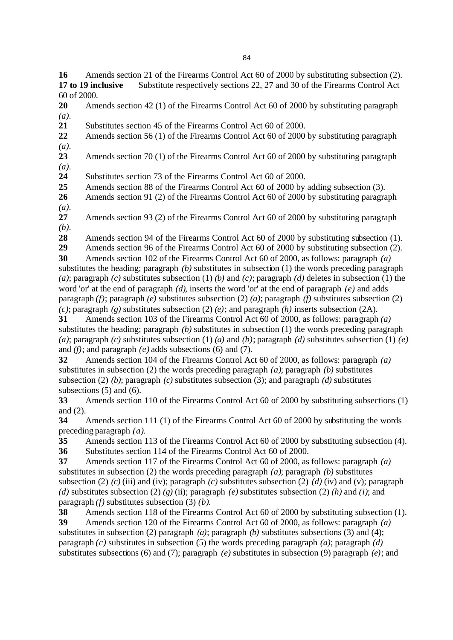**16** Amends section 21 of the Firearms Control Act 60 of 2000 by substituting subsection (2). **17 to 19 inclusive** Substitute respectively sections 22, 27 and 30 of the Firearms Control Act 60 of 2000.

**20** Amends section 42 (1) of the Firearms Control Act 60 of 2000 by substituting paragraph *(a)*.

**21** Substitutes section 45 of the Firearms Control Act 60 of 2000.

**22** Amends section 56 (1) of the Firearms Control Act 60 of 2000 by substituting paragraph *(a)*.

**23** Amends section 70 (1) of the Firearms Control Act 60 of 2000 by substituting paragraph *(a)*.

**24** Substitutes section 73 of the Firearms Control Act 60 of 2000.

**25** Amends section 88 of the Firearms Control Act 60 of 2000 by adding subsection (3).

**26** Amends section 91 (2) of the Firearms Control Act 60 of 2000 by substituting paragraph *(a)*.

**27** Amends section 93 (2) of the Firearms Control Act 60 of 2000 by substituting paragraph *(b)*.

**28** Amends section 94 of the Firearms Control Act 60 of 2000 by substituting subsection (1).

**29** Amends section 96 of the Firearms Control Act 60 of 2000 by substituting subsection (2).

**30** Amends section 102 of the Firearms Control Act 60 of 2000, as follows: paragraph *(a)* substitutes the heading; paragraph *(b)* substitutes in subsection (1) the words preceding paragraph *(a)*; paragraph *(c)* substitutes subsection (1) *(b)* and *(c)*; paragraph *(d)* deletes in subsection (1) the word 'or' at the end of paragraph *(d)*, inserts the word 'or' at the end of paragraph *(e)* and adds paragraph *(f)*; paragraph *(e)* substitutes subsection (2) *(a)*; paragraph *(f)* substitutes subsection (2) *(c)*; paragraph *(g)* substitutes subsection (2) *(e)*; and paragraph *(h)* inserts subsection (2A).

**31** Amends section 103 of the Firearms Control Act 60 of 2000, as follows: paragraph *(a)* substitutes the heading; paragraph *(b)* substitutes in subsection (1) the words preceding paragraph *(a)*; paragraph *(c)* substitutes subsection (1) *(a)* and *(b)*; paragraph *(d)* substitutes subsection (1) *(e)* and *(f)*; and paragraph *(e)* adds subsections (6) and (7).

**32** Amends section 104 of the Firearms Control Act 60 of 2000, as follows: paragraph *(a)* substitutes in subsection (2) the words preceding paragraph *(a)*; paragraph *(b)* substitutes subsection (2) *(b)*; paragraph *(c)* substitutes subsection (3); and paragraph *(d)* substitutes subsections (5) and (6).

**33** Amends section 110 of the Firearms Control Act 60 of 2000 by substituting subsections (1) and (2).

**34** Amends section 111 (1) of the Firearms Control Act 60 of 2000 by substituting the words preceding paragraph *(a)*.

**35** Amends section 113 of the Firearms Control Act 60 of 2000 by substituting subsection (4).

**36** Substitutes section 114 of the Firearms Control Act 60 of 2000.

**37** Amends section 117 of the Firearms Control Act 60 of 2000, as follows: paragraph *(a)* substitutes in subsection (2) the words preceding paragraph *(a)*; paragraph *(b)* substitutes subsection (2) *(c)* (iii) and (iv); paragraph *(c)* substitutes subsection (2) *(d)* (iv) and (v); paragraph *(d)* substitutes subsection (2) *(g)* (ii); paragraph *(e)* substitutes subsection (2) *(h)* and *(i)*; and paragraph *(f)* substitutes subsection (3) *(b)*.

**38** Amends section 118 of the Firearms Control Act 60 of 2000 by substituting subsection (1).

**39** Amends section 120 of the Firearms Control Act 60 of 2000, as follows: paragraph *(a)* substitutes in subsection (2) paragraph *(a)*; paragraph *(b)* substitutes subsections (3) and (4); paragraph *(c)* substitutes in subsection (5) the words preceding paragraph *(a)*; paragraph *(d)* substitutes subsections (6) and (7); paragraph *(e)* substitutes in subsection (9) paragraph *(e)*; and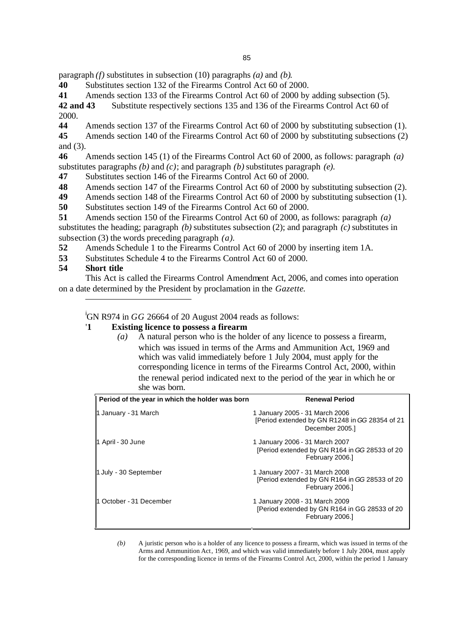paragraph *(f)* substitutes in subsection (10) paragraphs *(a)* and *(b)*.

**40** Substitutes section 132 of the Firearms Control Act 60 of 2000.

**41** Amends section 133 of the Firearms Control Act 60 of 2000 by adding subsection (5).

**42 and 43** Substitute respectively sections 135 and 136 of the Firearms Control Act 60 of 2000.

**44** Amends section 137 of the Firearms Control Act 60 of 2000 by substituting subsection (1).

**45** Amends section 140 of the Firearms Control Act 60 of 2000 by substituting subsections (2) and (3).

**46** Amends section 145 (1) of the Firearms Control Act 60 of 2000, as follows: paragraph *(a)* substitutes paragraphs *(b)* and *(c)*; and paragraph *(b)* substitutes paragraph *(e)*.

**47** Substitutes section 146 of the Firearms Control Act 60 of 2000.

**48** Amends section 147 of the Firearms Control Act 60 of 2000 by substituting subsection (2).

**49** Amends section 148 of the Firearms Control Act 60 of 2000 by substituting subsection (1).

**50** Substitutes section 149 of the Firearms Control Act 60 of 2000.

**51** Amends section 150 of the Firearms Control Act 60 of 2000, as follows: paragraph *(a)* substitutes the heading; paragraph *(b)* substitutes subsection (2); and paragraph *(c)* substitutes in subsection (3) the words preceding paragraph *(a)*.

**52** Amends Schedule 1 to the Firearms Control Act 60 of 2000 by inserting item 1A.

**53** Substitutes Schedule 4 to the Firearms Control Act 60 of 2000.

## **54 Short title**

This Act is called the Firearms Control Amendment Act, 2006, and comes into operation on a date determined by the President by proclamation in the *Gazette*.

<sup>i</sup>GN R974 in *GG* 26664 of 20 August 2004 reads as follows:

## '**1 Existing licence to possess a firearm**

*(a)* A natural person who is the holder of any licence to possess a firearm, which was issued in terms of the Arms and Ammunition Act, 1969 and which was valid immediately before 1 July 2004, must apply for the corresponding licence in terms of the Firearms Control Act, 2000, within the renewal period indicated next to the period of the year in which he or she was born.

| Period of the year in which the holder was born | <b>Renewal Period</b>                                                                               |
|-------------------------------------------------|-----------------------------------------------------------------------------------------------------|
| 1 January - 31 March                            | 1 January 2005 - 31 March 2006<br>[Period extended by GN R1248 in GG 28354 of 21<br>December 2005.1 |
| 1 April - 30 June                               | 1 January 2006 - 31 March 2007<br>[Period extended by GN R164 in GG 28533 of 20<br>February 2006.1  |
| 1 July - 30 September                           | 1 January 2007 - 31 March 2008<br>[Period extended by GN R164 in GG 28533 of 20<br>February 2006.1  |
| 1 October - 31 December                         | 1 January 2008 - 31 March 2009<br>[Period extended by GN R164 in GG 28533 of 20<br>February 2006.1  |

*(b)* A juristic person who is a holder of any licence to possess a firearm, which was issued in terms of the Arms and Ammunition Act, 1969, and which was valid immediately before 1 July 2004, must apply for the corresponding licence in terms of the Firearms Control Act, 2000, within the period 1 January